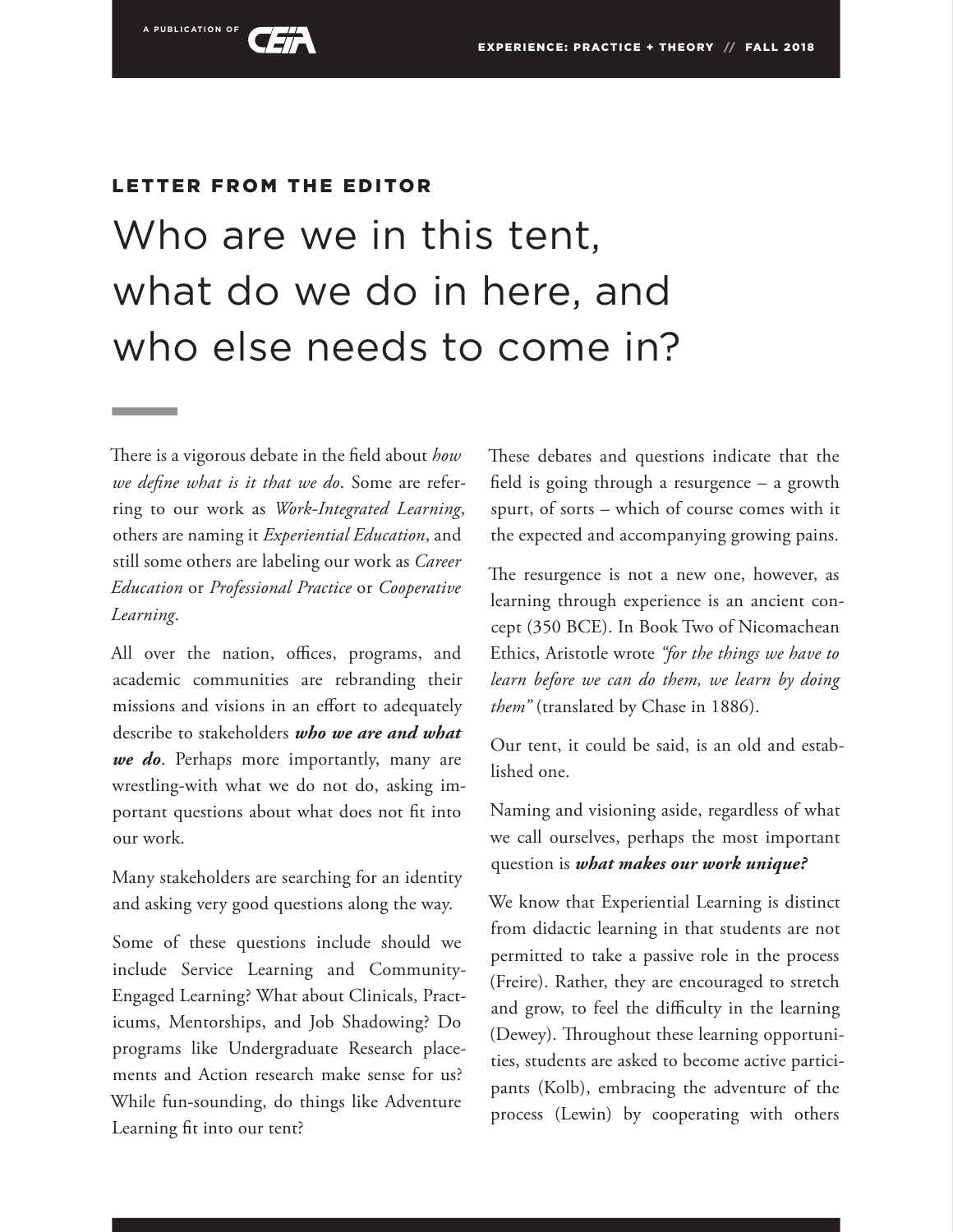

# LETTER FROM THE EDITOR

# Who are we in this tent, what do we do in here, and who else needs to come in?

There is a vigorous debate in the field about *how we define what is it that we do*. Some are referring to our work as *Work-Integrated Learning*, others are naming it *Experiential Education*, and still some others are labeling our work as *Career Education* or *Professional Practice* or *Cooperative Learning*.

All over the nation, offices, programs, and academic communities are rebranding their missions and visions in an effort to adequately describe to stakeholders *who we are and what we do*. Perhaps more importantly, many are wrestling-with what we do not do, asking important questions about what does not fit into our work.

Many stakeholders are searching for an identity and asking very good questions along the way.

Some of these questions include should we include Service Learning and Community-Engaged Learning? What about Clinicals, Practicums, Mentorships, and Job Shadowing? Do programs like Undergraduate Research placements and Action research make sense for us? While fun-sounding, do things like Adventure Learning fit into our tent?

These debates and questions indicate that the field is going through a resurgence – a growth spurt, of sorts – which of course comes with it the expected and accompanying growing pains.

The resurgence is not a new one, however, as learning through experience is an ancient concept (350 BCE). In Book Two of Nicomachean Ethics, Aristotle wrote *"for the things we have to learn before we can do them, we learn by doing them"* (translated by Chase in 1886).

Our tent, it could be said, is an old and established one.

Naming and visioning aside, regardless of what we call ourselves, perhaps the most important question is *what makes our work unique?*

We know that Experiential Learning is distinct from didactic learning in that students are not permitted to take a passive role in the process (Freire). Rather, they are encouraged to stretch and grow, to feel the difficulty in the learning (Dewey). Throughout these learning opportunities, students are asked to become active participants (Kolb), embracing the adventure of the process (Lewin) by cooperating with others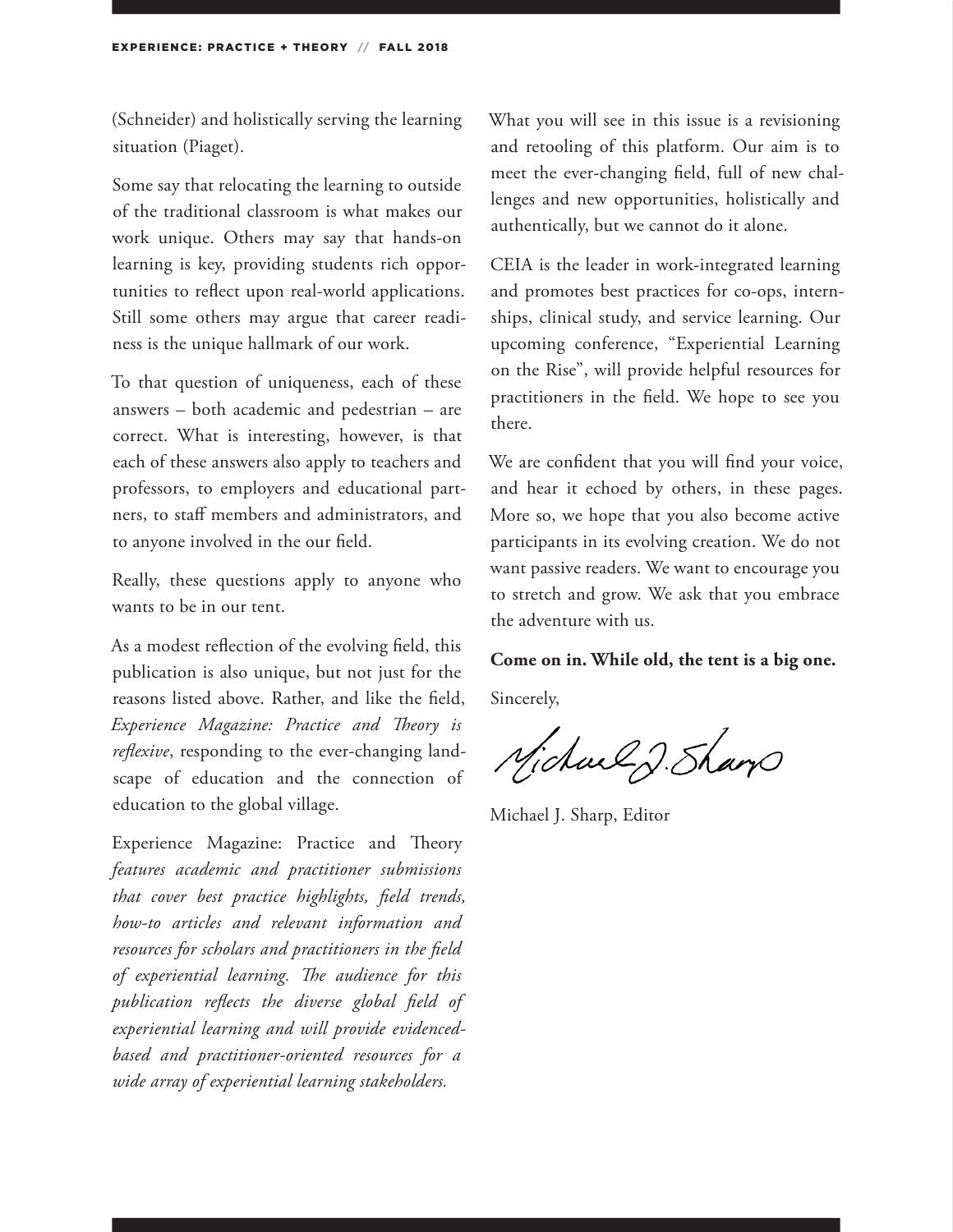(Schneider) and holistically serving the learning situation (Piaget).

Some say that relocating the learning to outside of the traditional classroom is what makes our work unique. Others may say that hands-on learning is key, providing students rich opportunities to reflect upon real-world applications. Still some others may argue that career readiness is the unique hallmark of our work.

To that question of uniqueness, each of these answers – both academic and pedestrian – are correct. What is interesting, however, is that each of these answers also apply to teachers and professors, to employers and educational partners, to staff members and administrators, and to anyone involved in the our field.

Really, these questions apply to anyone who wants to be in our tent.

As a modest reflection of the evolving field, this publication is also unique, but not just for the reasons listed above. Rather, and like the field, *Experience Magazine: Practice and Theory is reflexive*, responding to the ever-changing landscape of education and the connection of education to the global village.

Experience Magazine: Practice and Theory *features academic and practitioner submissions that cover best practice highlights, field trends, how-to articles and relevant information and resources for scholars and practitioners in the field of experiential learning. The audience for this publication reflects the diverse global field of experiential learning and will provide evidencedbased and practitioner-oriented resources for a wide array of experiential learning stakeholders.*

What you will see in this issue is a revisioning and retooling of this platform. Our aim is to meet the ever-changing field, full of new challenges and new opportunities, holistically and authentically, but we cannot do it alone.

CEIA is the leader in work-integrated learning and promotes best practices for co-ops, internships, clinical study, and service learning. Our upcoming conference, "Experiential Learning on the Rise", will provide helpful resources for practitioners in the field. We hope to see you there.

We are confident that you will find your voice, and hear it echoed by others, in these pages. More so, we hope that you also become active participants in its evolving creation. We do not want passive readers. We want to encourage you to stretch and grow. We ask that you embrace the adventure with us.

#### **Come on in. While old, the tent is a big one.**

Sincerely,

Michael J. Sham

Michael J. Sharp, Editor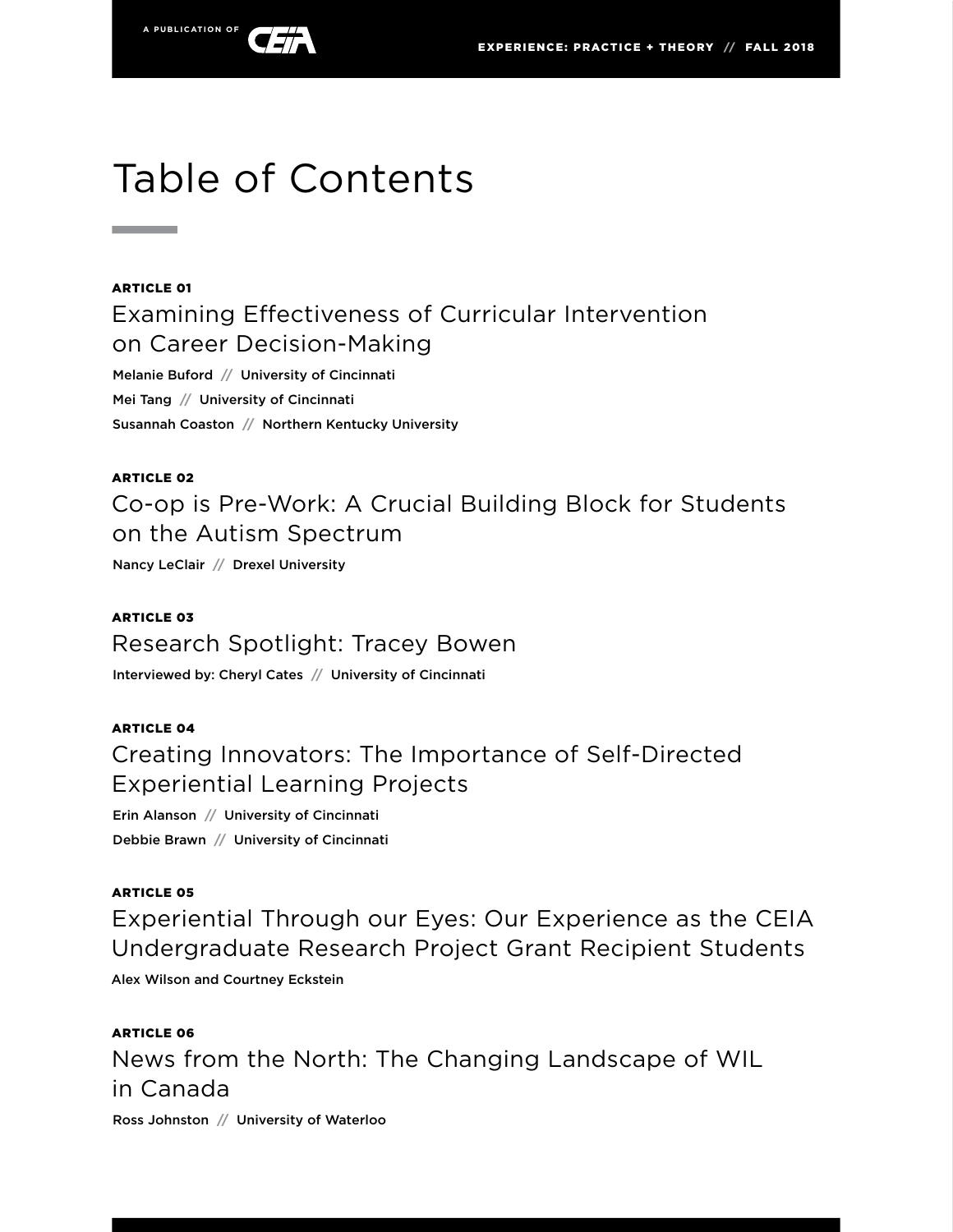

# Table of Contents

#### ARTICLE 01

**Contract Contract** 

Examining Effectiveness of Curricular Intervention on Career Decision-Making

Melanie Buford **//** University of Cincinnati Mei Tang **//** University of Cincinnati Susannah Coaston **//** Northern Kentucky University

#### ARTICLE 02

Co-op is Pre-Work: A Crucial Building Block for Students on the Autism Spectrum

Nancy LeClair **//** Drexel University

ARTICLE 03 Research Spotlight: Tracey Bowen Interviewed by: Cheryl Cates **//** University of Cincinnati

# ARTICLE 04 Creating Innovators: The Importance of Self-Directed Experiential Learning Projects

Erin Alanson **//** University of Cincinnati Debbie Brawn **//** University of Cincinnati

#### ARTICLE 05

Experiential Through our Eyes: Our Experience as the CEIA Undergraduate Research Project Grant Recipient Students

Alex Wilson and Courtney Eckstein

ARTICLE 06 News from the North: The Changing Landscape of WIL in Canada

Ross Johnston **//** University of Waterloo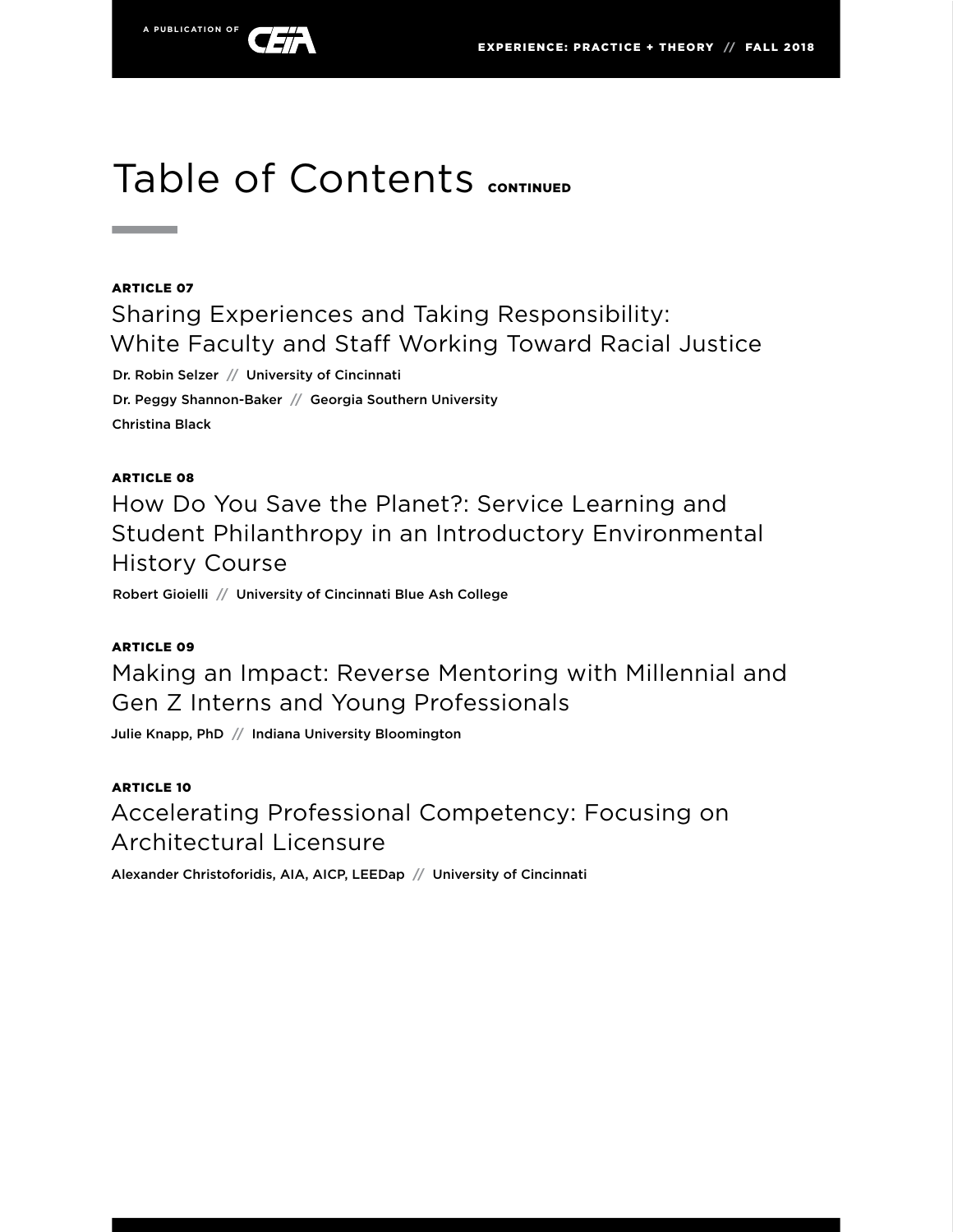

# Table of Contents CONTINUED

#### ARTICLE 07

**Contract Contract** 

Sharing Experiences and Taking Responsibility: White Faculty and Staff Working Toward Racial Justice

Dr. Robin Selzer **//** University of Cincinnati

Dr. Peggy Shannon-Baker **//** Georgia Southern University Christina Black

#### ARTICLE 08

How Do You Save the Planet?: Service Learning and Student Philanthropy in an Introductory Environmental History Course

Robert Gioielli **//** University of Cincinnati Blue Ash College

#### ARTICLE 09

Making an Impact: Reverse Mentoring with Millennial and Gen Z Interns and Young Professionals

Julie Knapp, PhD **//** Indiana University Bloomington

ARTICLE 10 Accelerating Professional Competency: Focusing on Architectural Licensure

Alexander Christoforidis, AIA, AICP, LEEDap **//** University of Cincinnati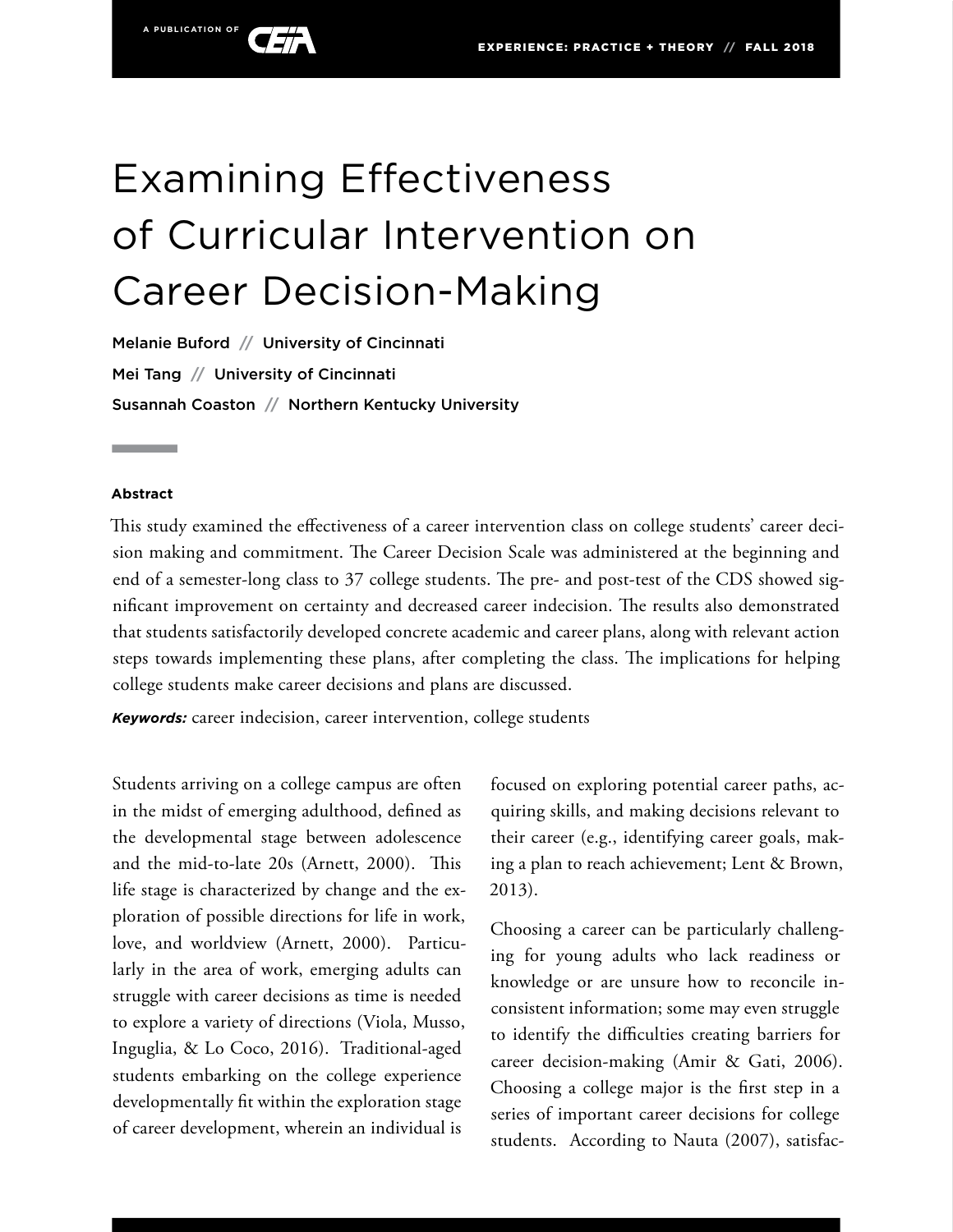

# Examining Effectiveness of Curricular Intervention on Career Decision-Making

Melanie Buford **//** University of Cincinnati Mei Tang **//** University of Cincinnati Susannah Coaston **//** Northern Kentucky University

#### **Abstract**

This study examined the effectiveness of a career intervention class on college students' career decision making and commitment. The Career Decision Scale was administered at the beginning and end of a semester-long class to 37 college students. The pre- and post-test of the CDS showed significant improvement on certainty and decreased career indecision. The results also demonstrated that students satisfactorily developed concrete academic and career plans, along with relevant action steps towards implementing these plans, after completing the class. The implications for helping college students make career decisions and plans are discussed.

*Keywords:* career indecision, career intervention, college students

Students arriving on a college campus are often in the midst of emerging adulthood, defined as the developmental stage between adolescence and the mid-to-late 20s (Arnett, 2000). This life stage is characterized by change and the exploration of possible directions for life in work, love, and worldview (Arnett, 2000). Particularly in the area of work, emerging adults can struggle with career decisions as time is needed to explore a variety of directions (Viola, Musso, Inguglia, & Lo Coco, 2016). Traditional-aged students embarking on the college experience developmentally fit within the exploration stage of career development, wherein an individual is

focused on exploring potential career paths, acquiring skills, and making decisions relevant to their career (e.g., identifying career goals, making a plan to reach achievement; Lent & Brown, 2013).

Choosing a career can be particularly challenging for young adults who lack readiness or knowledge or are unsure how to reconcile inconsistent information; some may even struggle to identify the difficulties creating barriers for career decision-making (Amir & Gati, 2006). Choosing a college major is the first step in a series of important career decisions for college students. According to Nauta (2007), satisfac-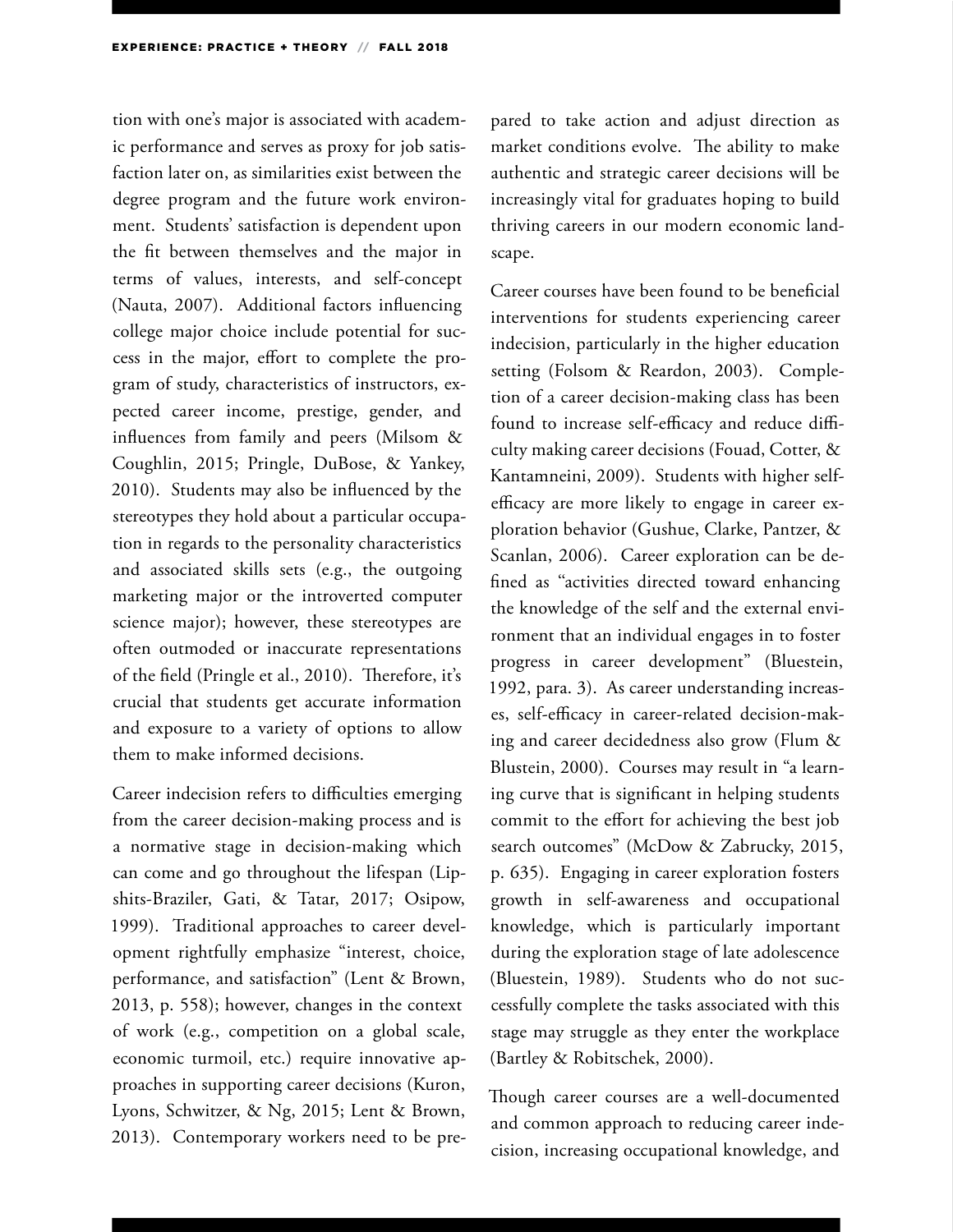tion with one's major is associated with academic performance and serves as proxy for job satisfaction later on, as similarities exist between the degree program and the future work environment. Students' satisfaction is dependent upon the fit between themselves and the major in terms of values, interests, and self-concept (Nauta, 2007). Additional factors influencing college major choice include potential for success in the major, effort to complete the program of study, characteristics of instructors, expected career income, prestige, gender, and influences from family and peers (Milsom & Coughlin, 2015; Pringle, DuBose, & Yankey, 2010). Students may also be influenced by the stereotypes they hold about a particular occupation in regards to the personality characteristics and associated skills sets (e.g., the outgoing marketing major or the introverted computer science major); however, these stereotypes are often outmoded or inaccurate representations of the field (Pringle et al., 2010). Therefore, it's crucial that students get accurate information and exposure to a variety of options to allow them to make informed decisions.

Career indecision refers to difficulties emerging from the career decision-making process and is a normative stage in decision-making which can come and go throughout the lifespan (Lipshits-Braziler, Gati, & Tatar, 2017; Osipow, 1999). Traditional approaches to career development rightfully emphasize "interest, choice, performance, and satisfaction" (Lent & Brown, 2013, p. 558); however, changes in the context of work (e.g., competition on a global scale, economic turmoil, etc.) require innovative approaches in supporting career decisions (Kuron, Lyons, Schwitzer, & Ng, 2015; Lent & Brown, 2013). Contemporary workers need to be pre-

pared to take action and adjust direction as market conditions evolve. The ability to make authentic and strategic career decisions will be increasingly vital for graduates hoping to build thriving careers in our modern economic landscape.

Career courses have been found to be beneficial interventions for students experiencing career indecision, particularly in the higher education setting (Folsom & Reardon, 2003). Completion of a career decision-making class has been found to increase self-efficacy and reduce difficulty making career decisions (Fouad, Cotter, & Kantamneini, 2009). Students with higher selfefficacy are more likely to engage in career exploration behavior (Gushue, Clarke, Pantzer, & Scanlan, 2006). Career exploration can be defined as ''activities directed toward enhancing the knowledge of the self and the external environment that an individual engages in to foster progress in career development" (Bluestein, 1992, para. 3). As career understanding increases, self-efficacy in career-related decision-making and career decidedness also grow (Flum & Blustein, 2000). Courses may result in "a learning curve that is significant in helping students commit to the effort for achieving the best job search outcomes" (McDow & Zabrucky, 2015, p. 635). Engaging in career exploration fosters growth in self-awareness and occupational knowledge, which is particularly important during the exploration stage of late adolescence (Bluestein, 1989). Students who do not successfully complete the tasks associated with this stage may struggle as they enter the workplace (Bartley & Robitschek, 2000).

Though career courses are a well-documented and common approach to reducing career indecision, increasing occupational knowledge, and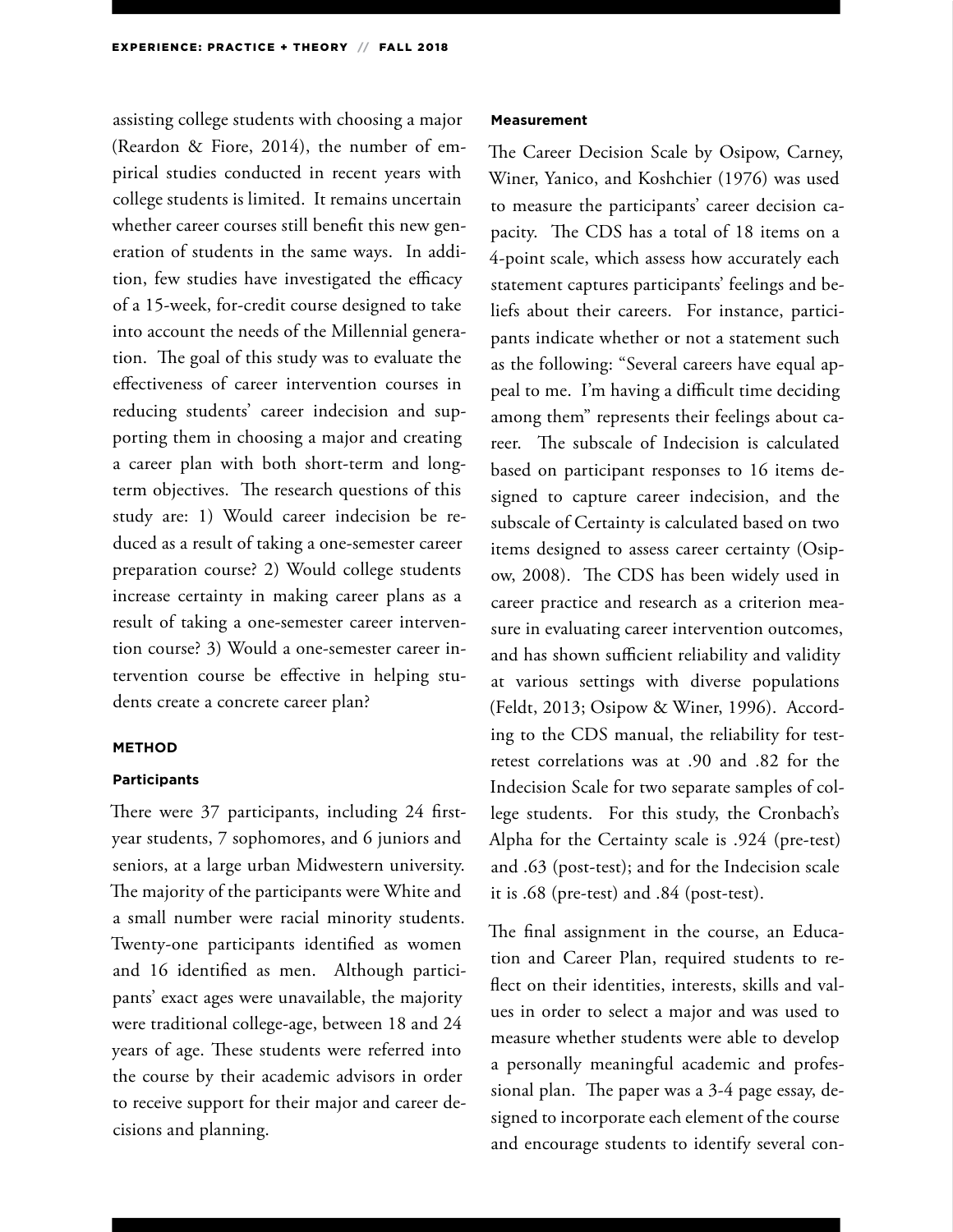assisting college students with choosing a major (Reardon & Fiore, 2014), the number of empirical studies conducted in recent years with college students is limited. It remains uncertain whether career courses still benefit this new generation of students in the same ways. In addition, few studies have investigated the efficacy of a 15-week, for-credit course designed to take into account the needs of the Millennial generation. The goal of this study was to evaluate the effectiveness of career intervention courses in reducing students' career indecision and supporting them in choosing a major and creating a career plan with both short-term and longterm objectives. The research questions of this study are: 1) Would career indecision be reduced as a result of taking a one-semester career preparation course? 2) Would college students increase certainty in making career plans as a result of taking a one-semester career intervention course? 3) Would a one-semester career intervention course be effective in helping students create a concrete career plan?

#### **METHOD**

#### **Participants**

There were 37 participants, including 24 firstyear students, 7 sophomores, and 6 juniors and seniors, at a large urban Midwestern university. The majority of the participants were White and a small number were racial minority students. Twenty-one participants identified as women and 16 identified as men. Although participants' exact ages were unavailable, the majority were traditional college-age, between 18 and 24 years of age. These students were referred into the course by their academic advisors in order to receive support for their major and career decisions and planning.

#### **Measurement**

The Career Decision Scale by Osipow, Carney, Winer, Yanico, and Koshchier (1976) was used to measure the participants' career decision capacity. The CDS has a total of 18 items on a 4-point scale, which assess how accurately each statement captures participants' feelings and beliefs about their careers. For instance, participants indicate whether or not a statement such as the following: "Several careers have equal appeal to me. I'm having a difficult time deciding among them" represents their feelings about career. The subscale of Indecision is calculated based on participant responses to 16 items designed to capture career indecision, and the subscale of Certainty is calculated based on two items designed to assess career certainty (Osipow, 2008). The CDS has been widely used in career practice and research as a criterion measure in evaluating career intervention outcomes, and has shown sufficient reliability and validity at various settings with diverse populations (Feldt, 2013; Osipow & Winer, 1996). According to the CDS manual, the reliability for testretest correlations was at .90 and .82 for the Indecision Scale for two separate samples of college students. For this study, the Cronbach's Alpha for the Certainty scale is .924 (pre-test) and .63 (post-test); and for the Indecision scale it is .68 (pre-test) and .84 (post-test).

The final assignment in the course, an Education and Career Plan, required students to reflect on their identities, interests, skills and values in order to select a major and was used to measure whether students were able to develop a personally meaningful academic and professional plan. The paper was a 3-4 page essay, designed to incorporate each element of the course and encourage students to identify several con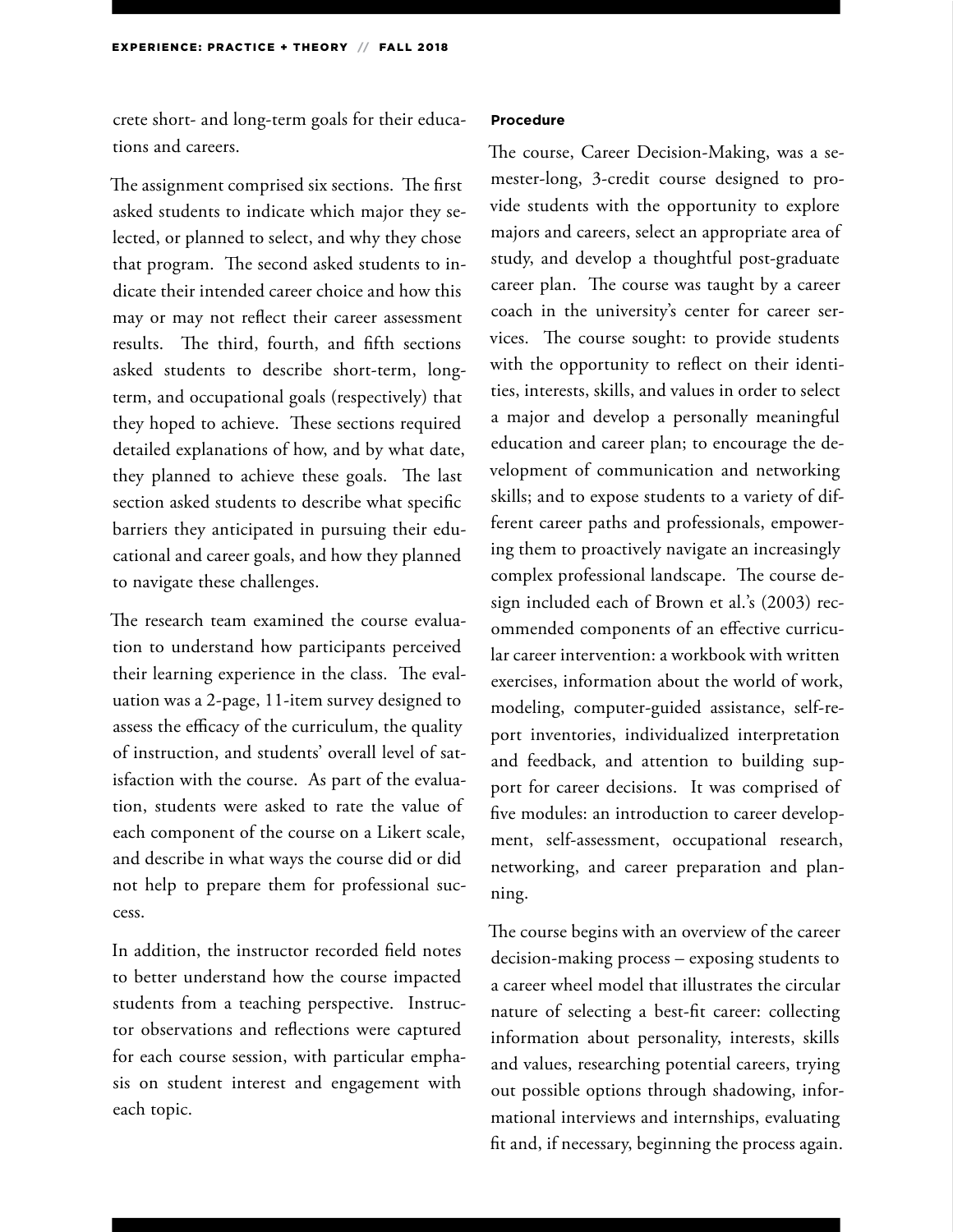crete short- and long-term goals for their educations and careers.

The assignment comprised six sections. The first asked students to indicate which major they selected, or planned to select, and why they chose that program. The second asked students to indicate their intended career choice and how this may or may not reflect their career assessment results. The third, fourth, and fifth sections asked students to describe short-term, longterm, and occupational goals (respectively) that they hoped to achieve. These sections required detailed explanations of how, and by what date, they planned to achieve these goals. The last section asked students to describe what specific barriers they anticipated in pursuing their educational and career goals, and how they planned to navigate these challenges.

The research team examined the course evaluation to understand how participants perceived their learning experience in the class. The evaluation was a 2-page, 11-item survey designed to assess the efficacy of the curriculum, the quality of instruction, and students' overall level of satisfaction with the course. As part of the evaluation, students were asked to rate the value of each component of the course on a Likert scale, and describe in what ways the course did or did not help to prepare them for professional success.

In addition, the instructor recorded field notes to better understand how the course impacted students from a teaching perspective. Instructor observations and reflections were captured for each course session, with particular emphasis on student interest and engagement with each topic.

#### **Procedure**

The course, Career Decision-Making, was a semester-long, 3-credit course designed to provide students with the opportunity to explore majors and careers, select an appropriate area of study, and develop a thoughtful post-graduate career plan. The course was taught by a career coach in the university's center for career services. The course sought: to provide students with the opportunity to reflect on their identities, interests, skills, and values in order to select a major and develop a personally meaningful education and career plan; to encourage the development of communication and networking skills; and to expose students to a variety of different career paths and professionals, empowering them to proactively navigate an increasingly complex professional landscape. The course design included each of Brown et al.'s (2003) recommended components of an effective curricular career intervention: a workbook with written exercises, information about the world of work, modeling, computer-guided assistance, self-report inventories, individualized interpretation and feedback, and attention to building support for career decisions. It was comprised of five modules: an introduction to career development, self-assessment, occupational research, networking, and career preparation and planning.

The course begins with an overview of the career decision-making process – exposing students to a career wheel model that illustrates the circular nature of selecting a best-fit career: collecting information about personality, interests, skills and values, researching potential careers, trying out possible options through shadowing, informational interviews and internships, evaluating fit and, if necessary, beginning the process again.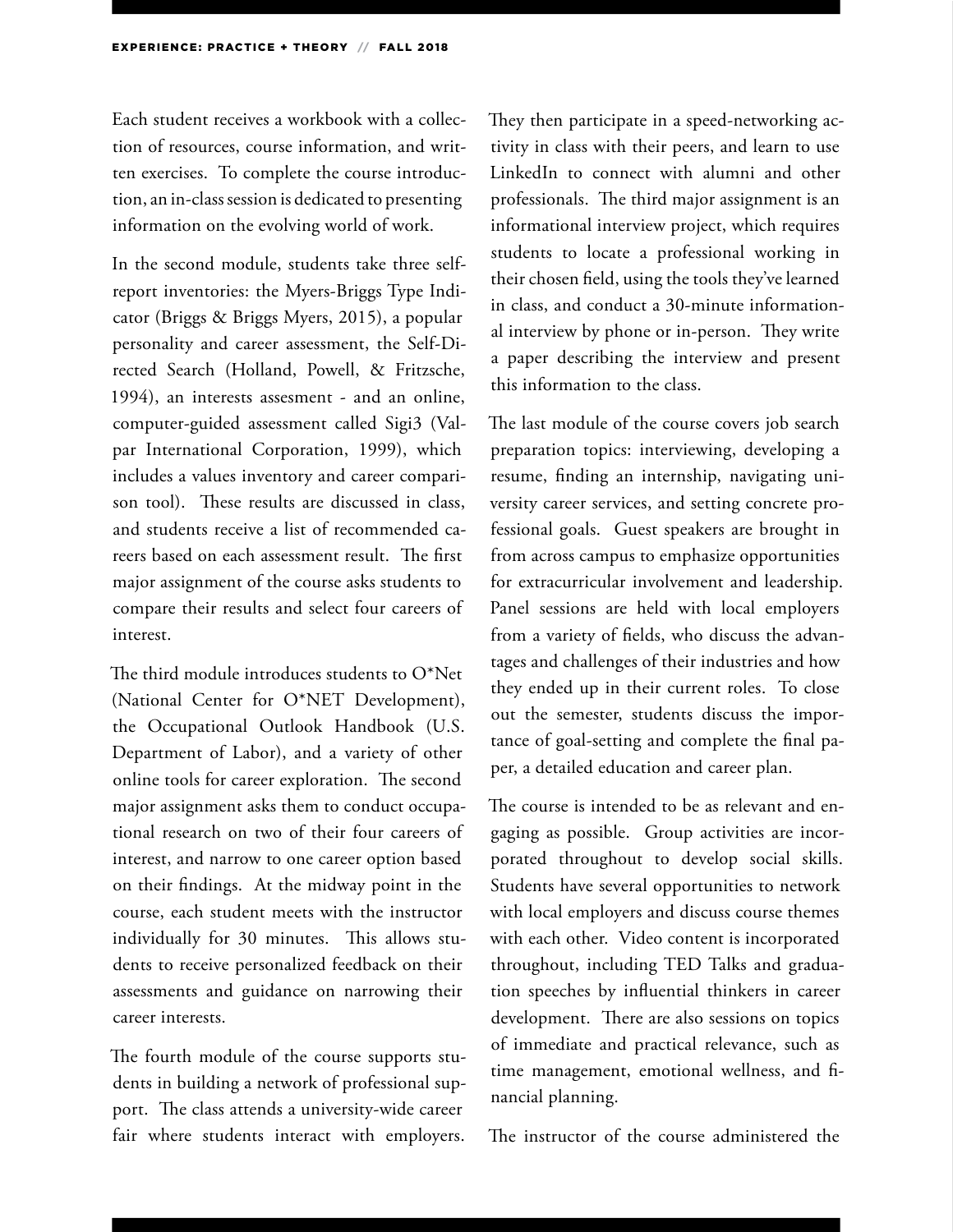Each student receives a workbook with a collection of resources, course information, and written exercises. To complete the course introduction, an in-class session is dedicated to presenting information on the evolving world of work.

In the second module, students take three selfreport inventories: the Myers-Briggs Type Indicator (Briggs & Briggs Myers, 2015), a popular personality and career assessment, the Self-Directed Search (Holland, Powell, & Fritzsche, 1994), an interests assesment - and an online, computer-guided assessment called Sigi3 (Valpar International Corporation, 1999), which includes a values inventory and career comparison tool). These results are discussed in class, and students receive a list of recommended careers based on each assessment result. The first major assignment of the course asks students to compare their results and select four careers of interest.

The third module introduces students to O\*Net (National Center for O\*NET Development), the Occupational Outlook Handbook (U.S. Department of Labor), and a variety of other online tools for career exploration. The second major assignment asks them to conduct occupational research on two of their four careers of interest, and narrow to one career option based on their findings. At the midway point in the course, each student meets with the instructor individually for 30 minutes. This allows students to receive personalized feedback on their assessments and guidance on narrowing their career interests.

The fourth module of the course supports students in building a network of professional support. The class attends a university-wide career fair where students interact with employers. They then participate in a speed-networking activity in class with their peers, and learn to use LinkedIn to connect with alumni and other professionals. The third major assignment is an informational interview project, which requires students to locate a professional working in their chosen field, using the tools they've learned in class, and conduct a 30-minute informational interview by phone or in-person. They write a paper describing the interview and present this information to the class.

The last module of the course covers job search preparation topics: interviewing, developing a resume, finding an internship, navigating university career services, and setting concrete professional goals. Guest speakers are brought in from across campus to emphasize opportunities for extracurricular involvement and leadership. Panel sessions are held with local employers from a variety of fields, who discuss the advantages and challenges of their industries and how they ended up in their current roles. To close out the semester, students discuss the importance of goal-setting and complete the final paper, a detailed education and career plan.

The course is intended to be as relevant and engaging as possible. Group activities are incorporated throughout to develop social skills. Students have several opportunities to network with local employers and discuss course themes with each other. Video content is incorporated throughout, including TED Talks and graduation speeches by influential thinkers in career development. There are also sessions on topics of immediate and practical relevance, such as time management, emotional wellness, and financial planning.

The instructor of the course administered the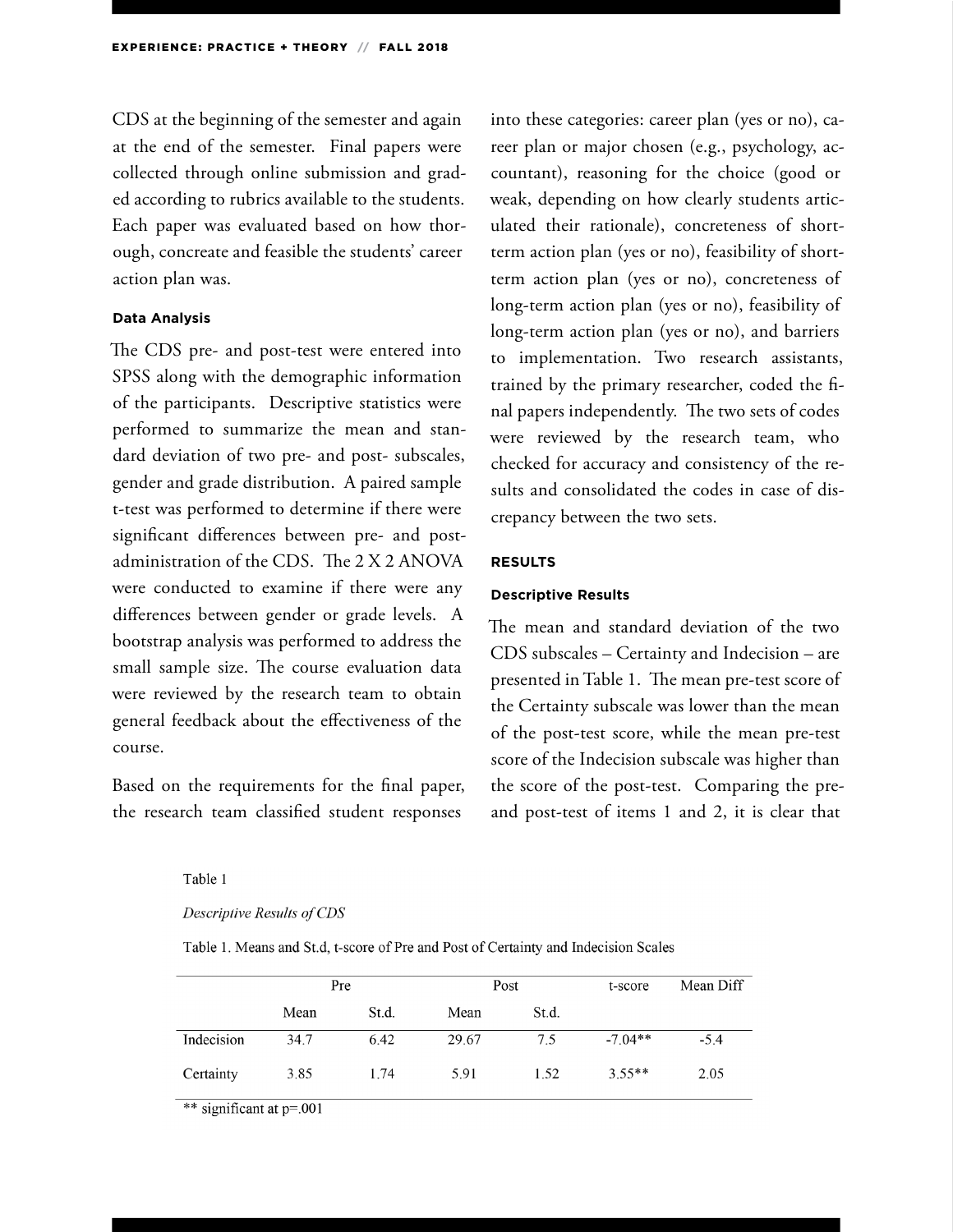CDS at the beginning of the semester and again at the end of the semester. Final papers were collected through online submission and graded according to rubrics available to the students. Each paper was evaluated based on how thorough, concreate and feasible the students' career action plan was.

#### **Data Analysis**

The CDS pre- and post-test were entered into SPSS along with the demographic information of the participants. Descriptive statistics were performed to summarize the mean and standard deviation of two pre- and post- subscales, gender and grade distribution. A paired sample t-test was performed to determine if there were significant differences between pre- and postadministration of the CDS. The 2 X 2 ANOVA were conducted to examine if there were any differences between gender or grade levels. A bootstrap analysis was performed to address the small sample size. The course evaluation data were reviewed by the research team to obtain general feedback about the effectiveness of the course.

Based on the requirements for the final paper, the research team classified student responses

into these categories: career plan (yes or no), career plan or major chosen (e.g., psychology, accountant), reasoning for the choice (good or weak, depending on how clearly students articulated their rationale), concreteness of shortterm action plan (yes or no), feasibility of shortterm action plan (yes or no), concreteness of long-term action plan (yes or no), feasibility of long-term action plan (yes or no), and barriers to implementation. Two research assistants, trained by the primary researcher, coded the final papers independently. The two sets of codes were reviewed by the research team, who checked for accuracy and consistency of the results and consolidated the codes in case of discrepancy between the two sets.

#### **RESULTS**

#### **Descriptive Results**

The mean and standard deviation of the two CDS subscales – Certainty and Indecision – are presented in Table 1. The mean pre-test score of the Certainty subscale was lower than the mean of the post-test score, while the mean pre-test score of the Indecision subscale was higher than the score of the post-test. Comparing the preand post-test of items 1 and 2, it is clear that

Table 1

#### Descriptive Results of CDS

Table 1. Means and St.d, t-score of Pre and Post of Certainty and Indecision Scales

|            | Pre  |       | Post  |       | t-score   | Mean Diff |
|------------|------|-------|-------|-------|-----------|-----------|
|            | Mean | St.d. | Mean  | St.d. |           |           |
| Indecision | 34.7 | 6.42  | 29.67 | 7.5   | $-7.04**$ | $-5.4$    |
| Certainty  | 3.85 | 1.74  | 5.91  | 1.52  | $3.55**$  | 2.05      |

\*\* significant at p=.001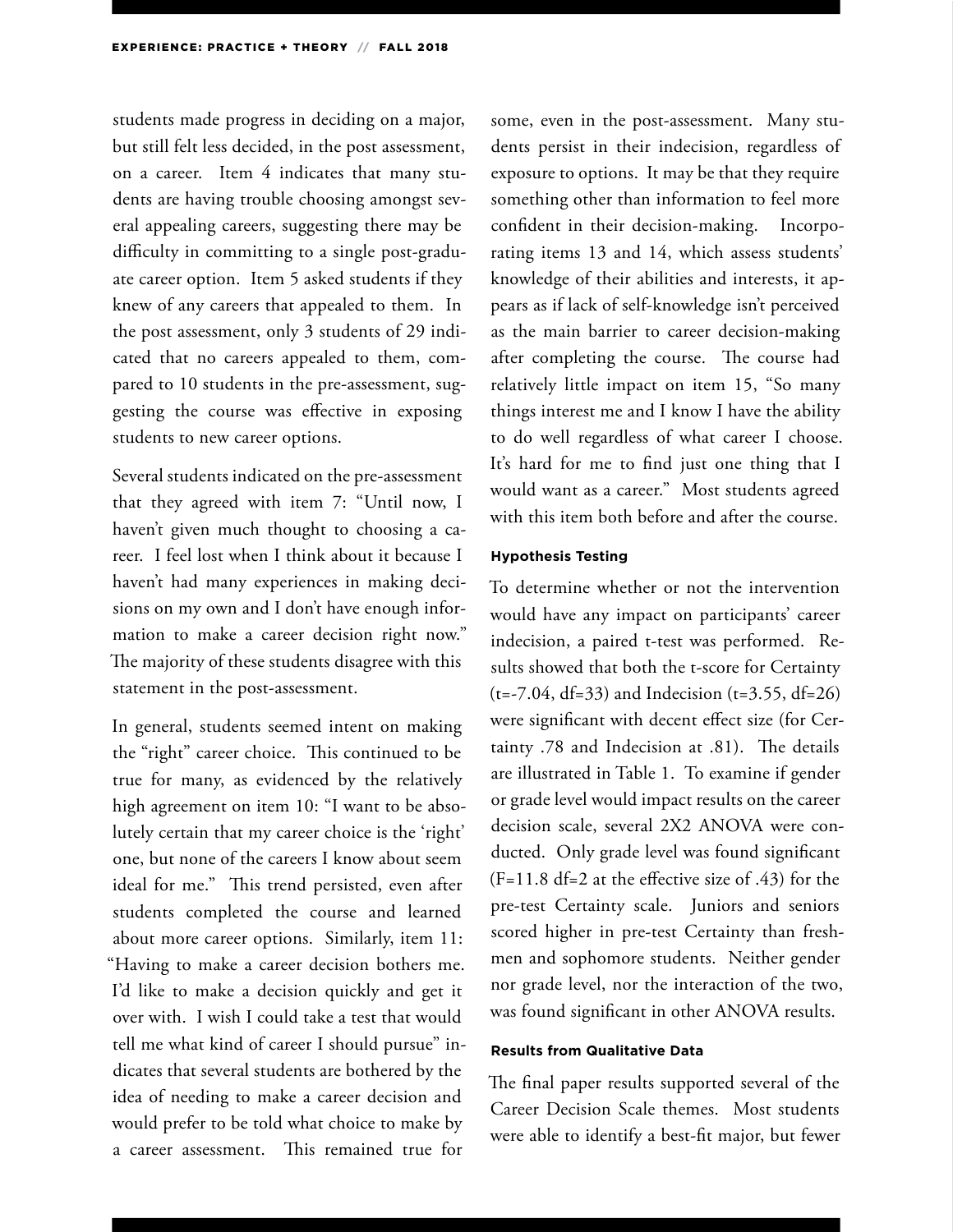students made progress in deciding on a major, but still felt less decided, in the post assessment, on a career. Item 4 indicates that many students are having trouble choosing amongst several appealing careers, suggesting there may be difficulty in committing to a single post-graduate career option. Item 5 asked students if they knew of any careers that appealed to them. In the post assessment, only 3 students of 29 indicated that no careers appealed to them, compared to 10 students in the pre-assessment, suggesting the course was effective in exposing students to new career options.

Several students indicated on the pre-assessment that they agreed with item 7: "Until now, I haven't given much thought to choosing a career. I feel lost when I think about it because I haven't had many experiences in making decisions on my own and I don't have enough information to make a career decision right now." The majority of these students disagree with this statement in the post-assessment.

In general, students seemed intent on making the "right" career choice. This continued to be true for many, as evidenced by the relatively high agreement on item 10: "I want to be absolutely certain that my career choice is the 'right' one, but none of the careers I know about seem ideal for me." This trend persisted, even after students completed the course and learned about more career options. Similarly, item 11: "Having to make a career decision bothers me. I'd like to make a decision quickly and get it over with. I wish I could take a test that would tell me what kind of career I should pursue" indicates that several students are bothered by the idea of needing to make a career decision and would prefer to be told what choice to make by a career assessment. This remained true for

some, even in the post-assessment. Many students persist in their indecision, regardless of exposure to options. It may be that they require something other than information to feel more confident in their decision-making. Incorporating items 13 and 14, which assess students' knowledge of their abilities and interests, it appears as if lack of self-knowledge isn't perceived as the main barrier to career decision-making after completing the course. The course had relatively little impact on item 15, "So many things interest me and I know I have the ability to do well regardless of what career I choose. It's hard for me to find just one thing that I would want as a career." Most students agreed with this item both before and after the course.

#### **Hypothesis Testing**

To determine whether or not the intervention would have any impact on participants' career indecision, a paired t-test was performed. Results showed that both the t-score for Certainty  $(t=-7.04, df=33)$  and Indecision  $(t=3.55, df=26)$ were significant with decent effect size (for Certainty .78 and Indecision at .81). The details are illustrated in Table 1. To examine if gender or grade level would impact results on the career decision scale, several 2X2 ANOVA were conducted. Only grade level was found significant  $(F=11.8 df=2 at the effective size of .43) for the$ pre-test Certainty scale. Juniors and seniors scored higher in pre-test Certainty than freshmen and sophomore students. Neither gender nor grade level, nor the interaction of the two, was found significant in other ANOVA results.

#### **Results from Qualitative Data**

The final paper results supported several of the Career Decision Scale themes. Most students were able to identify a best-fit major, but fewer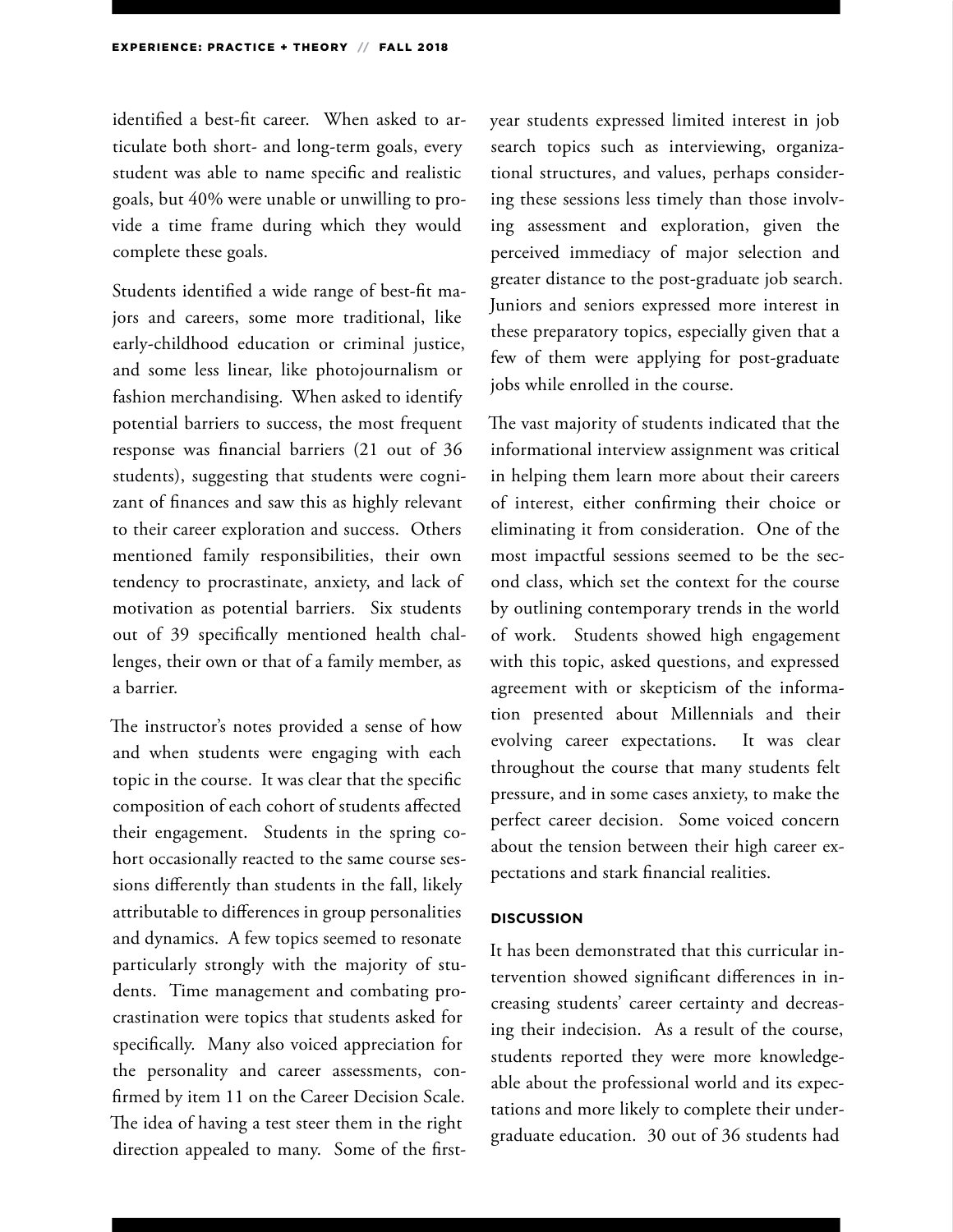identified a best-fit career. When asked to articulate both short- and long-term goals, every student was able to name specific and realistic goals, but 40% were unable or unwilling to provide a time frame during which they would complete these goals.

Students identified a wide range of best-fit majors and careers, some more traditional, like early-childhood education or criminal justice, and some less linear, like photojournalism or fashion merchandising. When asked to identify potential barriers to success, the most frequent response was financial barriers (21 out of 36 students), suggesting that students were cognizant of finances and saw this as highly relevant to their career exploration and success. Others mentioned family responsibilities, their own tendency to procrastinate, anxiety, and lack of motivation as potential barriers. Six students out of 39 specifically mentioned health challenges, their own or that of a family member, as a barrier.

The instructor's notes provided a sense of how and when students were engaging with each topic in the course. It was clear that the specific composition of each cohort of students affected their engagement. Students in the spring cohort occasionally reacted to the same course sessions differently than students in the fall, likely attributable to differences in group personalities and dynamics. A few topics seemed to resonate particularly strongly with the majority of students. Time management and combating procrastination were topics that students asked for specifically. Many also voiced appreciation for the personality and career assessments, confirmed by item 11 on the Career Decision Scale. The idea of having a test steer them in the right direction appealed to many. Some of the firstyear students expressed limited interest in job search topics such as interviewing, organizational structures, and values, perhaps considering these sessions less timely than those involving assessment and exploration, given the perceived immediacy of major selection and greater distance to the post-graduate job search. Juniors and seniors expressed more interest in these preparatory topics, especially given that a few of them were applying for post-graduate jobs while enrolled in the course.

The vast majority of students indicated that the informational interview assignment was critical in helping them learn more about their careers of interest, either confirming their choice or eliminating it from consideration. One of the most impactful sessions seemed to be the second class, which set the context for the course by outlining contemporary trends in the world of work. Students showed high engagement with this topic, asked questions, and expressed agreement with or skepticism of the information presented about Millennials and their evolving career expectations. It was clear throughout the course that many students felt pressure, and in some cases anxiety, to make the perfect career decision. Some voiced concern about the tension between their high career expectations and stark financial realities.

#### **DISCUSSION**

It has been demonstrated that this curricular intervention showed significant differences in increasing students' career certainty and decreasing their indecision. As a result of the course, students reported they were more knowledgeable about the professional world and its expectations and more likely to complete their undergraduate education. 30 out of 36 students had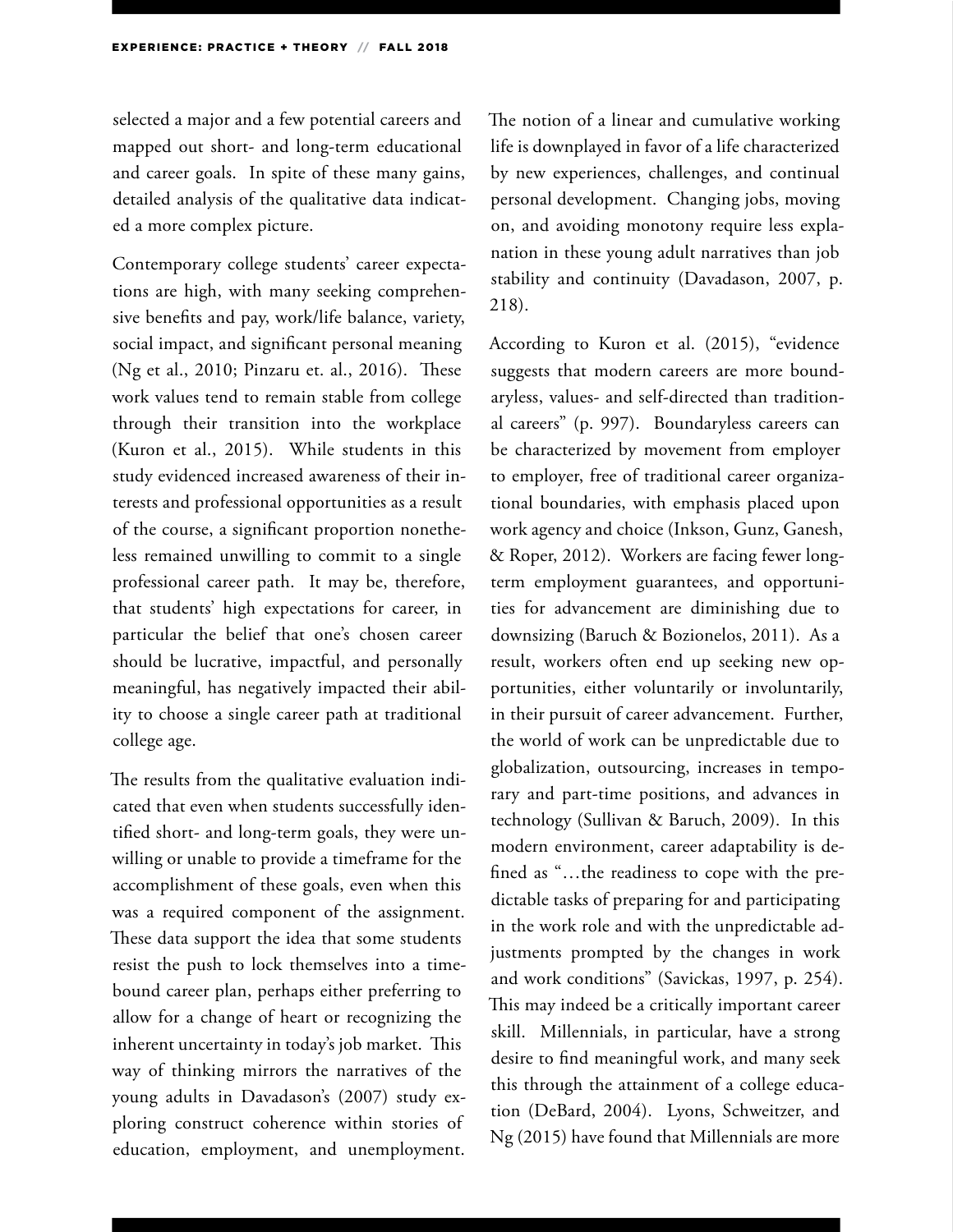selected a major and a few potential careers and mapped out short- and long-term educational and career goals. In spite of these many gains, detailed analysis of the qualitative data indicated a more complex picture.

Contemporary college students' career expectations are high, with many seeking comprehensive benefits and pay, work/life balance, variety, social impact, and significant personal meaning (Ng et al., 2010; Pinzaru et. al., 2016). These work values tend to remain stable from college through their transition into the workplace (Kuron et al., 2015). While students in this study evidenced increased awareness of their interests and professional opportunities as a result of the course, a significant proportion nonetheless remained unwilling to commit to a single professional career path. It may be, therefore, that students' high expectations for career, in particular the belief that one's chosen career should be lucrative, impactful, and personally meaningful, has negatively impacted their ability to choose a single career path at traditional college age.

The results from the qualitative evaluation indicated that even when students successfully identified short- and long-term goals, they were unwilling or unable to provide a timeframe for the accomplishment of these goals, even when this was a required component of the assignment. These data support the idea that some students resist the push to lock themselves into a timebound career plan, perhaps either preferring to allow for a change of heart or recognizing the inherent uncertainty in today's job market. This way of thinking mirrors the narratives of the young adults in Davadason's (2007) study exploring construct coherence within stories of education, employment, and unemployment.

The notion of a linear and cumulative working life is downplayed in favor of a life characterized by new experiences, challenges, and continual personal development. Changing jobs, moving on, and avoiding monotony require less explanation in these young adult narratives than job stability and continuity (Davadason, 2007, p. 218).

According to Kuron et al. (2015), "evidence suggests that modern careers are more boundaryless, values- and self-directed than traditional careers" (p. 997). Boundaryless careers can be characterized by movement from employer to employer, free of traditional career organizational boundaries, with emphasis placed upon work agency and choice (Inkson, Gunz, Ganesh, & Roper, 2012). Workers are facing fewer longterm employment guarantees, and opportunities for advancement are diminishing due to downsizing (Baruch & Bozionelos, 2011). As a result, workers often end up seeking new opportunities, either voluntarily or involuntarily, in their pursuit of career advancement. Further, the world of work can be unpredictable due to globalization, outsourcing, increases in temporary and part-time positions, and advances in technology (Sullivan & Baruch, 2009). In this modern environment, career adaptability is defined as "…the readiness to cope with the predictable tasks of preparing for and participating in the work role and with the unpredictable adjustments prompted by the changes in work and work conditions" (Savickas, 1997, p. 254). This may indeed be a critically important career skill. Millennials, in particular, have a strong desire to find meaningful work, and many seek this through the attainment of a college education (DeBard, 2004). Lyons, Schweitzer, and Ng (2015) have found that Millennials are more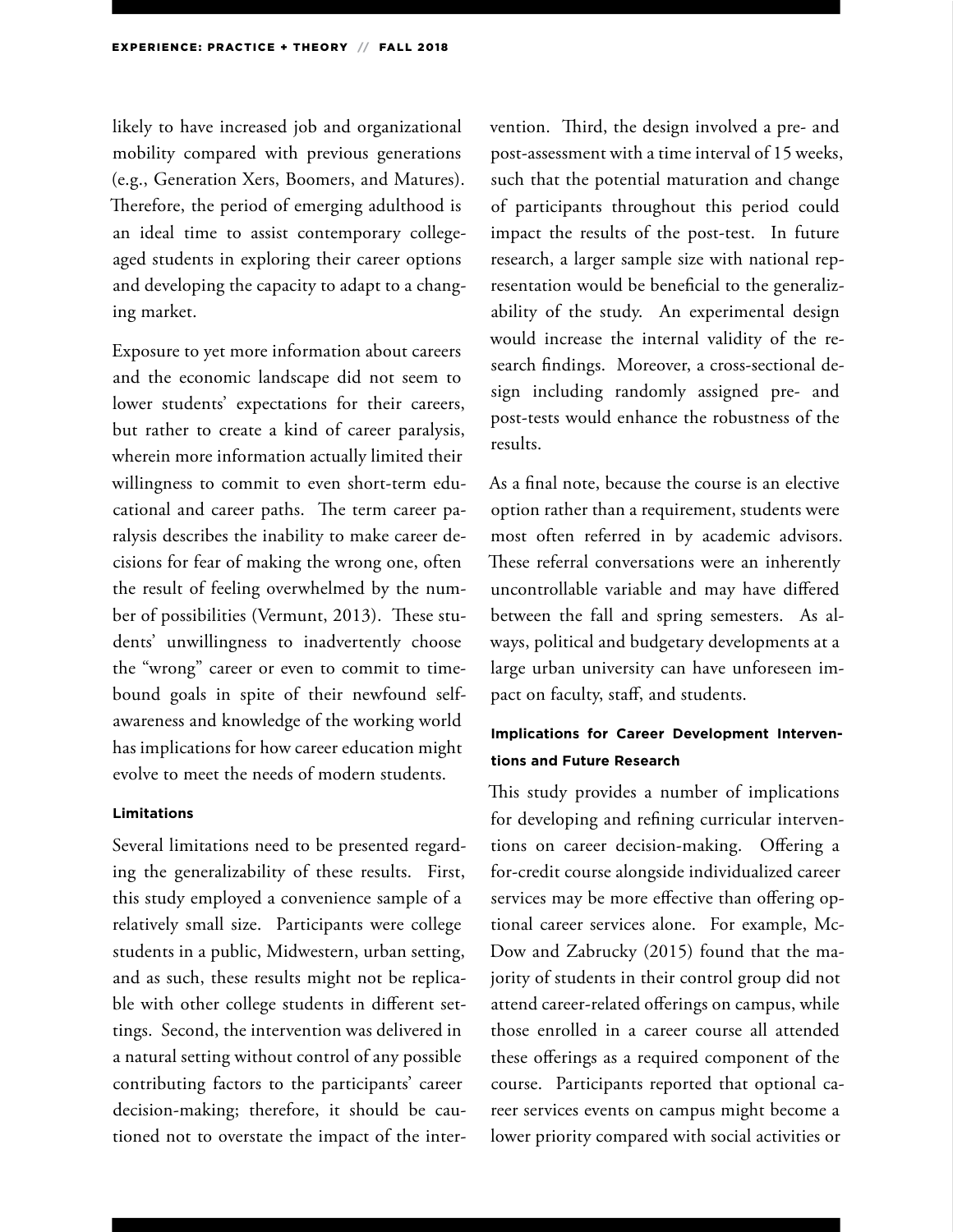likely to have increased job and organizational mobility compared with previous generations (e.g., Generation Xers, Boomers, and Matures). Therefore, the period of emerging adulthood is an ideal time to assist contemporary collegeaged students in exploring their career options and developing the capacity to adapt to a changing market.

Exposure to yet more information about careers and the economic landscape did not seem to lower students' expectations for their careers, but rather to create a kind of career paralysis, wherein more information actually limited their willingness to commit to even short-term educational and career paths. The term career paralysis describes the inability to make career decisions for fear of making the wrong one, often the result of feeling overwhelmed by the number of possibilities (Vermunt, 2013). These students' unwillingness to inadvertently choose the "wrong" career or even to commit to timebound goals in spite of their newfound selfawareness and knowledge of the working world has implications for how career education might evolve to meet the needs of modern students.

#### **Limitations**

Several limitations need to be presented regarding the generalizability of these results. First, this study employed a convenience sample of a relatively small size. Participants were college students in a public, Midwestern, urban setting, and as such, these results might not be replicable with other college students in different settings. Second, the intervention was delivered in a natural setting without control of any possible contributing factors to the participants' career decision-making; therefore, it should be cautioned not to overstate the impact of the intervention. Third, the design involved a pre- and post-assessment with a time interval of 15 weeks, such that the potential maturation and change of participants throughout this period could impact the results of the post-test. In future research, a larger sample size with national representation would be beneficial to the generalizability of the study. An experimental design would increase the internal validity of the research findings. Moreover, a cross-sectional design including randomly assigned pre- and post-tests would enhance the robustness of the results.

As a final note, because the course is an elective option rather than a requirement, students were most often referred in by academic advisors. These referral conversations were an inherently uncontrollable variable and may have differed between the fall and spring semesters. As always, political and budgetary developments at a large urban university can have unforeseen impact on faculty, staff, and students.

### **Implications for Career Development Interventions and Future Research**

This study provides a number of implications for developing and refining curricular interventions on career decision-making. Offering a for-credit course alongside individualized career services may be more effective than offering optional career services alone. For example, Mc-Dow and Zabrucky (2015) found that the majority of students in their control group did not attend career-related offerings on campus, while those enrolled in a career course all attended these offerings as a required component of the course. Participants reported that optional career services events on campus might become a lower priority compared with social activities or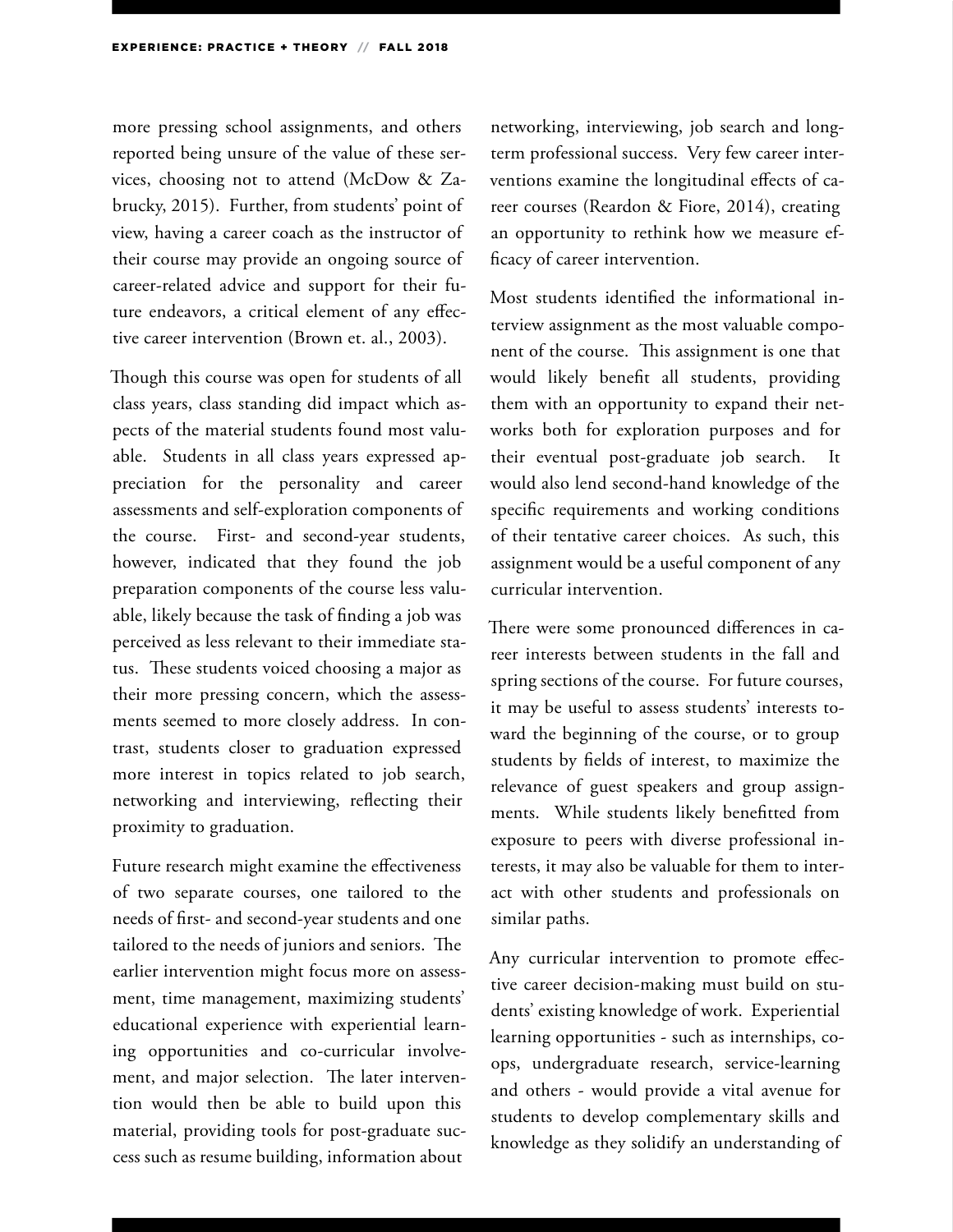more pressing school assignments, and others reported being unsure of the value of these services, choosing not to attend (McDow & Zabrucky, 2015). Further, from students' point of view, having a career coach as the instructor of their course may provide an ongoing source of career-related advice and support for their future endeavors, a critical element of any effective career intervention (Brown et. al., 2003).

Though this course was open for students of all class years, class standing did impact which aspects of the material students found most valuable. Students in all class years expressed appreciation for the personality and career assessments and self-exploration components of the course. First- and second-year students, however, indicated that they found the job preparation components of the course less valuable, likely because the task of finding a job was perceived as less relevant to their immediate status. These students voiced choosing a major as their more pressing concern, which the assessments seemed to more closely address. In contrast, students closer to graduation expressed more interest in topics related to job search, networking and interviewing, reflecting their proximity to graduation.

Future research might examine the effectiveness of two separate courses, one tailored to the needs of first- and second-year students and one tailored to the needs of juniors and seniors. The earlier intervention might focus more on assessment, time management, maximizing students' educational experience with experiential learning opportunities and co-curricular involvement, and major selection. The later intervention would then be able to build upon this material, providing tools for post-graduate success such as resume building, information about

networking, interviewing, job search and longterm professional success. Very few career interventions examine the longitudinal effects of career courses (Reardon & Fiore, 2014), creating an opportunity to rethink how we measure efficacy of career intervention.

Most students identified the informational interview assignment as the most valuable component of the course. This assignment is one that would likely benefit all students, providing them with an opportunity to expand their networks both for exploration purposes and for their eventual post-graduate job search. It would also lend second-hand knowledge of the specific requirements and working conditions of their tentative career choices. As such, this assignment would be a useful component of any curricular intervention.

There were some pronounced differences in career interests between students in the fall and spring sections of the course. For future courses, it may be useful to assess students' interests toward the beginning of the course, or to group students by fields of interest, to maximize the relevance of guest speakers and group assignments. While students likely benefitted from exposure to peers with diverse professional interests, it may also be valuable for them to interact with other students and professionals on similar paths.

Any curricular intervention to promote effective career decision-making must build on students' existing knowledge of work. Experiential learning opportunities - such as internships, coops, undergraduate research, service-learning and others - would provide a vital avenue for students to develop complementary skills and knowledge as they solidify an understanding of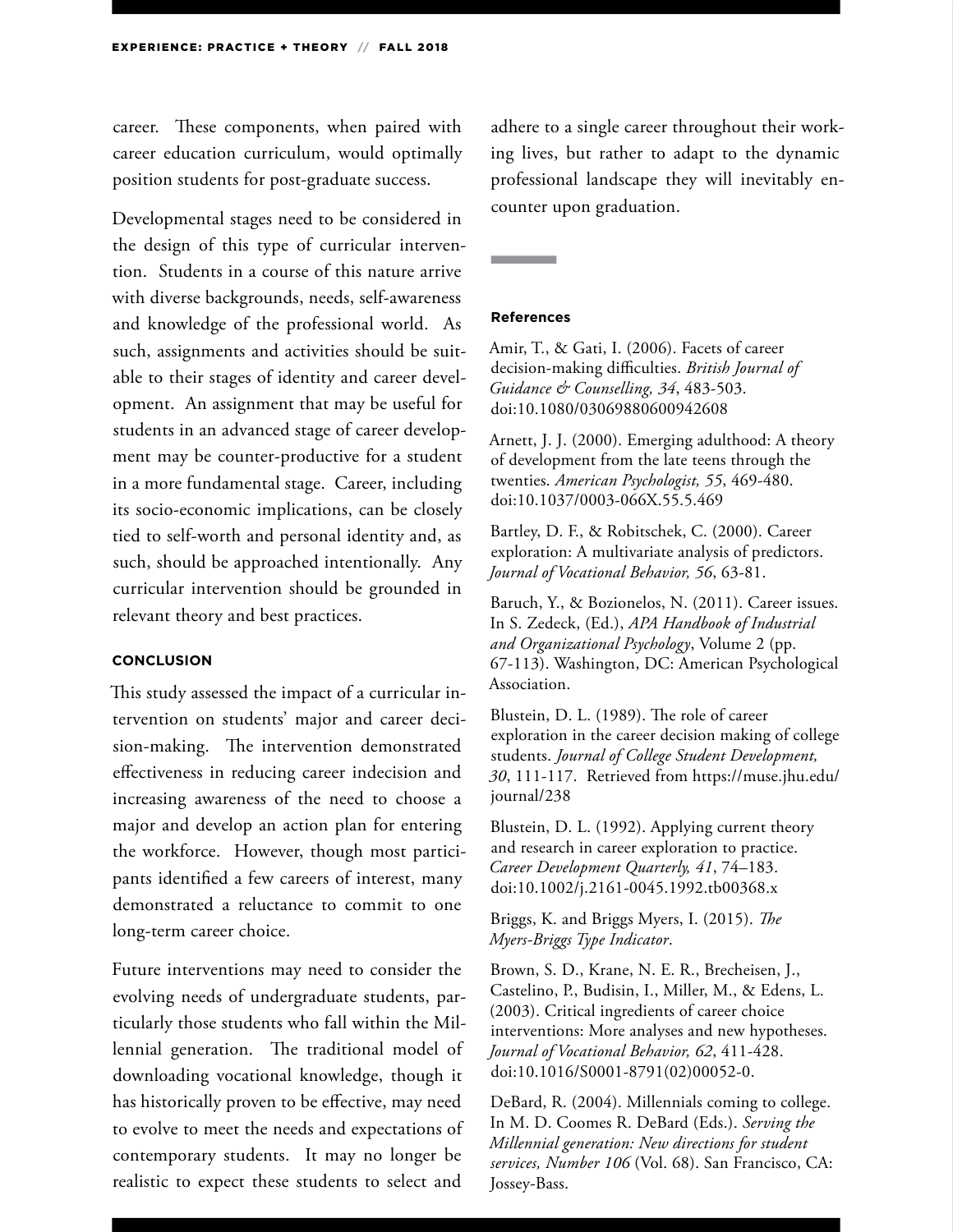career. These components, when paired with career education curriculum, would optimally position students for post-graduate success.

Developmental stages need to be considered in the design of this type of curricular intervention. Students in a course of this nature arrive with diverse backgrounds, needs, self-awareness and knowledge of the professional world. As such, assignments and activities should be suitable to their stages of identity and career development. An assignment that may be useful for students in an advanced stage of career development may be counter-productive for a student in a more fundamental stage. Career, including its socio-economic implications, can be closely tied to self-worth and personal identity and, as such, should be approached intentionally. Any curricular intervention should be grounded in relevant theory and best practices.

#### **CONCLUSION**

This study assessed the impact of a curricular intervention on students' major and career decision-making. The intervention demonstrated effectiveness in reducing career indecision and increasing awareness of the need to choose a major and develop an action plan for entering the workforce. However, though most participants identified a few careers of interest, many demonstrated a reluctance to commit to one long-term career choice.

Future interventions may need to consider the evolving needs of undergraduate students, particularly those students who fall within the Millennial generation. The traditional model of downloading vocational knowledge, though it has historically proven to be effective, may need to evolve to meet the needs and expectations of contemporary students. It may no longer be realistic to expect these students to select and

adhere to a single career throughout their working lives, but rather to adapt to the dynamic professional landscape they will inevitably encounter upon graduation.

#### **References**

Amir, T., & Gati, I. (2006). Facets of career decision-making difficulties. *British Journal of Guidance & Counselling, 34*, 483-503. doi:10.1080/03069880600942608

Arnett, J. J. (2000). Emerging adulthood: A theory of development from the late teens through the twenties. *American Psychologist, 55*, 469-480. doi:10.1037/0003-066X.55.5.469

Bartley, D. F., & Robitschek, C. (2000). Career exploration: A multivariate analysis of predictors. *Journal of Vocational Behavior, 56*, 63-81.

Baruch, Y., & Bozionelos, N. (2011). Career issues. In S. Zedeck, (Ed.), *APA Handbook of Industrial and Organizational Psychology*, Volume 2 (pp. 67‐113). Washington, DC: American Psychological Association.

Blustein, D. L. (1989). The role of career exploration in the career decision making of college students. *Journal of College Student Development, 30*, 111-117. Retrieved from https://muse.jhu.edu/ journal/238

Blustein, D. L. (1992). Applying current theory and research in career exploration to practice. *Career Development Quarterly, 41*, 74–183. doi:10.1002/j.2161-0045.1992.tb00368.x

Briggs, K. and Briggs Myers, I. (2015). *The Myers-Briggs Type Indicator*.

Brown, S. D., Krane, N. E. R., Brecheisen, J., Castelino, P., Budisin, I., Miller, M., & Edens, L. (2003). Critical ingredients of career choice interventions: More analyses and new hypotheses. *Journal of Vocational Behavior, 62*, 411-428. doi:10.1016/S0001-8791(02)00052-0.

DeBard, R. (2004). Millennials coming to college. In M. D. Coomes R. DeBard (Eds.). *Serving the Millennial generation: New directions for student services, Number 106* (Vol. 68). San Francisco, CA: Jossey-Bass.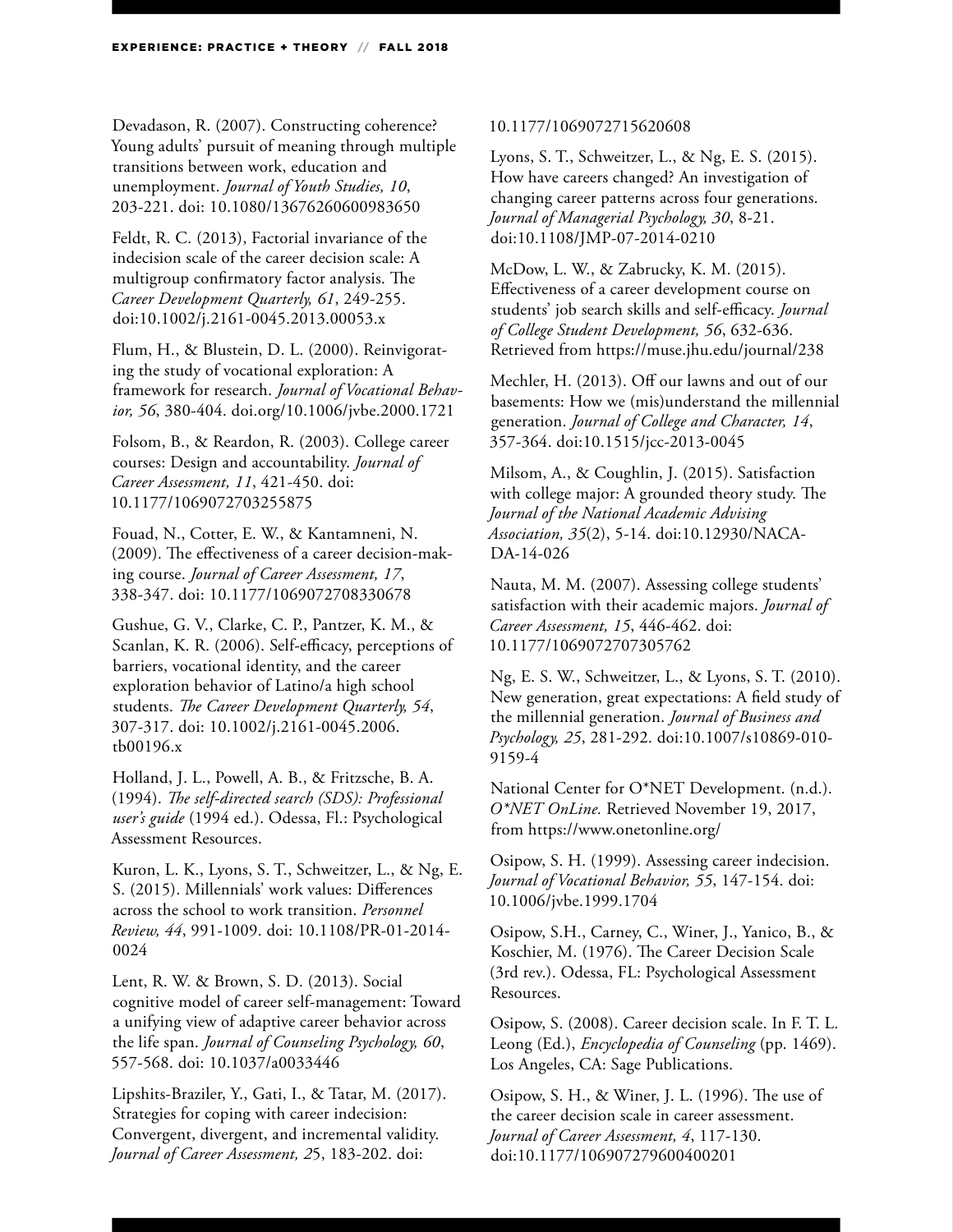Devadason, R. (2007). Constructing coherence? Young adults' pursuit of meaning through multiple transitions between work, education and unemployment. *Journal of Youth Studies, 10*, 203-221. doi: 10.1080/13676260600983650

Feldt, R. C. (2013), Factorial invariance of the indecision scale of the career decision scale: A multigroup confirmatory factor analysis. The *Career Development Quarterly, 61*, 249-255. doi:10.1002/j.2161-0045.2013.00053.x

Flum, H., & Blustein, D. L. (2000). Reinvigorating the study of vocational exploration: A framework for research. *Journal of Vocational Behavior, 56*, 380-404. doi.org/10.1006/jvbe.2000.1721

Folsom, B., & Reardon, R. (2003). College career courses: Design and accountability. *Journal of Career Assessment, 11*, 421-450. doi: 10.1177/1069072703255875

Fouad, N., Cotter, E. W., & Kantamneni, N. (2009). The effectiveness of a career decision-making course. *Journal of Career Assessment, 17*, 338-347. doi: 10.1177/1069072708330678

Gushue, G. V., Clarke, C. P., Pantzer, K. M., & Scanlan, K. R. (2006). Self‐efficacy, perceptions of barriers, vocational identity, and the career exploration behavior of Latino/a high school students. *The Career Development Quarterly, 54*, 307-317. doi: 10.1002/j.2161-0045.2006. tb00196.x

Holland, J. L., Powell, A. B., & Fritzsche, B. A. (1994). *The self-directed search (SDS): Professional user's guide* (1994 ed.). Odessa, Fl.: Psychological Assessment Resources.

Kuron, L. K., Lyons, S. T., Schweitzer, L., & Ng, E. S. (2015). Millennials' work values: Differences across the school to work transition. *Personnel Review, 44*, 991-1009. doi: 10.1108/PR-01-2014- 0024

Lent, R. W. & Brown, S. D. (2013). Social cognitive model of career self-management: Toward a unifying view of adaptive career behavior across the life span. *Journal of Counseling Psychology, 60*, 557-568. doi: 10.1037/a0033446

Lipshits-Braziler, Y., Gati, I., & Tatar, M. (2017). Strategies for coping with career indecision: Convergent, divergent, and incremental validity. *Journal of Career Assessment, 2*5, 183-202. doi:

#### 10.1177/1069072715620608

Lyons, S. T., Schweitzer, L., & Ng, E. S. (2015). How have careers changed? An investigation of changing career patterns across four generations. *Journal of Managerial Psychology, 30*, 8-21. doi:10.1108/JMP-07-2014-0210

McDow, L. W., & Zabrucky, K. M. (2015). Effectiveness of a career development course on students' job search skills and self-efficacy. *Journal of College Student Development, 56*, 632-636. Retrieved from https://muse.jhu.edu/journal/238

Mechler, H. (2013). Off our lawns and out of our basements: How we (mis)understand the millennial generation. *Journal of College and Character, 14*, 357-364. doi:10.1515/jcc-2013-0045

Milsom, A., & Coughlin, J. (2015). Satisfaction with college major: A grounded theory study. The *Journal of the National Academic Advising Association, 35*(2), 5-14. doi:10.12930/NACA-DA-14-026

Nauta, M. M. (2007). Assessing college students' satisfaction with their academic majors. *Journal of Career Assessment, 15*, 446-462. doi: 10.1177/1069072707305762

Ng, E. S. W., Schweitzer, L., & Lyons, S. T. (2010). New generation, great expectations: A field study of the millennial generation. *Journal of Business and Psychology, 25*, 281-292. doi:10.1007/s10869-010- 9159-4

National Center for O\*NET Development. (n.d.). *O\*NET OnLine.* Retrieved November 19, 2017, from https://www.onetonline.org/

Osipow, S. H. (1999). Assessing career indecision. *Journal of Vocational Behavior, 55*, 147-154. doi: 10.1006/jvbe.1999.1704

Osipow, S.H., Carney, C., Winer, J., Yanico, B., & Koschier, M. (1976). The Career Decision Scale (3rd rev.). Odessa, FL: Psychological Assessment Resources.

Osipow, S. (2008). Career decision scale. In F. T. L. Leong (Ed.), *Encyclopedia of Counseling* (pp. 1469). Los Angeles, CA: Sage Publications.

Osipow, S. H., & Winer, J. L. (1996). The use of the career decision scale in career assessment. *Journal of Career Assessment, 4*, 117-130. doi:10.1177/106907279600400201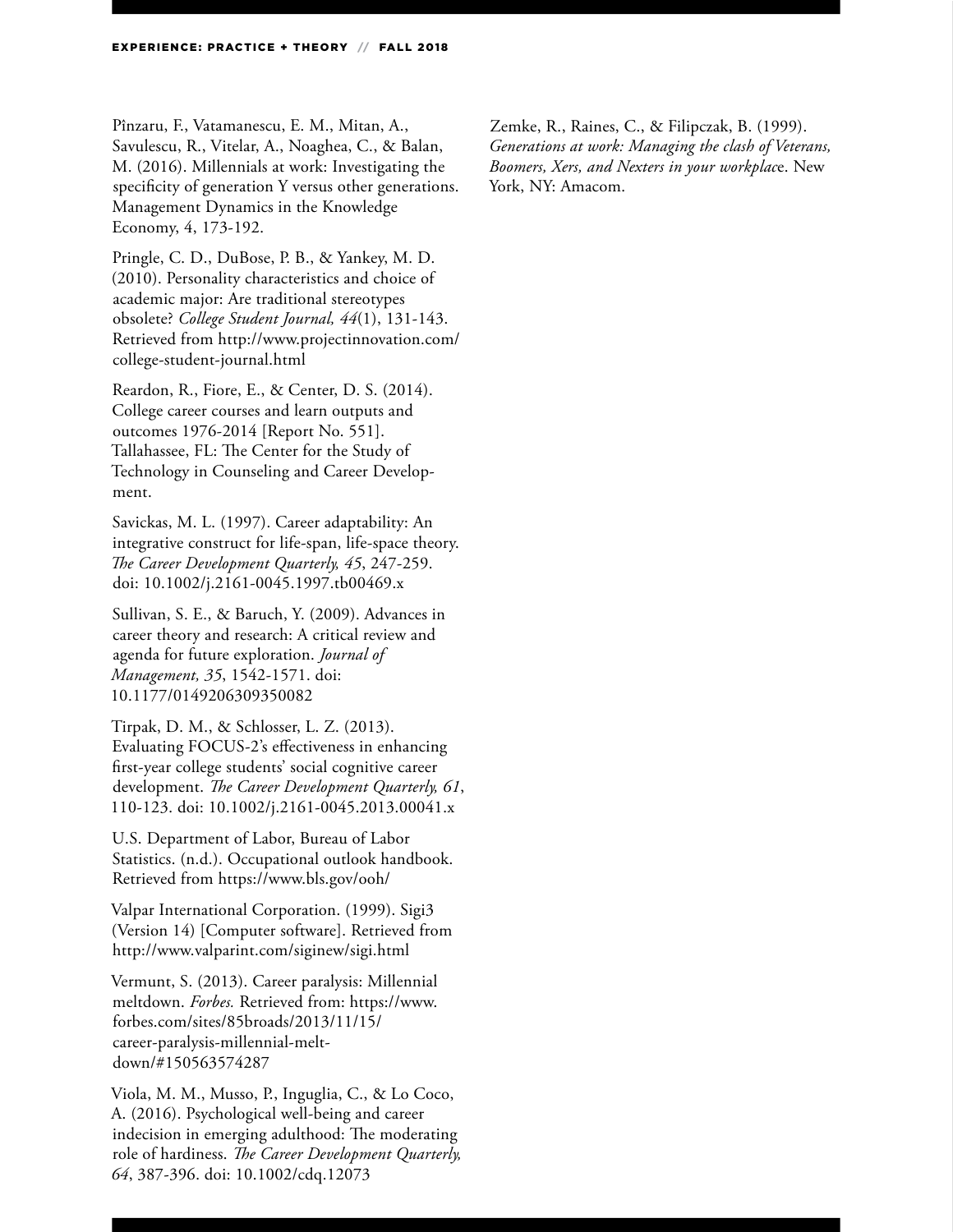Pînzaru, F., Vatamanescu, E. M., Mitan, A., Savulescu, R., Vitelar, A., Noaghea, C., & Balan, M. (2016). Millennials at work: Investigating the specificity of generation Y versus other generations. Management Dynamics in the Knowledge Economy, 4, 173-192.

Pringle, C. D., DuBose, P. B., & Yankey, M. D. (2010). Personality characteristics and choice of academic major: Are traditional stereotypes obsolete? *College Student Journal, 44*(1), 131-143. Retrieved from http://www.projectinnovation.com/ college-student-journal.html

Reardon, R., Fiore, E., & Center, D. S. (2014). College career courses and learn outputs and outcomes 1976-2014 [Report No. 551]. Tallahassee, FL: The Center for the Study of Technology in Counseling and Career Development.

Savickas, M. L. (1997). Career adaptability: An integrative construct for life‐span, life‐space theory. *The Career Development Quarterly, 45*, 247-259. doi: 10.1002/j.2161-0045.1997.tb00469.x

Sullivan, S. E., & Baruch, Y. (2009). Advances in career theory and research: A critical review and agenda for future exploration. *Journal of Management, 35*, 1542-1571. doi: 10.1177/0149206309350082

Tirpak, D. M., & Schlosser, L. Z. (2013). Evaluating FOCUS-2's effectiveness in enhancing first‐year college students' social cognitive career development. *The Career Development Quarterly, 61*, 110-123. doi: 10.1002/j.2161-0045.2013.00041.x

U.S. Department of Labor, Bureau of Labor Statistics. (n.d.). Occupational outlook handbook. Retrieved from https://www.bls.gov/ooh/

Valpar International Corporation. (1999). Sigi3 (Version 14) [Computer software]. Retrieved from http://www.valparint.com/siginew/sigi.html

Vermunt, S. (2013). Career paralysis: Millennial meltdown. *Forbes.* Retrieved from: https://www. forbes.com/sites/85broads/2013/11/15/ career-paralysis-millennial-meltdown/#150563574287

Viola, M. M., Musso, P., Inguglia, C., & Lo Coco, A. (2016). Psychological well‐being and career indecision in emerging adulthood: The moderating role of hardiness. *The Career Development Quarterly, 64*, 387-396. doi: 10.1002/cdq.12073

Zemke, R., Raines, C., & Filipczak, B. (1999). *Generations at work: Managing the clash of Veterans, Boomers, Xers, and Nexters in your workplac*e. New York, NY: Amacom.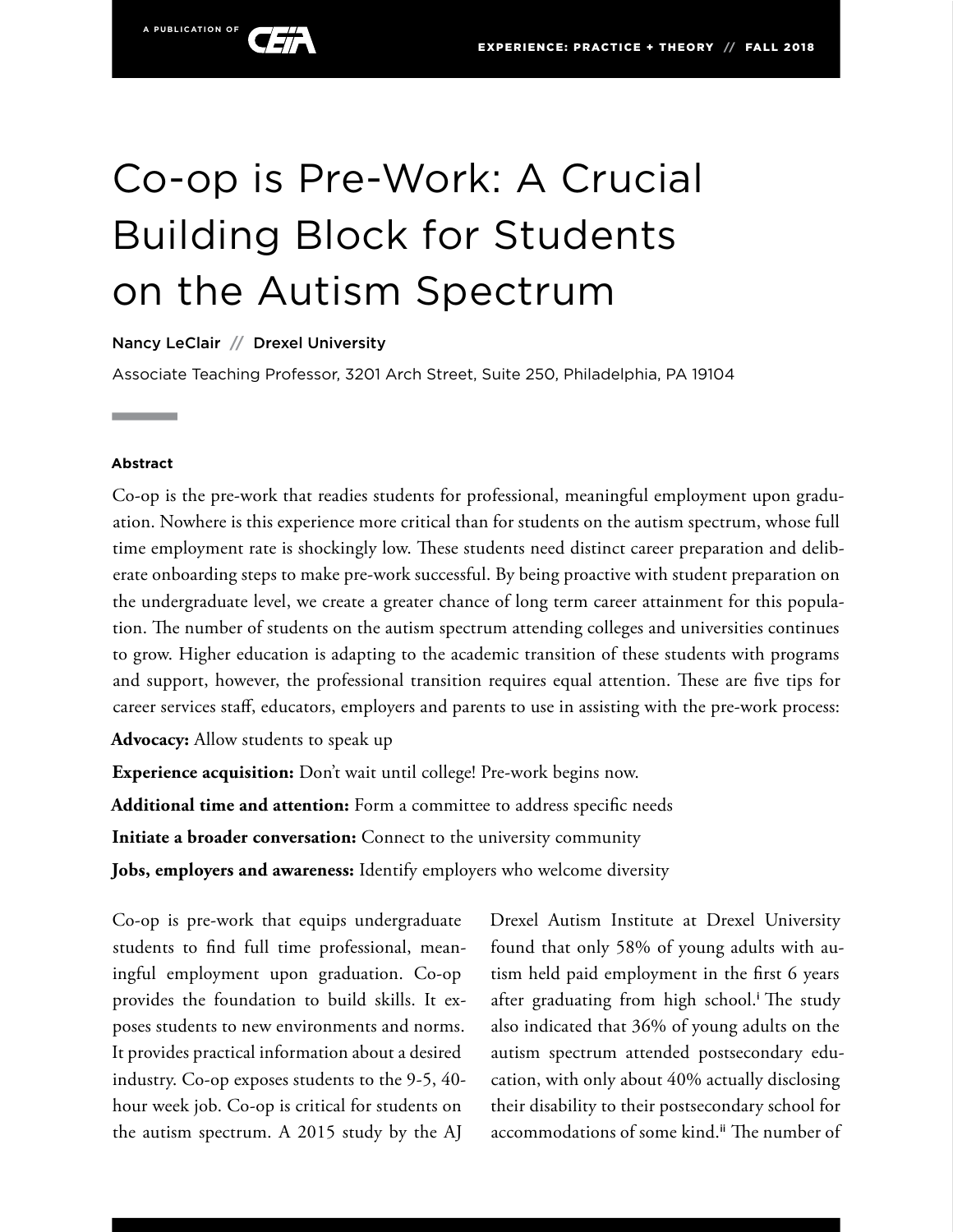

Nancy LeClair **//** Drexel University

Associate Teaching Professor, 3201 Arch Street, Suite 250, Philadelphia, PA 19104

#### **Abstract**

Co-op is the pre-work that readies students for professional, meaningful employment upon graduation. Nowhere is this experience more critical than for students on the autism spectrum, whose full time employment rate is shockingly low. These students need distinct career preparation and deliberate onboarding steps to make pre-work successful. By being proactive with student preparation on the undergraduate level, we create a greater chance of long term career attainment for this population. The number of students on the autism spectrum attending colleges and universities continues to grow. Higher education is adapting to the academic transition of these students with programs and support, however, the professional transition requires equal attention. These are five tips for career services staff, educators, employers and parents to use in assisting with the pre-work process:

**Advocacy:** Allow students to speak up

**Experience acquisition:** Don't wait until college! Pre-work begins now. **Additional time and attention:** Form a committee to address specific needs **Initiate a broader conversation:** Connect to the university community **Jobs, employers and awareness:** Identify employers who welcome diversity

Co-op is pre-work that equips undergraduate students to find full time professional, meaningful employment upon graduation. Co-op provides the foundation to build skills. It exposes students to new environments and norms. It provides practical information about a desired industry. Co-op exposes students to the 9-5, 40 hour week job. Co-op is critical for students on the autism spectrum. A 2015 study by the AJ

Drexel Autism Institute at Drexel University found that only 58% of young adults with autism held paid employment in the first 6 years after graduating from high school.<sup>i</sup> The study also indicated that 36% of young adults on the autism spectrum attended postsecondary education, with only about 40% actually disclosing their disability to their postsecondary school for accommodations of some kind.<sup>ii</sup> The number of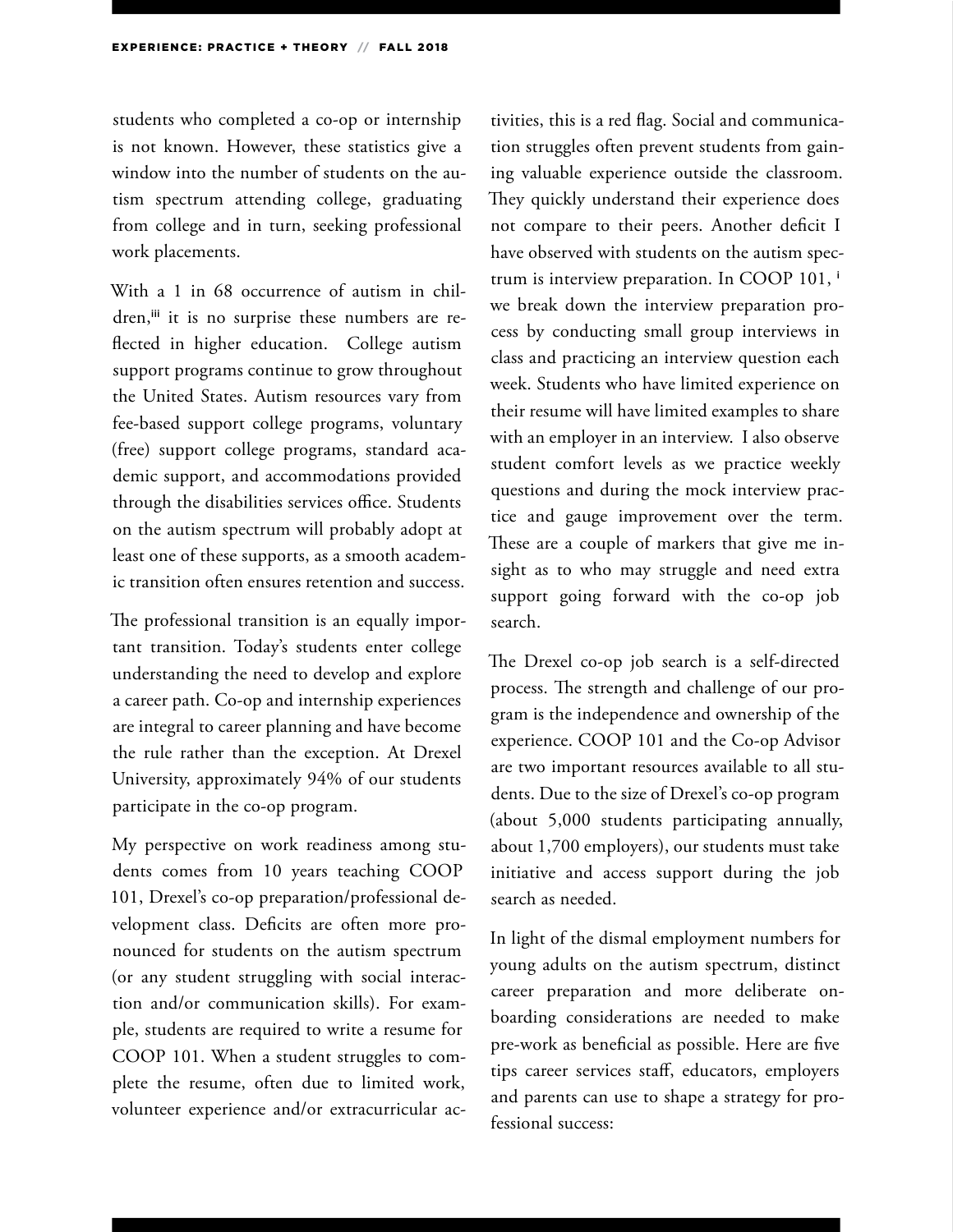students who completed a co-op or internship is not known. However, these statistics give a window into the number of students on the autism spectrum attending college, graduating from college and in turn, seeking professional work placements.

With a 1 in 68 occurrence of autism in children,<sup>iii</sup> it is no surprise these numbers are reflected in higher education. College autism support programs continue to grow throughout the United States. Autism resources vary from fee-based support college programs, voluntary (free) support college programs, standard academic support, and accommodations provided through the disabilities services office. Students on the autism spectrum will probably adopt at least one of these supports, as a smooth academic transition often ensures retention and success.

The professional transition is an equally important transition. Today's students enter college understanding the need to develop and explore a career path. Co-op and internship experiences are integral to career planning and have become the rule rather than the exception. At Drexel University, approximately 94% of our students participate in the co-op program.

My perspective on work readiness among students comes from 10 years teaching COOP 101, Drexel's co-op preparation/professional development class. Deficits are often more pronounced for students on the autism spectrum (or any student struggling with social interaction and/or communication skills). For example, students are required to write a resume for COOP 101. When a student struggles to complete the resume, often due to limited work, volunteer experience and/or extracurricular activities, this is a red flag. Social and communication struggles often prevent students from gaining valuable experience outside the classroom. They quickly understand their experience does not compare to their peers. Another deficit I have observed with students on the autism spectrum is interview preparation. In COOP 101, <sup>i</sup> we break down the interview preparation process by conducting small group interviews in class and practicing an interview question each week. Students who have limited experience on their resume will have limited examples to share with an employer in an interview. I also observe student comfort levels as we practice weekly questions and during the mock interview practice and gauge improvement over the term. These are a couple of markers that give me insight as to who may struggle and need extra support going forward with the co-op job search.

The Drexel co-op job search is a self-directed process. The strength and challenge of our program is the independence and ownership of the experience. COOP 101 and the Co-op Advisor are two important resources available to all students. Due to the size of Drexel's co-op program (about 5,000 students participating annually, about 1,700 employers), our students must take initiative and access support during the job search as needed.

In light of the dismal employment numbers for young adults on the autism spectrum, distinct career preparation and more deliberate onboarding considerations are needed to make pre-work as beneficial as possible. Here are five tips career services staff, educators, employers and parents can use to shape a strategy for professional success: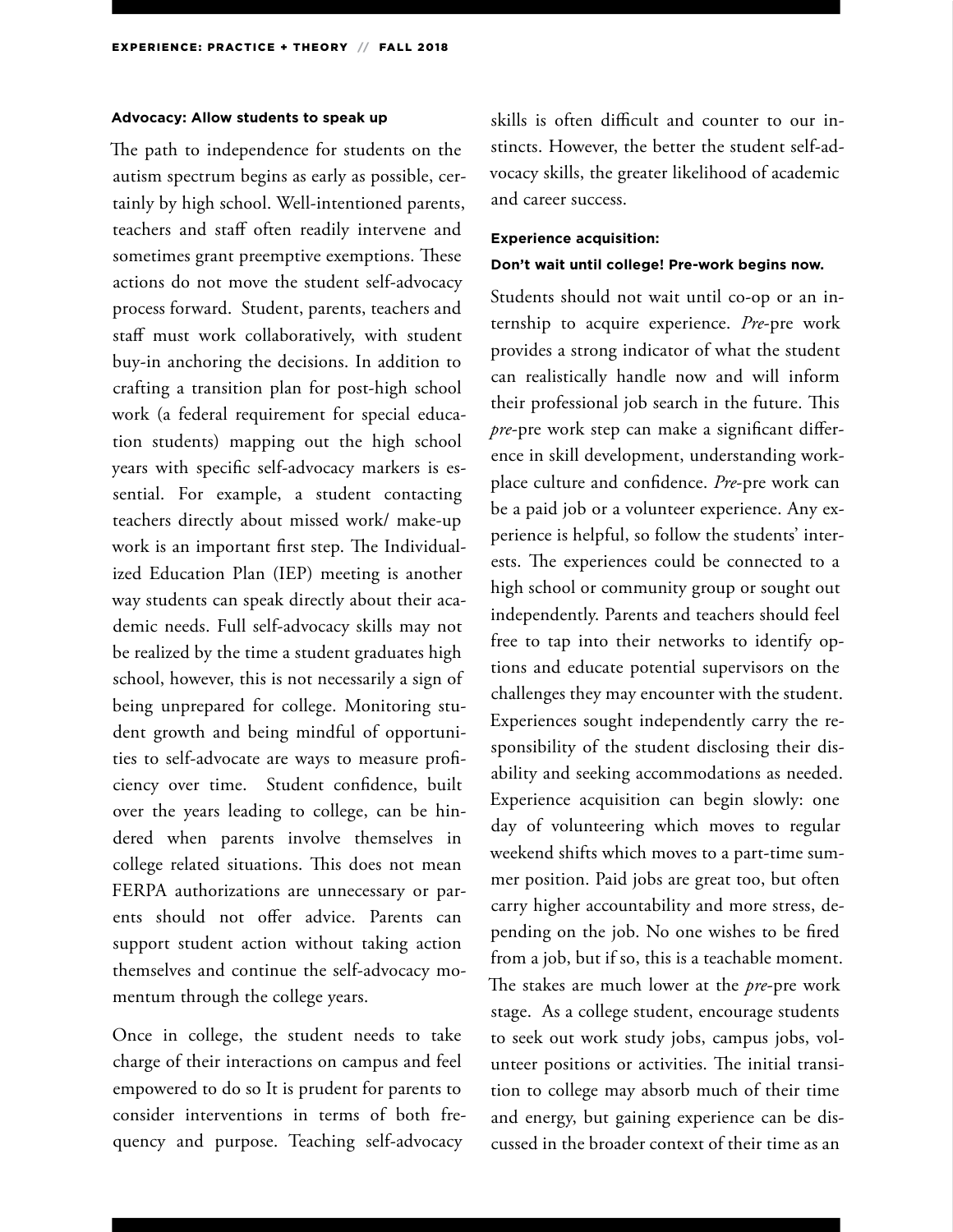#### **Advocacy: Allow students to speak up**

The path to independence for students on the autism spectrum begins as early as possible, certainly by high school. Well-intentioned parents, teachers and staff often readily intervene and sometimes grant preemptive exemptions. These actions do not move the student self-advocacy process forward. Student, parents, teachers and staff must work collaboratively, with student buy-in anchoring the decisions. In addition to crafting a transition plan for post-high school work (a federal requirement for special education students) mapping out the high school years with specific self-advocacy markers is essential. For example, a student contacting teachers directly about missed work/ make-up work is an important first step. The Individualized Education Plan (IEP) meeting is another way students can speak directly about their academic needs. Full self-advocacy skills may not be realized by the time a student graduates high school, however, this is not necessarily a sign of being unprepared for college. Monitoring student growth and being mindful of opportunities to self-advocate are ways to measure proficiency over time. Student confidence, built over the years leading to college, can be hindered when parents involve themselves in college related situations. This does not mean FERPA authorizations are unnecessary or parents should not offer advice. Parents can support student action without taking action themselves and continue the self-advocacy momentum through the college years.

Once in college, the student needs to take charge of their interactions on campus and feel empowered to do so It is prudent for parents to consider interventions in terms of both frequency and purpose. Teaching self-advocacy

skills is often difficult and counter to our instincts. However, the better the student self-advocacy skills, the greater likelihood of academic and career success.

#### **Experience acquisition:**

#### **Don't wait until college! Pre-work begins now.**

Students should not wait until co-op or an internship to acquire experience. *Pre*-pre work provides a strong indicator of what the student can realistically handle now and will inform their professional job search in the future. This *pre*-pre work step can make a significant difference in skill development, understanding workplace culture and confidence. *Pre*-pre work can be a paid job or a volunteer experience. Any experience is helpful, so follow the students' interests. The experiences could be connected to a high school or community group or sought out independently. Parents and teachers should feel free to tap into their networks to identify options and educate potential supervisors on the challenges they may encounter with the student. Experiences sought independently carry the responsibility of the student disclosing their disability and seeking accommodations as needed. Experience acquisition can begin slowly: one day of volunteering which moves to regular weekend shifts which moves to a part-time summer position. Paid jobs are great too, but often carry higher accountability and more stress, depending on the job. No one wishes to be fired from a job, but if so, this is a teachable moment. The stakes are much lower at the *pre*-pre work stage. As a college student, encourage students to seek out work study jobs, campus jobs, volunteer positions or activities. The initial transition to college may absorb much of their time and energy, but gaining experience can be discussed in the broader context of their time as an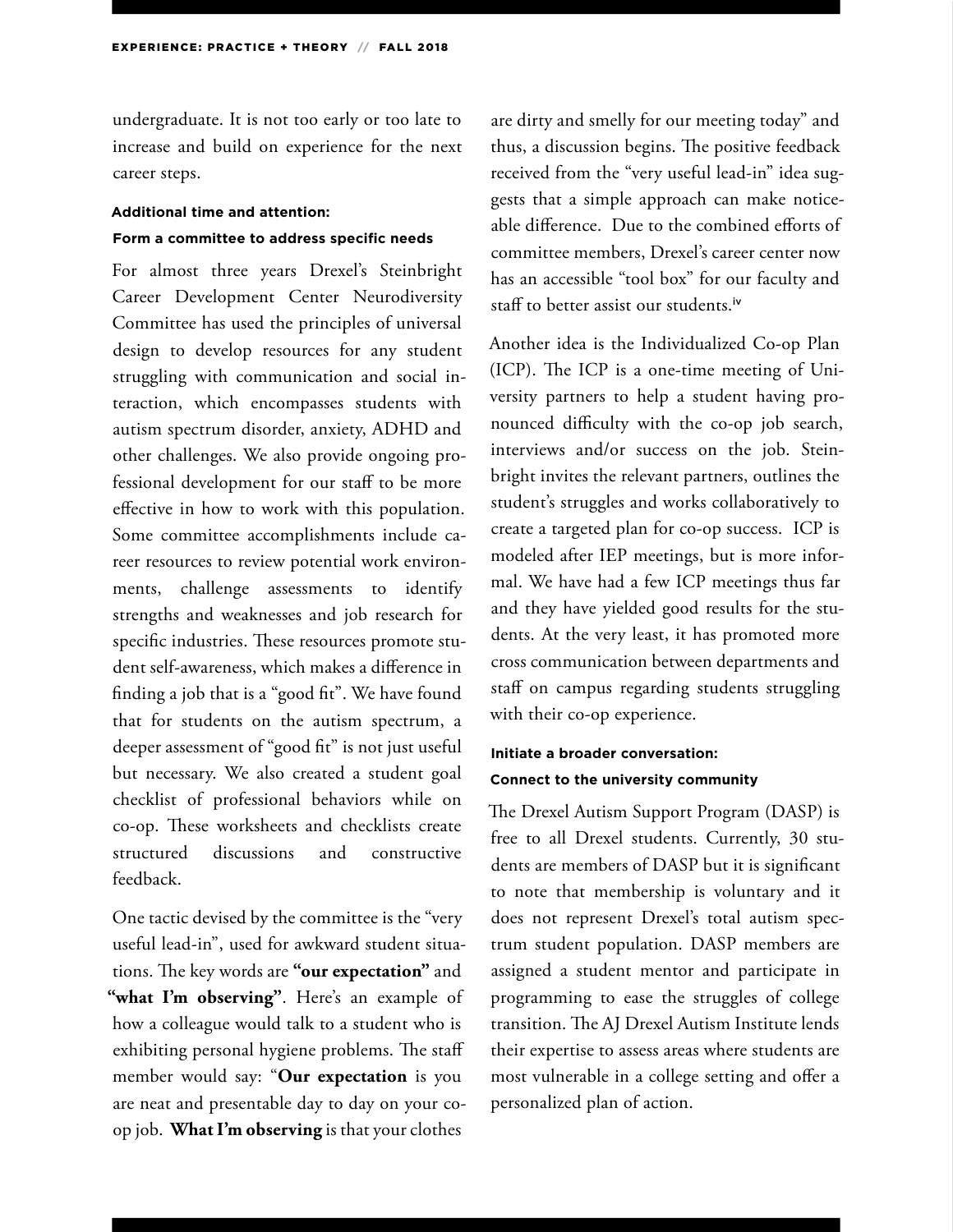undergraduate. It is not too early or too late to increase and build on experience for the next career steps.

### **Additional time and attention: Form a committee to address specific needs**

For almost three years Drexel's Steinbright Career Development Center Neurodiversity Committee has used the principles of universal design to develop resources for any student struggling with communication and social interaction, which encompasses students with autism spectrum disorder, anxiety, ADHD and other challenges. We also provide ongoing professional development for our staff to be more effective in how to work with this population. Some committee accomplishments include career resources to review potential work environments, challenge assessments to identify strengths and weaknesses and job research for specific industries. These resources promote student self-awareness, which makes a difference in finding a job that is a "good fit". We have found that for students on the autism spectrum, a deeper assessment of "good fit" is not just useful but necessary. We also created a student goal checklist of professional behaviors while on co-op. These worksheets and checklists create structured discussions and constructive feedback.

One tactic devised by the committee is the "very useful lead-in", used for awkward student situations. The key words are **"our expectation"** and "what I'm observing". Here's an example of how a colleague would talk to a student who is exhibiting personal hygiene problems. The staff member would say: "**Our expectation** is you are neat and presentable day to day on your coop job. **What I'm observing** is that your clothes

are dirty and smelly for our meeting today" and thus, a discussion begins. The positive feedback received from the "very useful lead-in" idea suggests that a simple approach can make noticeable difference. Due to the combined efforts of committee members, Drexel's career center now has an accessible "tool box" for our faculty and staff to better assist our students.<sup>iv</sup>

Another idea is the Individualized Co-op Plan (ICP). The ICP is a one-time meeting of University partners to help a student having pronounced difficulty with the co-op job search, interviews and/or success on the job. Steinbright invites the relevant partners, outlines the student's struggles and works collaboratively to create a targeted plan for co-op success. ICP is modeled after IEP meetings, but is more informal. We have had a few ICP meetings thus far and they have yielded good results for the students. At the very least, it has promoted more cross communication between departments and staff on campus regarding students struggling with their co-op experience.

### **Initiate a broader conversation: Connect to the university community**

The Drexel Autism Support Program (DASP) is free to all Drexel students. Currently, 30 students are members of DASP but it is significant to note that membership is voluntary and it does not represent Drexel's total autism spectrum student population. DASP members are assigned a student mentor and participate in programming to ease the struggles of college transition. The AJ Drexel Autism Institute lends their expertise to assess areas where students are most vulnerable in a college setting and offer a personalized plan of action.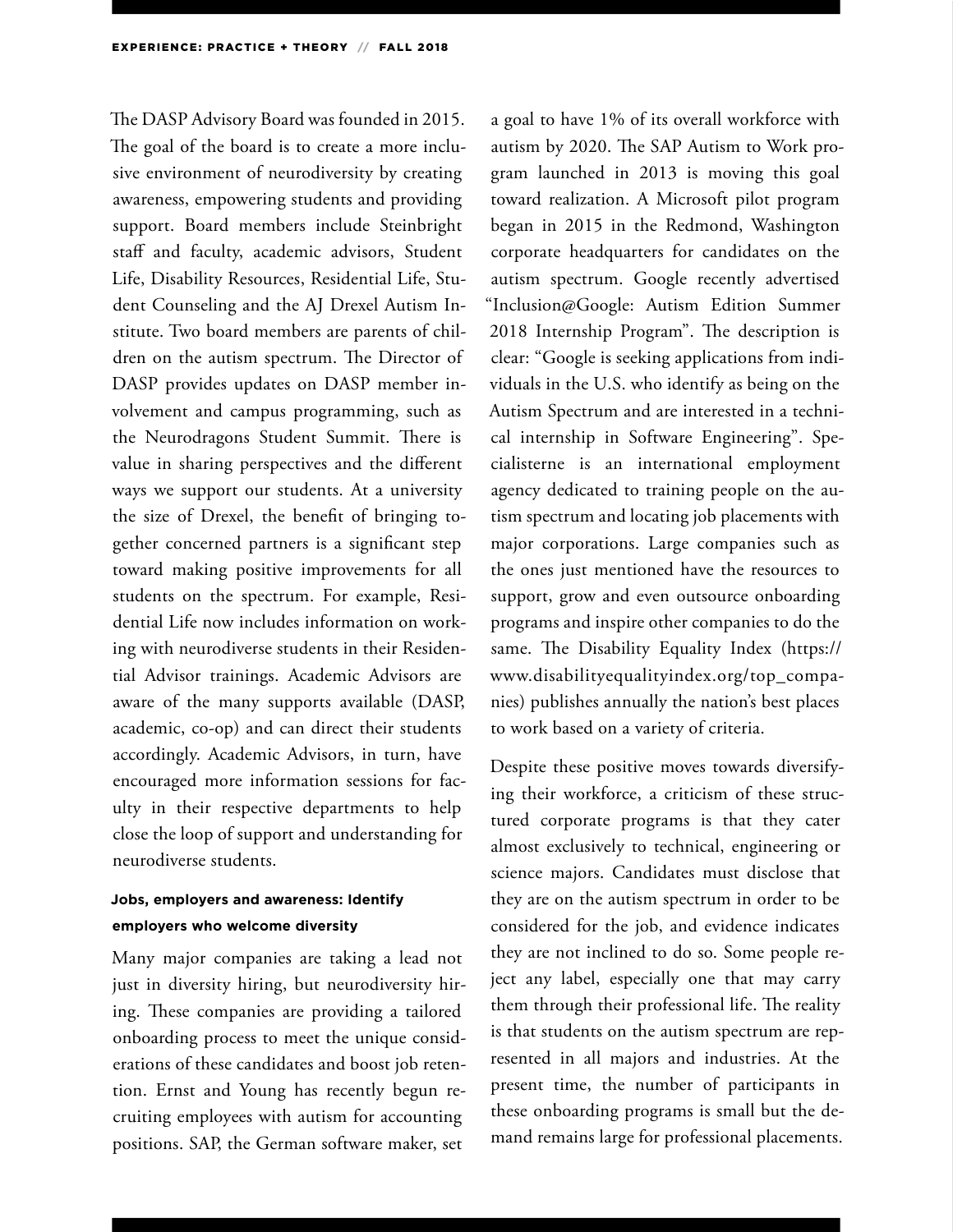The DASP Advisory Board was founded in 2015. The goal of the board is to create a more inclusive environment of neurodiversity by creating awareness, empowering students and providing support. Board members include Steinbright staff and faculty, academic advisors, Student Life, Disability Resources, Residential Life, Student Counseling and the AJ Drexel Autism Institute. Two board members are parents of children on the autism spectrum. The Director of DASP provides updates on DASP member involvement and campus programming, such as the Neurodragons Student Summit. There is value in sharing perspectives and the different ways we support our students. At a university the size of Drexel, the benefit of bringing together concerned partners is a significant step toward making positive improvements for all students on the spectrum. For example, Residential Life now includes information on working with neurodiverse students in their Residential Advisor trainings. Academic Advisors are aware of the many supports available (DASP, academic, co-op) and can direct their students accordingly. Academic Advisors, in turn, have encouraged more information sessions for faculty in their respective departments to help close the loop of support and understanding for neurodiverse students.

### **Jobs, employers and awareness: Identify employers who welcome diversity**

Many major companies are taking a lead not just in diversity hiring, but neurodiversity hiring. These companies are providing a tailored onboarding process to meet the unique considerations of these candidates and boost job retention. Ernst and Young has recently begun recruiting employees with autism for accounting positions. SAP, the German software maker, set

a goal to have 1% of its overall workforce with autism by 2020. The SAP Autism to Work program launched in 2013 is moving this goal toward realization. A Microsoft pilot program began in 2015 in the Redmond, Washington corporate headquarters for candidates on the autism spectrum. Google recently advertised "Inclusion@Google: Autism Edition Summer 2018 Internship Program". The description is clear: "Google is seeking applications from individuals in the U.S. who identify as being on the Autism Spectrum and are interested in a technical internship in Software Engineering". Specialisterne is an international employment agency dedicated to training people on the autism spectrum and locating job placements with major corporations. Large companies such as the ones just mentioned have the resources to support, grow and even outsource onboarding programs and inspire other companies to do the same. The Disability Equality Index (https:// www.disabilityequalityindex.org/top\_companies) publishes annually the nation's best places to work based on a variety of criteria.

Despite these positive moves towards diversifying their workforce, a criticism of these structured corporate programs is that they cater almost exclusively to technical, engineering or science majors. Candidates must disclose that they are on the autism spectrum in order to be considered for the job, and evidence indicates they are not inclined to do so. Some people reject any label, especially one that may carry them through their professional life. The reality is that students on the autism spectrum are represented in all majors and industries. At the present time, the number of participants in these onboarding programs is small but the demand remains large for professional placements.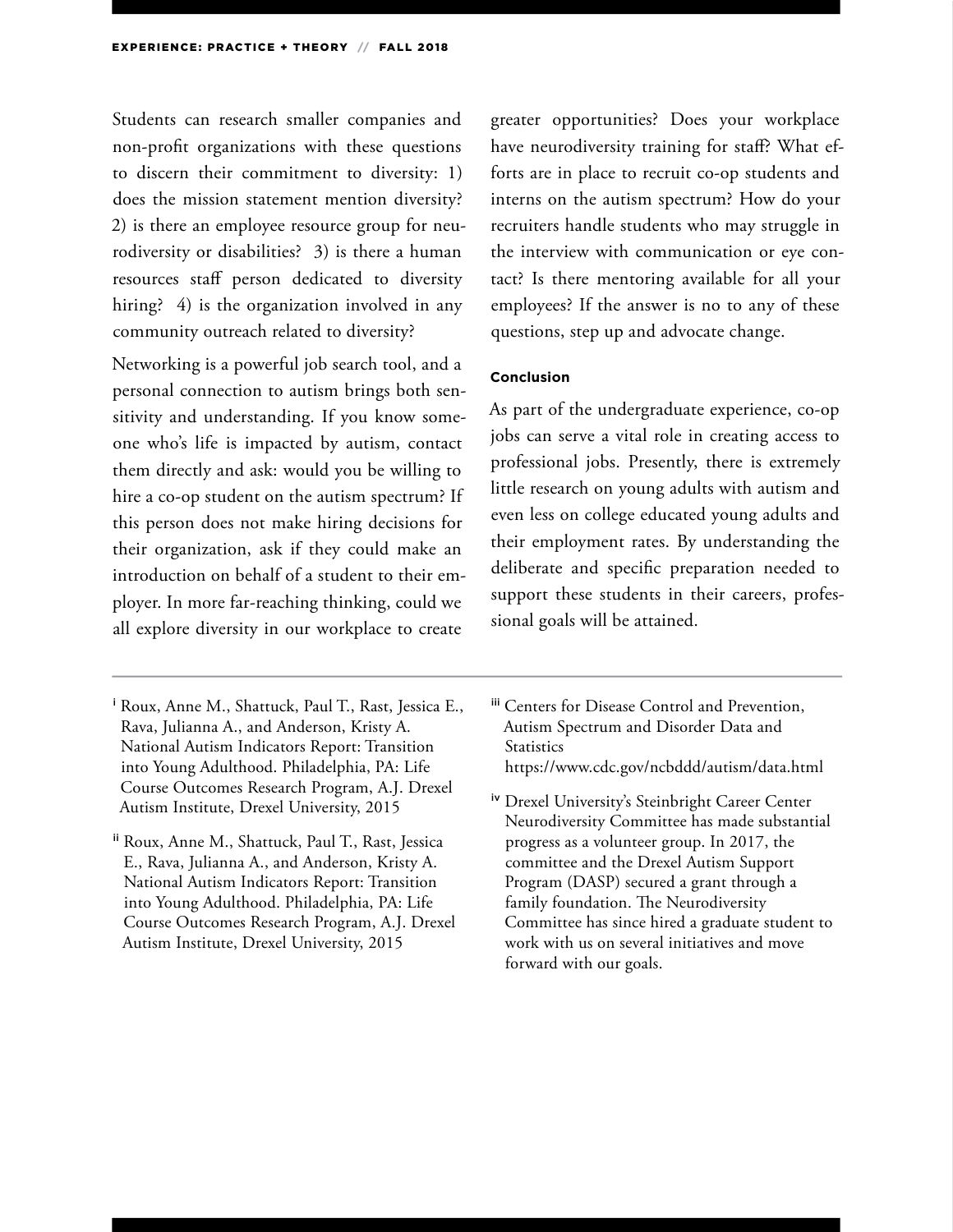Students can research smaller companies and non-profit organizations with these questions to discern their commitment to diversity: 1) does the mission statement mention diversity? 2) is there an employee resource group for neurodiversity or disabilities? 3) is there a human resources staff person dedicated to diversity hiring? 4) is the organization involved in any community outreach related to diversity?

Networking is a powerful job search tool, and a personal connection to autism brings both sensitivity and understanding. If you know someone who's life is impacted by autism, contact them directly and ask: would you be willing to hire a co-op student on the autism spectrum? If this person does not make hiring decisions for their organization, ask if they could make an introduction on behalf of a student to their employer. In more far-reaching thinking, could we all explore diversity in our workplace to create

ii Roux, Anne M., Shattuck, Paul T., Rast, Jessica E., Rava, Julianna A., and Anderson, Kristy A. National Autism Indicators Report: Transition into Young Adulthood. Philadelphia, PA: Life Course Outcomes Research Program, A.J. Drexel Autism Institute, Drexel University, 2015

greater opportunities? Does your workplace have neurodiversity training for staff? What efforts are in place to recruit co-op students and interns on the autism spectrum? How do your recruiters handle students who may struggle in the interview with communication or eye contact? Is there mentoring available for all your employees? If the answer is no to any of these questions, step up and advocate change.

#### **Conclusion**

As part of the undergraduate experience, co-op jobs can serve a vital role in creating access to professional jobs. Presently, there is extremely little research on young adults with autism and even less on college educated young adults and their employment rates. By understanding the deliberate and specific preparation needed to support these students in their careers, professional goals will be attained.

- iii Centers for Disease Control and Prevention, Autism Spectrum and Disorder Data and **Statistics** https://www.cdc.gov/ncbddd/autism/data.html
- iv Drexel University's Steinbright Career Center Neurodiversity Committee has made substantial progress as a volunteer group. In 2017, the committee and the Drexel Autism Support Program (DASP) secured a grant through a family foundation. The Neurodiversity Committee has since hired a graduate student to work with us on several initiatives and move forward with our goals.

<sup>i</sup> Roux, Anne M., Shattuck, Paul T., Rast, Jessica E., Rava, Julianna A., and Anderson, Kristy A. National Autism Indicators Report: Transition into Young Adulthood. Philadelphia, PA: Life Course Outcomes Research Program, A.J. Drexel Autism Institute, Drexel University, 2015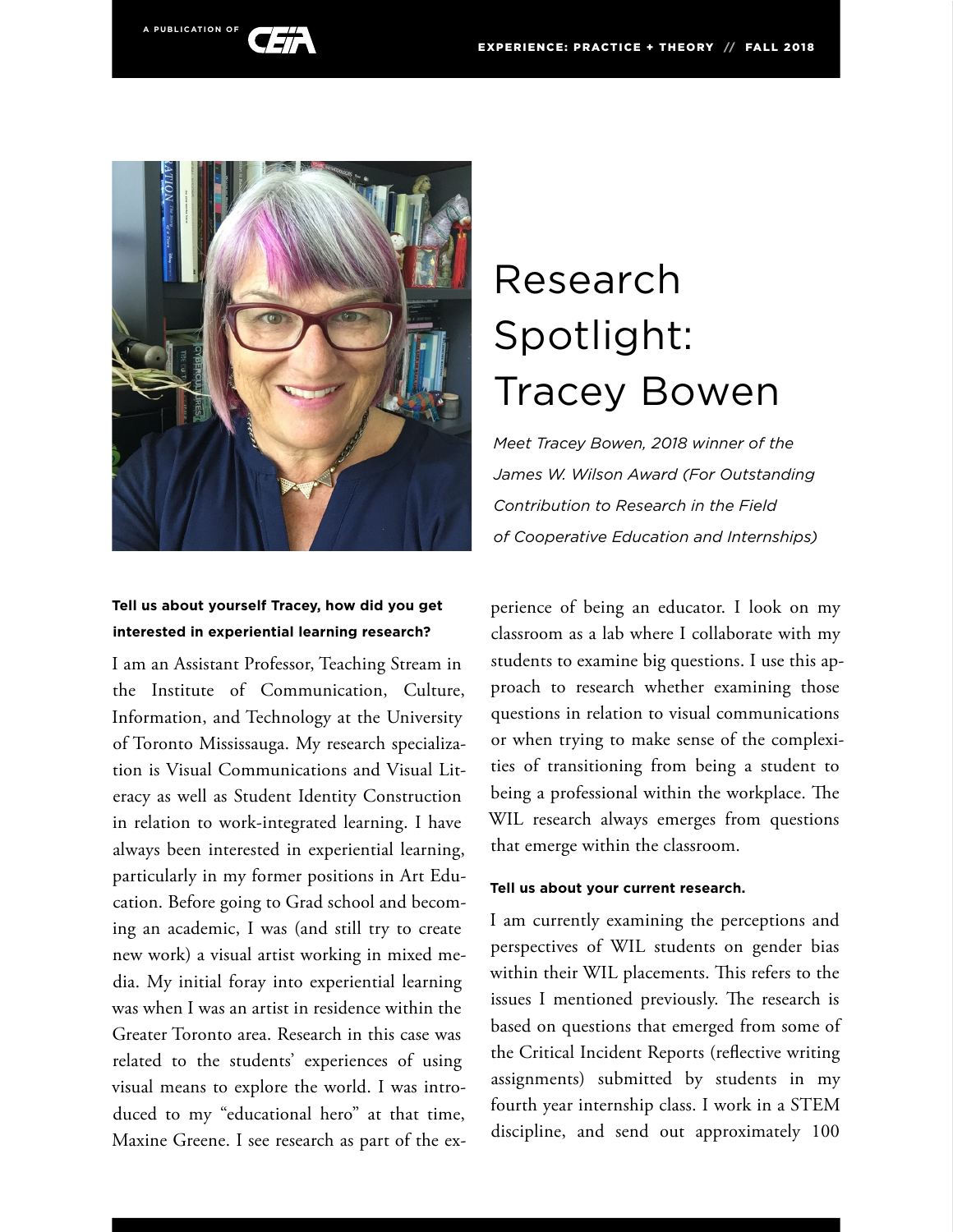



### **Tell us about yourself Tracey, how did you get interested in experiential learning research?**

I am an Assistant Professor, Teaching Stream in the Institute of Communication, Culture, Information, and Technology at the University of Toronto Mississauga. My research specialization is Visual Communications and Visual Literacy as well as Student Identity Construction in relation to work-integrated learning. I have always been interested in experiential learning, particularly in my former positions in Art Education. Before going to Grad school and becoming an academic, I was (and still try to create new work) a visual artist working in mixed media. My initial foray into experiential learning was when I was an artist in residence within the Greater Toronto area. Research in this case was related to the students' experiences of using visual means to explore the world. I was introduced to my "educational hero" at that time, Maxine Greene. I see research as part of the ex-

# Research Spotlight: Tracey Bowen

*Meet Tracey Bowen, 2018 winner of the James W. Wilson Award (For Outstanding Contribution to Research in the Field of Cooperative Education and Internships)*

perience of being an educator. I look on my classroom as a lab where I collaborate with my students to examine big questions. I use this approach to research whether examining those questions in relation to visual communications or when trying to make sense of the complexities of transitioning from being a student to being a professional within the workplace. The WIL research always emerges from questions that emerge within the classroom.

#### **Tell us about your current research.**

I am currently examining the perceptions and perspectives of WIL students on gender bias within their WIL placements. This refers to the issues I mentioned previously. The research is based on questions that emerged from some of the Critical Incident Reports (reflective writing assignments) submitted by students in my fourth year internship class. I work in a STEM discipline, and send out approximately 100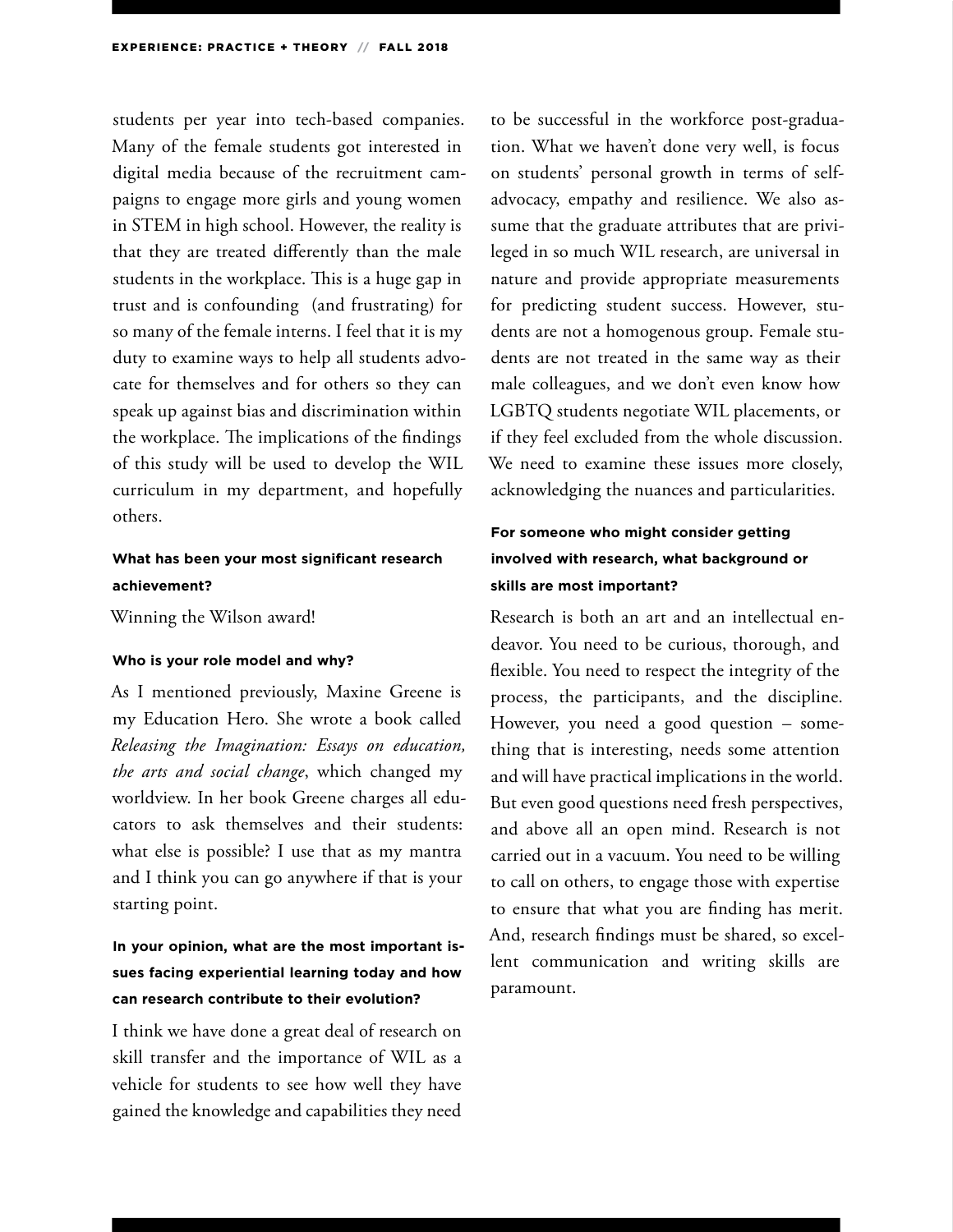students per year into tech-based companies. Many of the female students got interested in digital media because of the recruitment campaigns to engage more girls and young women in STEM in high school. However, the reality is that they are treated differently than the male students in the workplace. This is a huge gap in trust and is confounding (and frustrating) for so many of the female interns. I feel that it is my duty to examine ways to help all students advocate for themselves and for others so they can speak up against bias and discrimination within the workplace. The implications of the findings of this study will be used to develop the WIL curriculum in my department, and hopefully others.

#### **What has been your most significant research achievement?**

Winning the Wilson award!

#### **Who is your role model and why?**

As I mentioned previously, Maxine Greene is my Education Hero. She wrote a book called *Releasing the Imagination: Essays on education, the arts and social change*, which changed my worldview. In her book Greene charges all educators to ask themselves and their students: what else is possible? I use that as my mantra and I think you can go anywhere if that is your starting point.

# **In your opinion, what are the most important issues facing experiential learning today and how can research contribute to their evolution?**

I think we have done a great deal of research on skill transfer and the importance of WIL as a vehicle for students to see how well they have gained the knowledge and capabilities they need

to be successful in the workforce post-graduation. What we haven't done very well, is focus on students' personal growth in terms of selfadvocacy, empathy and resilience. We also assume that the graduate attributes that are privileged in so much WIL research, are universal in nature and provide appropriate measurements for predicting student success. However, students are not a homogenous group. Female students are not treated in the same way as their male colleagues, and we don't even know how LGBTQ students negotiate WIL placements, or if they feel excluded from the whole discussion. We need to examine these issues more closely, acknowledging the nuances and particularities.

### **For someone who might consider getting involved with research, what background or skills are most important?**

Research is both an art and an intellectual endeavor. You need to be curious, thorough, and flexible. You need to respect the integrity of the process, the participants, and the discipline. However, you need a good question – something that is interesting, needs some attention and will have practical implications in the world. But even good questions need fresh perspectives, and above all an open mind. Research is not carried out in a vacuum. You need to be willing to call on others, to engage those with expertise to ensure that what you are finding has merit. And, research findings must be shared, so excellent communication and writing skills are paramount.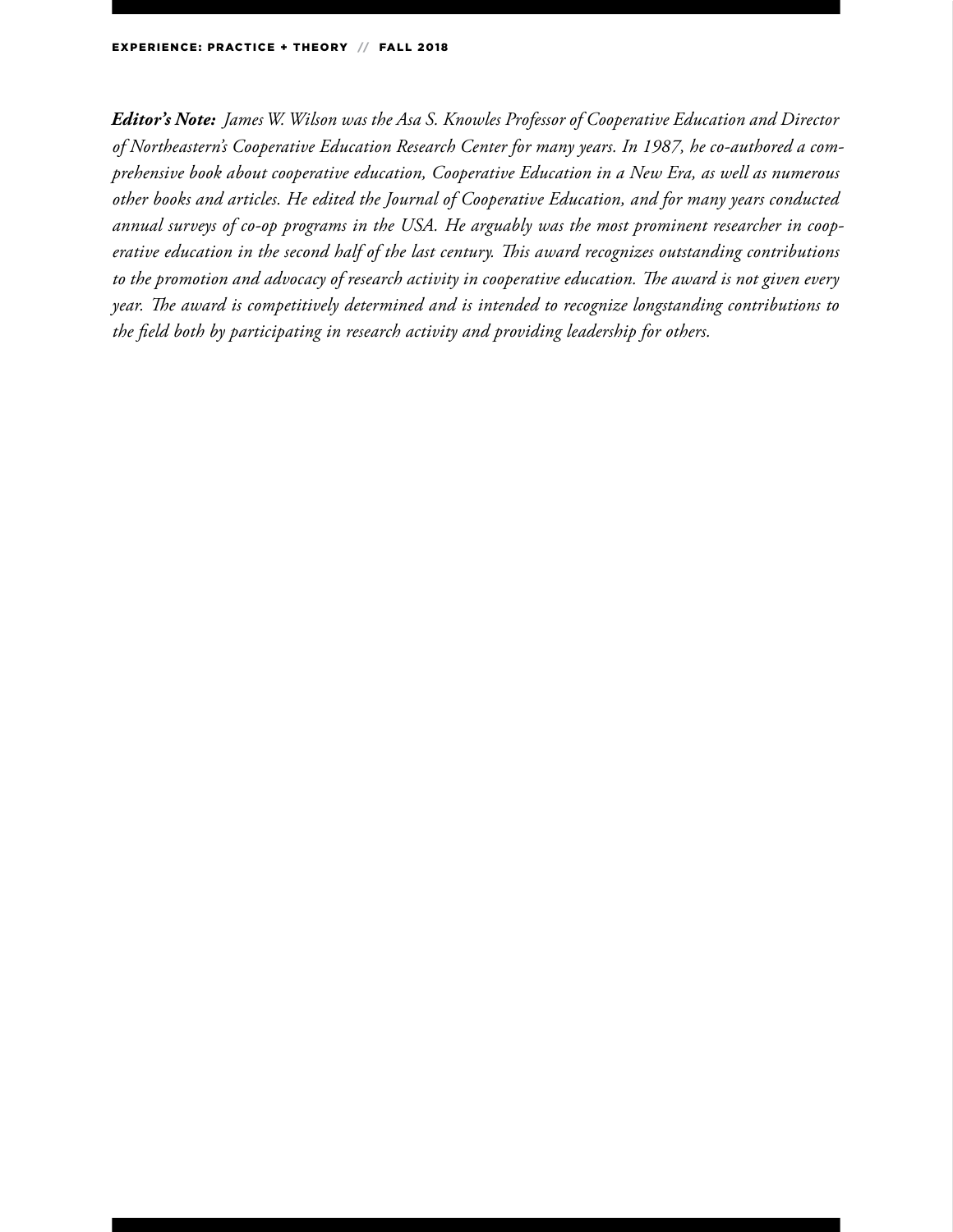*Editor's Note: James W. Wilson was the Asa S. Knowles Professor of Cooperative Education and Director of Northeastern's Cooperative Education Research Center for many years. In 1987, he co-authored a comprehensive book about cooperative education, Cooperative Education in a New Era, as well as numerous other books and articles. He edited the Journal of Cooperative Education, and for many years conducted annual surveys of co-op programs in the USA. He arguably was the most prominent researcher in cooperative education in the second half of the last century. This award recognizes outstanding contributions to the promotion and advocacy of research activity in cooperative education. The award is not given every year. The award is competitively determined and is intended to recognize longstanding contributions to the field both by participating in research activity and providing leadership for others.*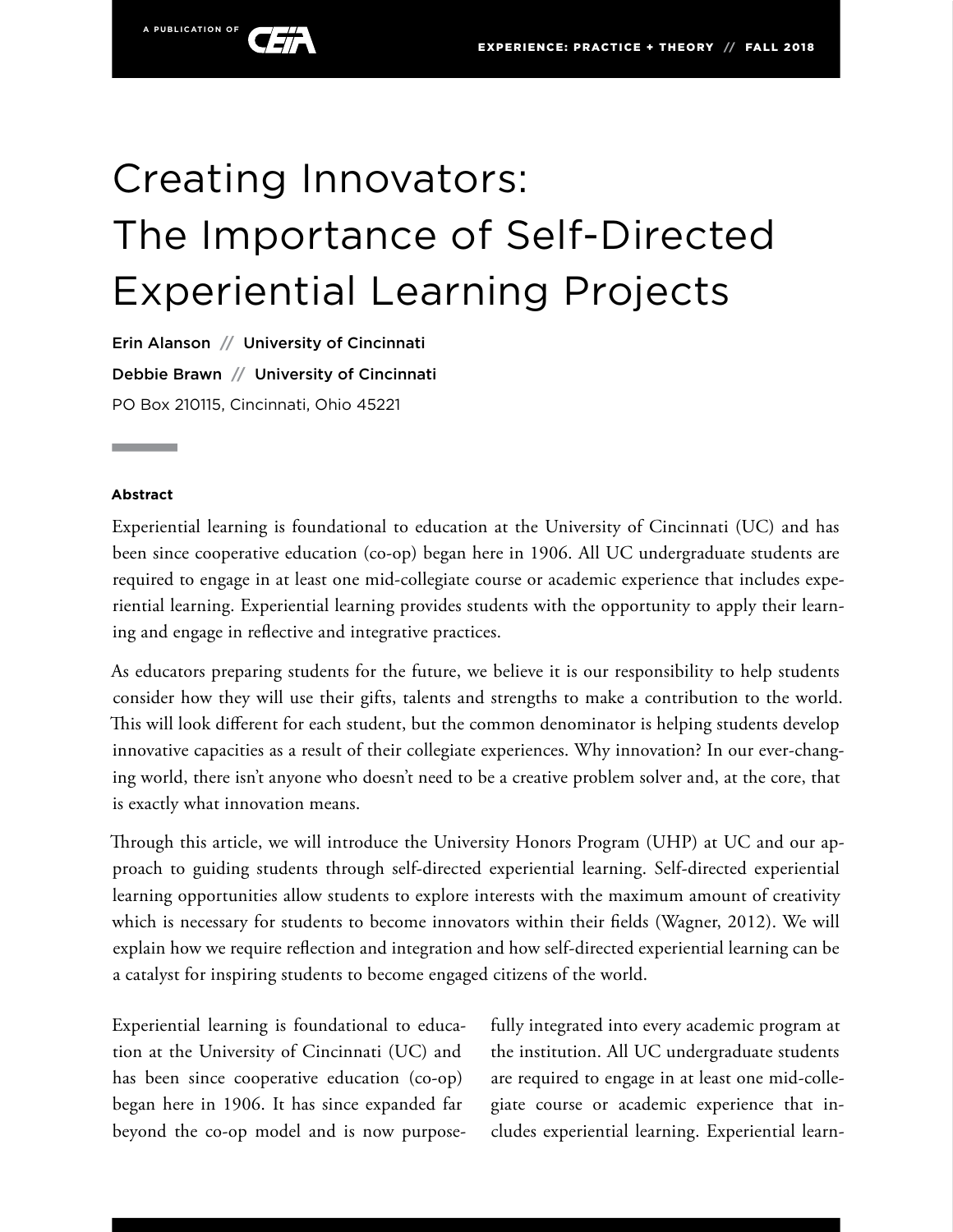

# Creating Innovators: The Importance of Self-Directed Experiential Learning Projects

Erin Alanson **//** University of Cincinnati Debbie Brawn **//** University of Cincinnati PO Box 210115, Cincinnati, Ohio 45221

#### **Abstract**

Experiential learning is foundational to education at the University of Cincinnati (UC) and has been since cooperative education (co-op) began here in 1906. All UC undergraduate students are required to engage in at least one mid-collegiate course or academic experience that includes experiential learning. Experiential learning provides students with the opportunity to apply their learning and engage in reflective and integrative practices.

As educators preparing students for the future, we believe it is our responsibility to help students consider how they will use their gifts, talents and strengths to make a contribution to the world. This will look different for each student, but the common denominator is helping students develop innovative capacities as a result of their collegiate experiences. Why innovation? In our ever-changing world, there isn't anyone who doesn't need to be a creative problem solver and, at the core, that is exactly what innovation means.

Through this article, we will introduce the University Honors Program (UHP) at UC and our approach to guiding students through self-directed experiential learning. Self-directed experiential learning opportunities allow students to explore interests with the maximum amount of creativity which is necessary for students to become innovators within their fields (Wagner, 2012). We will explain how we require reflection and integration and how self-directed experiential learning can be a catalyst for inspiring students to become engaged citizens of the world.

Experiential learning is foundational to education at the University of Cincinnati (UC) and has been since cooperative education (co-op) began here in 1906. It has since expanded far beyond the co-op model and is now purposefully integrated into every academic program at the institution. All UC undergraduate students are required to engage in at least one mid-collegiate course or academic experience that includes experiential learning. Experiential learn-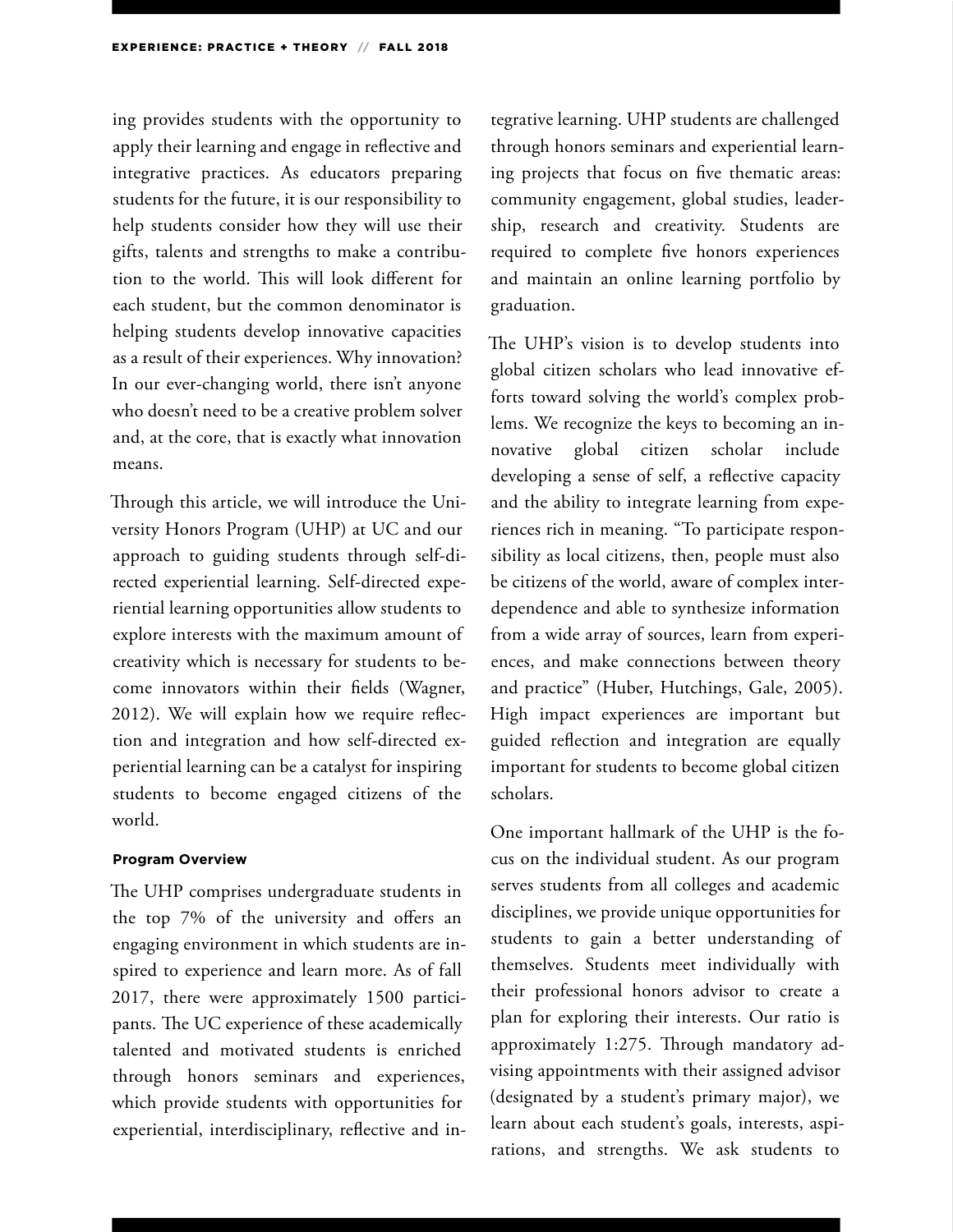ing provides students with the opportunity to apply their learning and engage in reflective and integrative practices. As educators preparing students for the future, it is our responsibility to help students consider how they will use their gifts, talents and strengths to make a contribution to the world. This will look different for each student, but the common denominator is helping students develop innovative capacities as a result of their experiences. Why innovation? In our ever-changing world, there isn't anyone who doesn't need to be a creative problem solver and, at the core, that is exactly what innovation means.

Through this article, we will introduce the University Honors Program (UHP) at UC and our approach to guiding students through self-directed experiential learning. Self-directed experiential learning opportunities allow students to explore interests with the maximum amount of creativity which is necessary for students to become innovators within their fields (Wagner, 2012). We will explain how we require reflection and integration and how self-directed experiential learning can be a catalyst for inspiring students to become engaged citizens of the world.

#### **Program Overview**

The UHP comprises undergraduate students in the top 7% of the university and offers an engaging environment in which students are inspired to experience and learn more. As of fall 2017, there were approximately 1500 participants. The UC experience of these academically talented and motivated students is enriched through honors seminars and experiences, which provide students with opportunities for experiential, interdisciplinary, reflective and in-

tegrative learning. UHP students are challenged through honors seminars and experiential learning projects that focus on five thematic areas: community engagement, global studies, leadership, research and creativity. Students are required to complete five honors experiences and maintain an online learning portfolio by graduation.

The UHP's vision is to develop students into global citizen scholars who lead innovative efforts toward solving the world's complex problems. We recognize the keys to becoming an innovative global citizen scholar include developing a sense of self, a reflective capacity and the ability to integrate learning from experiences rich in meaning. "To participate responsibility as local citizens, then, people must also be citizens of the world, aware of complex interdependence and able to synthesize information from a wide array of sources, learn from experiences, and make connections between theory and practice" (Huber, Hutchings, Gale, 2005). High impact experiences are important but guided reflection and integration are equally important for students to become global citizen scholars.

One important hallmark of the UHP is the focus on the individual student. As our program serves students from all colleges and academic disciplines, we provide unique opportunities for students to gain a better understanding of themselves. Students meet individually with their professional honors advisor to create a plan for exploring their interests. Our ratio is approximately 1:275. Through mandatory advising appointments with their assigned advisor (designated by a student's primary major), we learn about each student's goals, interests, aspirations, and strengths. We ask students to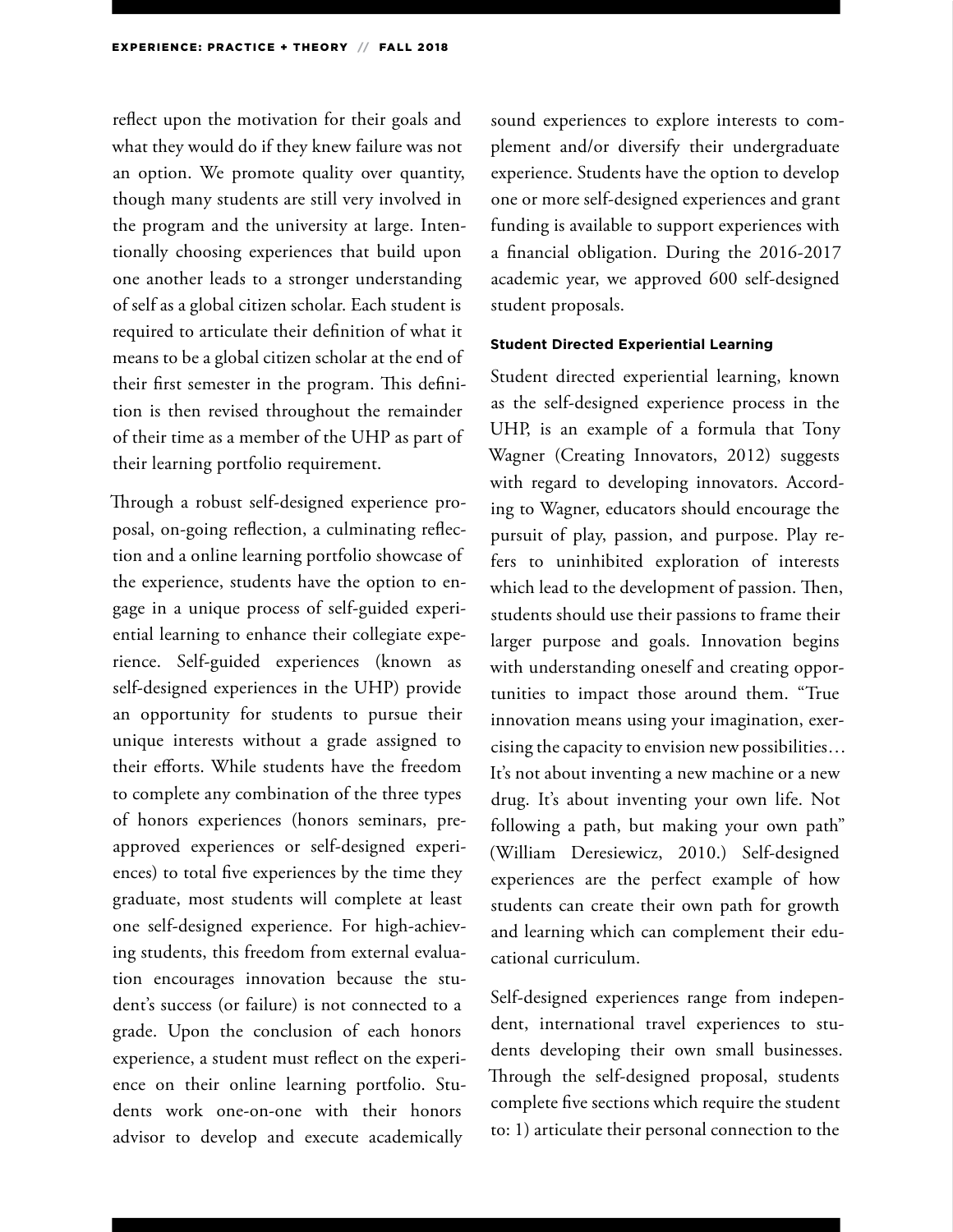reflect upon the motivation for their goals and what they would do if they knew failure was not an option. We promote quality over quantity, though many students are still very involved in the program and the university at large. Intentionally choosing experiences that build upon one another leads to a stronger understanding of self as a global citizen scholar. Each student is required to articulate their definition of what it means to be a global citizen scholar at the end of their first semester in the program. This definition is then revised throughout the remainder of their time as a member of the UHP as part of their learning portfolio requirement.

Through a robust self-designed experience proposal, on-going reflection, a culminating reflection and a online learning portfolio showcase of the experience, students have the option to engage in a unique process of self-guided experiential learning to enhance their collegiate experience. Self-guided experiences (known as self-designed experiences in the UHP) provide an opportunity for students to pursue their unique interests without a grade assigned to their efforts. While students have the freedom to complete any combination of the three types of honors experiences (honors seminars, preapproved experiences or self-designed experiences) to total five experiences by the time they graduate, most students will complete at least one self-designed experience. For high-achieving students, this freedom from external evaluation encourages innovation because the student's success (or failure) is not connected to a grade. Upon the conclusion of each honors experience, a student must reflect on the experience on their online learning portfolio. Students work one-on-one with their honors advisor to develop and execute academically

sound experiences to explore interests to complement and/or diversify their undergraduate experience. Students have the option to develop one or more self-designed experiences and grant funding is available to support experiences with a financial obligation. During the 2016-2017 academic year, we approved 600 self-designed student proposals.

#### **Student Directed Experiential Learning**

Student directed experiential learning, known as the self-designed experience process in the UHP, is an example of a formula that Tony Wagner (Creating Innovators, 2012) suggests with regard to developing innovators. According to Wagner, educators should encourage the pursuit of play, passion, and purpose. Play refers to uninhibited exploration of interests which lead to the development of passion. Then, students should use their passions to frame their larger purpose and goals. Innovation begins with understanding oneself and creating opportunities to impact those around them. "True innovation means using your imagination, exercising the capacity to envision new possibilities… It's not about inventing a new machine or a new drug. It's about inventing your own life. Not following a path, but making your own path" (William Deresiewicz, 2010.) Self-designed experiences are the perfect example of how students can create their own path for growth and learning which can complement their educational curriculum.

Self-designed experiences range from independent, international travel experiences to students developing their own small businesses. Through the self-designed proposal, students complete five sections which require the student to: 1) articulate their personal connection to the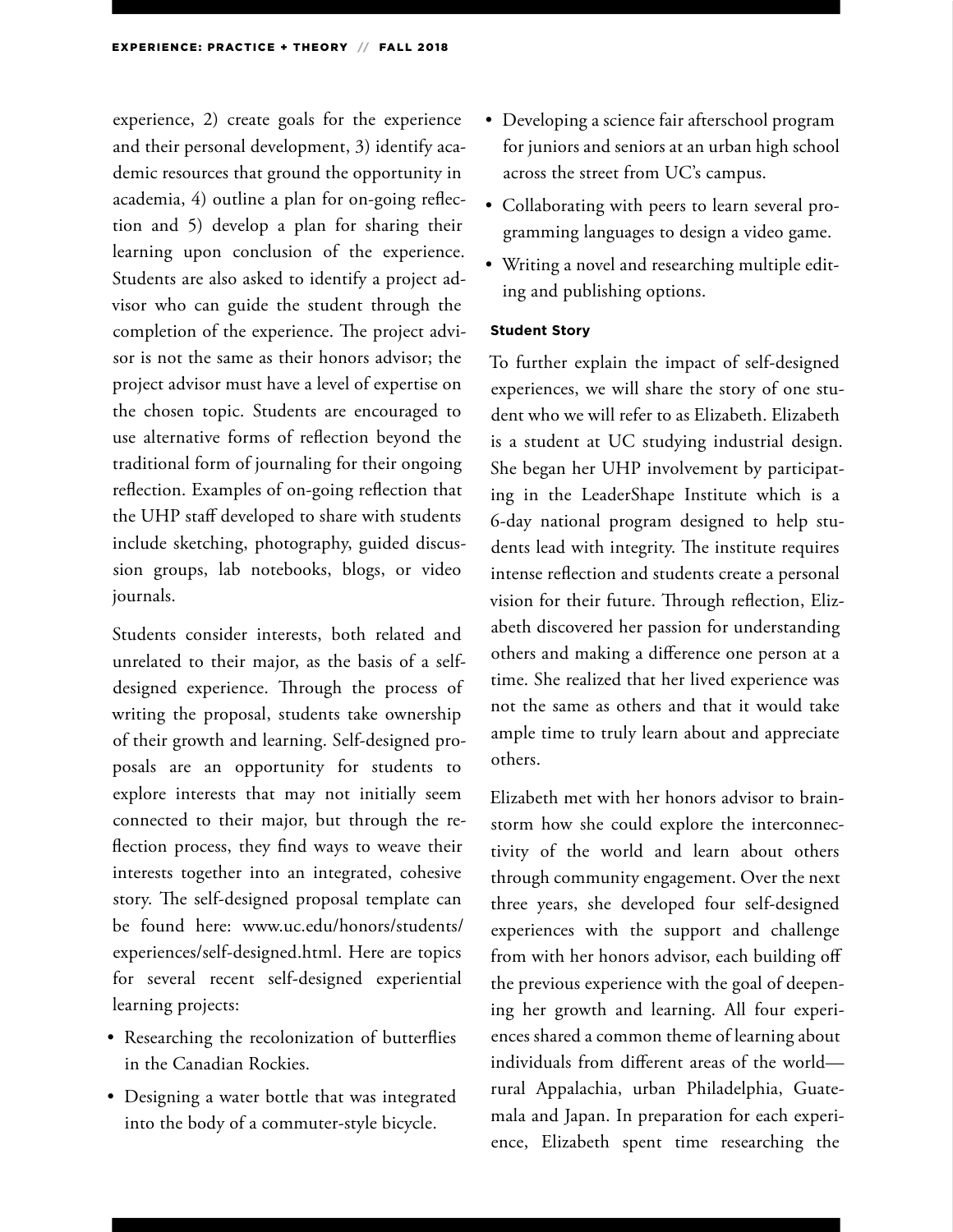experience, 2) create goals for the experience and their personal development, 3) identify academic resources that ground the opportunity in academia, 4) outline a plan for on-going reflection and 5) develop a plan for sharing their learning upon conclusion of the experience. Students are also asked to identify a project advisor who can guide the student through the completion of the experience. The project advisor is not the same as their honors advisor; the project advisor must have a level of expertise on the chosen topic. Students are encouraged to use alternative forms of reflection beyond the traditional form of journaling for their ongoing reflection. Examples of on-going reflection that the UHP staff developed to share with students include sketching, photography, guided discussion groups, lab notebooks, blogs, or video journals.

Students consider interests, both related and unrelated to their major, as the basis of a selfdesigned experience. Through the process of writing the proposal, students take ownership of their growth and learning. Self-designed proposals are an opportunity for students to explore interests that may not initially seem connected to their major, but through the reflection process, they find ways to weave their interests together into an integrated, cohesive story. The self-designed proposal template can be found here: www.uc.edu/honors/students/ experiences/self-designed.html. Here are topics for several recent self-designed experiential learning projects:

- Researching the recolonization of butterflies in the Canadian Rockies.
- Designing a water bottle that was integrated into the body of a commuter-style bicycle.
- Developing a science fair afterschool program for juniors and seniors at an urban high school across the street from UC's campus.
- Collaborating with peers to learn several programming languages to design a video game.
- Writing a novel and researching multiple editing and publishing options.

#### **Student Story**

To further explain the impact of self-designed experiences, we will share the story of one student who we will refer to as Elizabeth. Elizabeth is a student at UC studying industrial design. She began her UHP involvement by participating in the LeaderShape Institute which is a 6-day national program designed to help students lead with integrity. The institute requires intense reflection and students create a personal vision for their future. Through reflection, Elizabeth discovered her passion for understanding others and making a difference one person at a time. She realized that her lived experience was not the same as others and that it would take ample time to truly learn about and appreciate others.

Elizabeth met with her honors advisor to brainstorm how she could explore the interconnectivity of the world and learn about others through community engagement. Over the next three years, she developed four self-designed experiences with the support and challenge from with her honors advisor, each building off the previous experience with the goal of deepening her growth and learning. All four experiences shared a common theme of learning about individuals from different areas of the world rural Appalachia, urban Philadelphia, Guatemala and Japan. In preparation for each experience, Elizabeth spent time researching the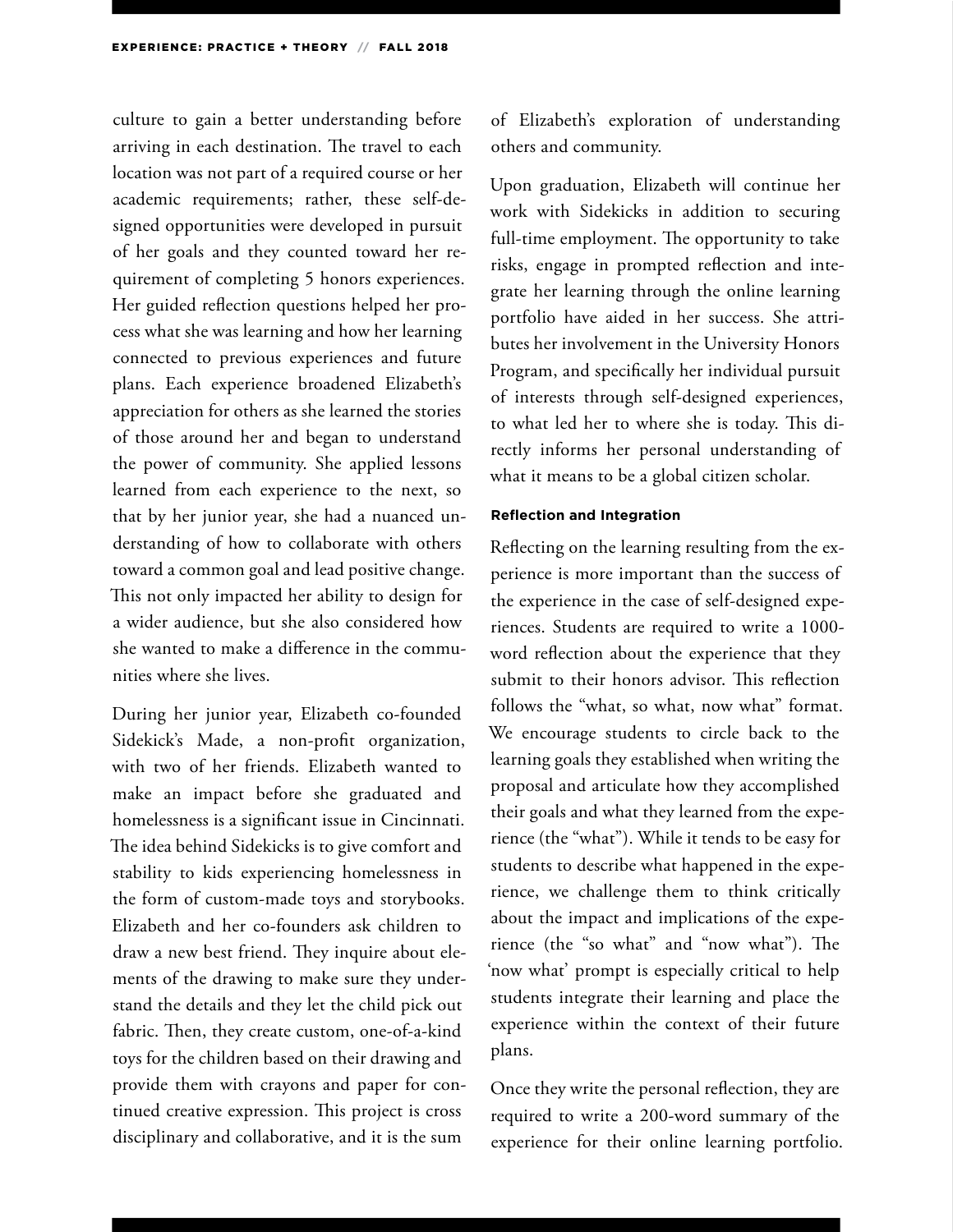culture to gain a better understanding before arriving in each destination. The travel to each location was not part of a required course or her academic requirements; rather, these self-designed opportunities were developed in pursuit of her goals and they counted toward her requirement of completing 5 honors experiences. Her guided reflection questions helped her process what she was learning and how her learning connected to previous experiences and future plans. Each experience broadened Elizabeth's appreciation for others as she learned the stories of those around her and began to understand the power of community. She applied lessons learned from each experience to the next, so that by her junior year, she had a nuanced understanding of how to collaborate with others toward a common goal and lead positive change. This not only impacted her ability to design for a wider audience, but she also considered how she wanted to make a difference in the communities where she lives.

During her junior year, Elizabeth co-founded Sidekick's Made, a non-profit organization, with two of her friends. Elizabeth wanted to make an impact before she graduated and homelessness is a significant issue in Cincinnati. The idea behind Sidekicks is to give comfort and stability to kids experiencing homelessness in the form of custom-made toys and storybooks. Elizabeth and her co-founders ask children to draw a new best friend. They inquire about elements of the drawing to make sure they understand the details and they let the child pick out fabric. Then, they create custom, one-of-a-kind toys for the children based on their drawing and provide them with crayons and paper for continued creative expression. This project is cross disciplinary and collaborative, and it is the sum

of Elizabeth's exploration of understanding others and community.

Upon graduation, Elizabeth will continue her work with Sidekicks in addition to securing full-time employment. The opportunity to take risks, engage in prompted reflection and integrate her learning through the online learning portfolio have aided in her success. She attributes her involvement in the University Honors Program, and specifically her individual pursuit of interests through self-designed experiences, to what led her to where she is today. This directly informs her personal understanding of what it means to be a global citizen scholar.

#### **Reflection and Integration**

Reflecting on the learning resulting from the experience is more important than the success of the experience in the case of self-designed experiences. Students are required to write a 1000 word reflection about the experience that they submit to their honors advisor. This reflection follows the "what, so what, now what" format. We encourage students to circle back to the learning goals they established when writing the proposal and articulate how they accomplished their goals and what they learned from the experience (the "what"). While it tends to be easy for students to describe what happened in the experience, we challenge them to think critically about the impact and implications of the experience (the "so what" and "now what"). The 'now what' prompt is especially critical to help students integrate their learning and place the experience within the context of their future plans.

Once they write the personal reflection, they are required to write a 200-word summary of the experience for their online learning portfolio.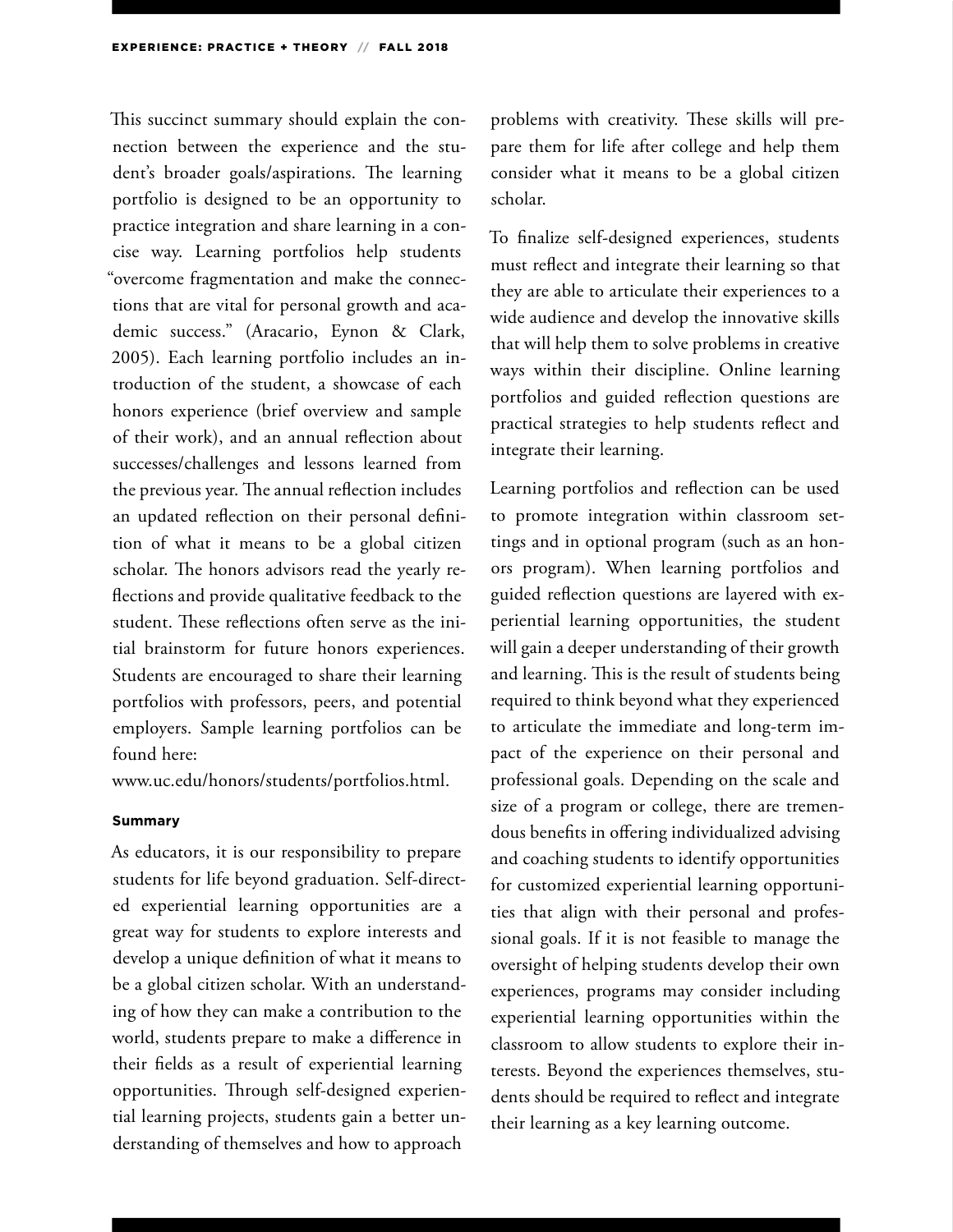This succinct summary should explain the connection between the experience and the student's broader goals/aspirations. The learning portfolio is designed to be an opportunity to practice integration and share learning in a concise way. Learning portfolios help students "overcome fragmentation and make the connections that are vital for personal growth and academic success." (Aracario, Eynon & Clark, 2005). Each learning portfolio includes an introduction of the student, a showcase of each honors experience (brief overview and sample of their work), and an annual reflection about successes/challenges and lessons learned from the previous year. The annual reflection includes an updated reflection on their personal definition of what it means to be a global citizen scholar. The honors advisors read the yearly reflections and provide qualitative feedback to the student. These reflections often serve as the initial brainstorm for future honors experiences. Students are encouraged to share their learning portfolios with professors, peers, and potential employers. Sample learning portfolios can be found here:

www.uc.edu/honors/students/portfolios.html.

#### **Summary**

As educators, it is our responsibility to prepare students for life beyond graduation. Self-directed experiential learning opportunities are a great way for students to explore interests and develop a unique definition of what it means to be a global citizen scholar. With an understanding of how they can make a contribution to the world, students prepare to make a difference in their fields as a result of experiential learning opportunities. Through self-designed experiential learning projects, students gain a better understanding of themselves and how to approach

problems with creativity. These skills will prepare them for life after college and help them consider what it means to be a global citizen scholar.

To finalize self-designed experiences, students must reflect and integrate their learning so that they are able to articulate their experiences to a wide audience and develop the innovative skills that will help them to solve problems in creative ways within their discipline. Online learning portfolios and guided reflection questions are practical strategies to help students reflect and integrate their learning.

Learning portfolios and reflection can be used to promote integration within classroom settings and in optional program (such as an honors program). When learning portfolios and guided reflection questions are layered with experiential learning opportunities, the student will gain a deeper understanding of their growth and learning. This is the result of students being required to think beyond what they experienced to articulate the immediate and long-term impact of the experience on their personal and professional goals. Depending on the scale and size of a program or college, there are tremendous benefits in offering individualized advising and coaching students to identify opportunities for customized experiential learning opportunities that align with their personal and professional goals. If it is not feasible to manage the oversight of helping students develop their own experiences, programs may consider including experiential learning opportunities within the classroom to allow students to explore their interests. Beyond the experiences themselves, students should be required to reflect and integrate their learning as a key learning outcome.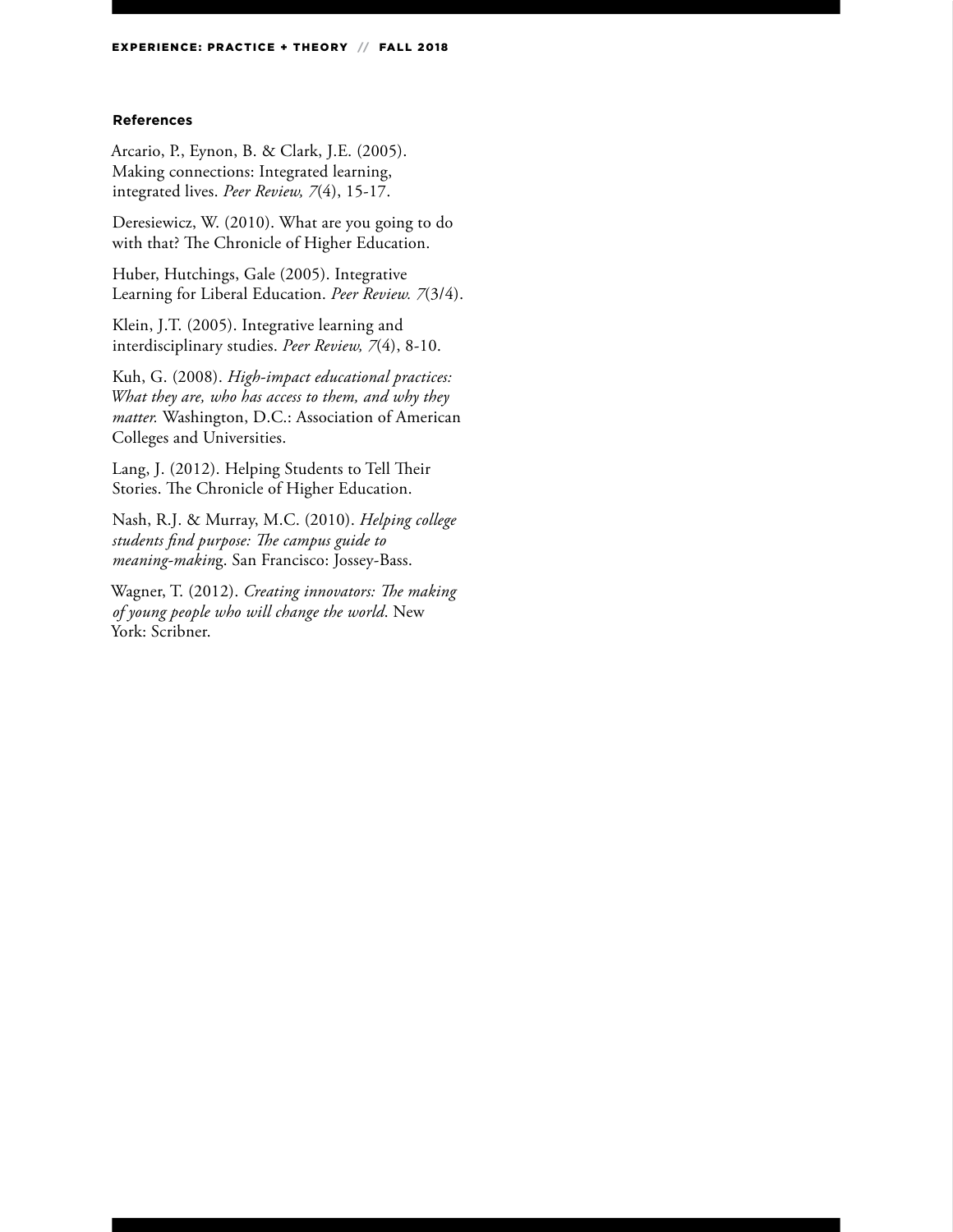#### **References**

Arcario, P., Eynon, B. & Clark, J.E. (2005). Making connections: Integrated learning, integrated lives. *Peer Review, 7*(4), 15-17.

Deresiewicz, W. (2010). What are you going to do with that? The Chronicle of Higher Education.

Huber, Hutchings, Gale (2005). Integrative Learning for Liberal Education. *Peer Review. 7*(3/4).

Klein, J.T. (2005). Integrative learning and interdisciplinary studies. *Peer Review, 7*(4), 8-10.

Kuh, G. (2008). *High-impact educational practices: What they are, who has access to them, and why they matter.* Washington, D.C.: Association of American Colleges and Universities.

Lang, J. (2012). Helping Students to Tell Their Stories. The Chronicle of Higher Education.

Nash, R.J. & Murray, M.C. (2010). *Helping college students find purpose: The campus guide to meaning-makin*g. San Francisco: Jossey-Bass.

Wagner, T. (2012). *Creating innovators: The making of young people who will change the world*. New York: Scribner.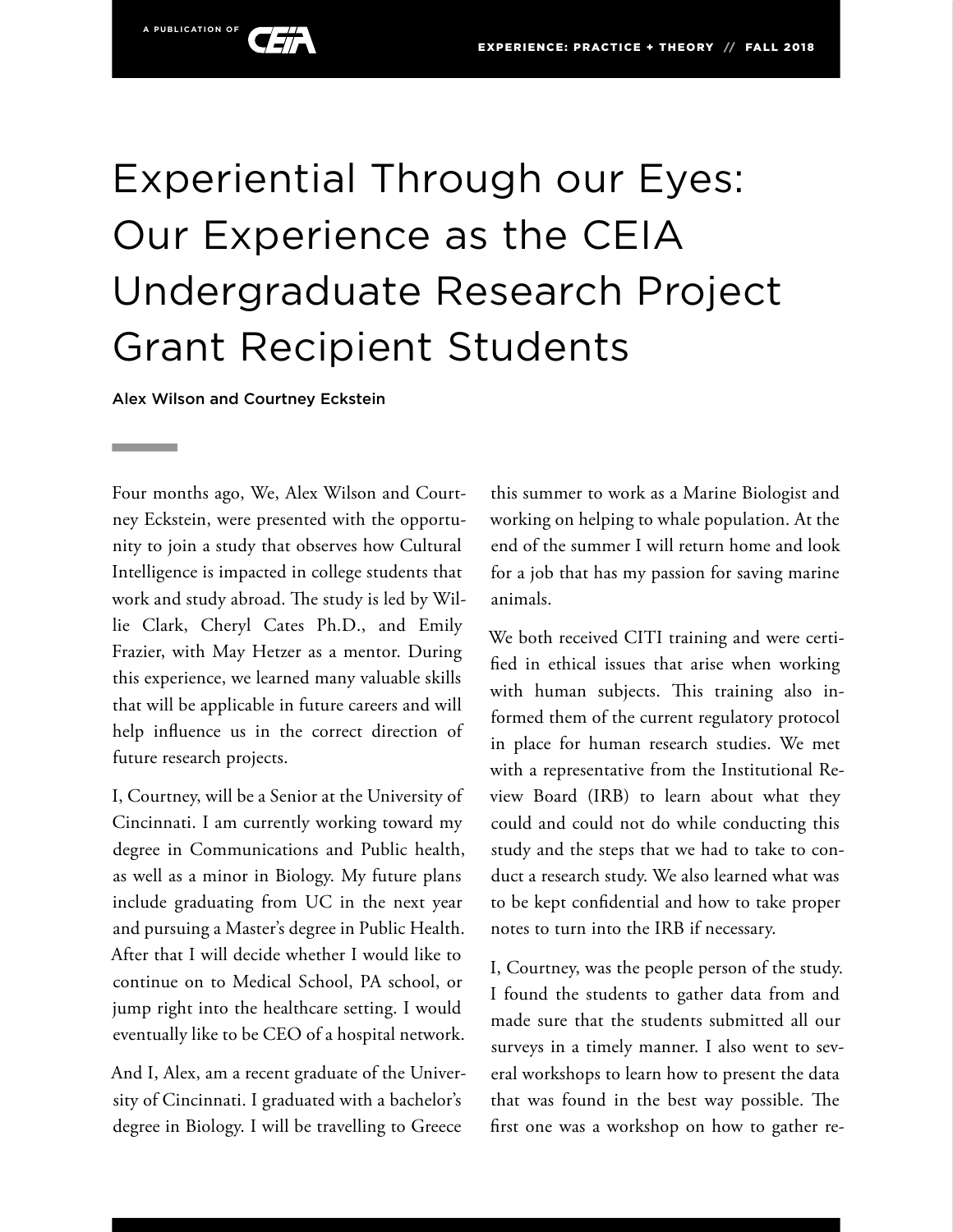

Alex Wilson and Courtney Eckstein

Four months ago, We, Alex Wilson and Courtney Eckstein, were presented with the opportunity to join a study that observes how Cultural Intelligence is impacted in college students that work and study abroad. The study is led by Willie Clark, Cheryl Cates Ph.D., and Emily Frazier, with May Hetzer as a mentor. During this experience, we learned many valuable skills that will be applicable in future careers and will help influence us in the correct direction of future research projects.

I, Courtney, will be a Senior at the University of Cincinnati. I am currently working toward my degree in Communications and Public health, as well as a minor in Biology. My future plans include graduating from UC in the next year and pursuing a Master's degree in Public Health. After that I will decide whether I would like to continue on to Medical School, PA school, or jump right into the healthcare setting. I would eventually like to be CEO of a hospital network.

And I, Alex, am a recent graduate of the University of Cincinnati. I graduated with a bachelor's degree in Biology. I will be travelling to Greece

this summer to work as a Marine Biologist and working on helping to whale population. At the end of the summer I will return home and look for a job that has my passion for saving marine animals.

We both received CITI training and were certified in ethical issues that arise when working with human subjects. This training also informed them of the current regulatory protocol in place for human research studies. We met with a representative from the Institutional Review Board (IRB) to learn about what they could and could not do while conducting this study and the steps that we had to take to conduct a research study. We also learned what was to be kept confidential and how to take proper notes to turn into the IRB if necessary.

I, Courtney, was the people person of the study. I found the students to gather data from and made sure that the students submitted all our surveys in a timely manner. I also went to several workshops to learn how to present the data that was found in the best way possible. The first one was a workshop on how to gather re-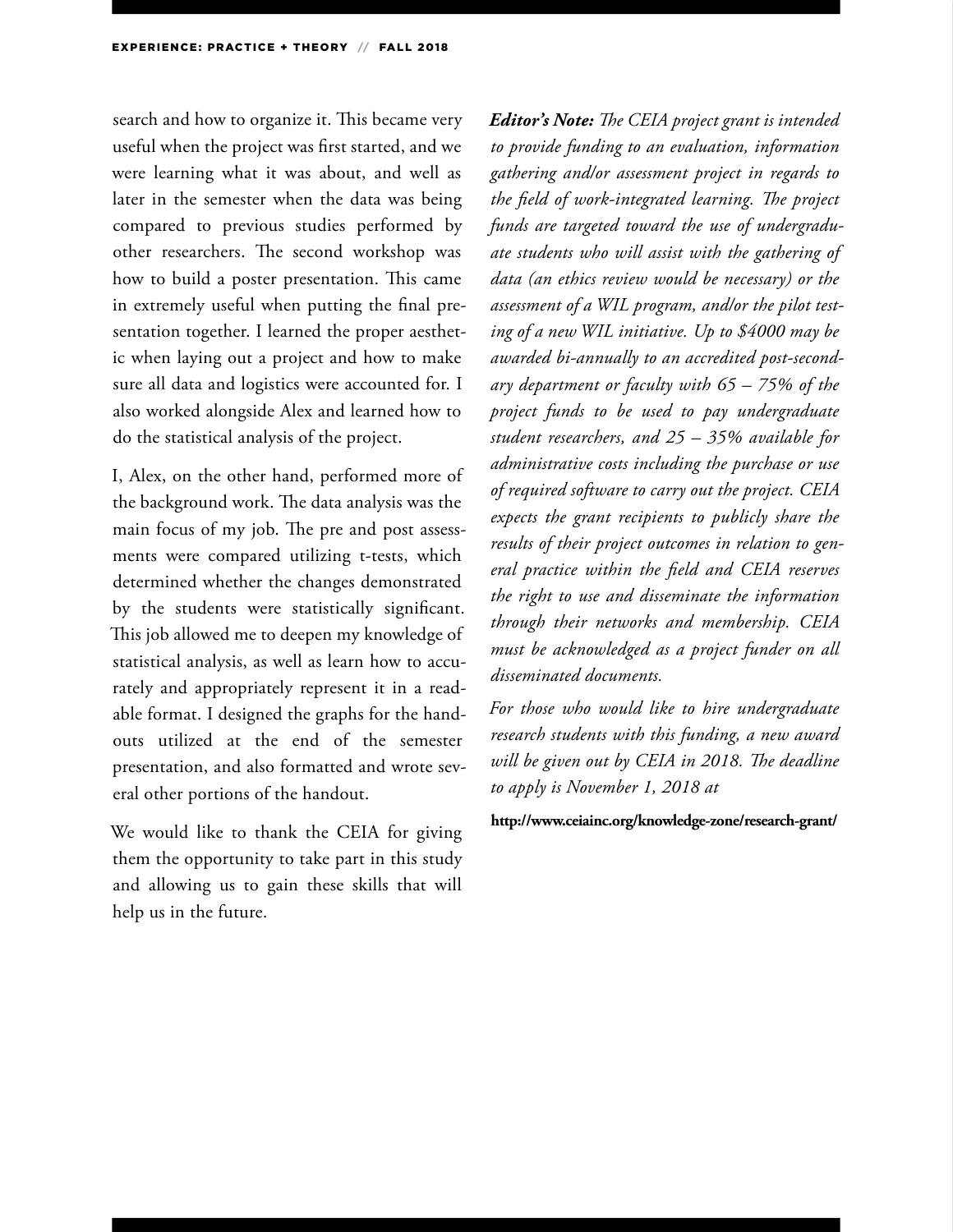search and how to organize it. This became very useful when the project was first started, and we were learning what it was about, and well as later in the semester when the data was being compared to previous studies performed by other researchers. The second workshop was how to build a poster presentation. This came in extremely useful when putting the final presentation together. I learned the proper aesthetic when laying out a project and how to make sure all data and logistics were accounted for. I also worked alongside Alex and learned how to do the statistical analysis of the project.

I, Alex, on the other hand, performed more of the background work. The data analysis was the main focus of my job. The pre and post assessments were compared utilizing t-tests, which determined whether the changes demonstrated by the students were statistically significant. This job allowed me to deepen my knowledge of statistical analysis, as well as learn how to accurately and appropriately represent it in a readable format. I designed the graphs for the handouts utilized at the end of the semester presentation, and also formatted and wrote several other portions of the handout.

We would like to thank the CEIA for giving them the opportunity to take part in this study and allowing us to gain these skills that will help us in the future.

*Editor's Note: The CEIA project grant is intended to provide funding to an evaluation, information gathering and/or assessment project in regards to the field of work-integrated learning. The project funds are targeted toward the use of undergraduate students who will assist with the gathering of data (an ethics review would be necessary) or the assessment of a WIL program, and/or the pilot testing of a new WIL initiative. Up to \$4000 may be awarded bi-annually to an accredited post-secondary department or faculty with 65 – 75% of the project funds to be used to pay undergraduate student researchers, and 25 – 35% available for administrative costs including the purchase or use of required software to carry out the project. CEIA expects the grant recipients to publicly share the results of their project outcomes in relation to general practice within the field and CEIA reserves the right to use and disseminate the information through their networks and membership. CEIA must be acknowledged as a project funder on all disseminated documents.*

*For those who would like to hire undergraduate research students with this funding, a new award will be given out by CEIA in 2018. The deadline to apply is November 1, 2018 at* 

#### **http://www.ceiainc.org/knowledge-zone/research-grant/**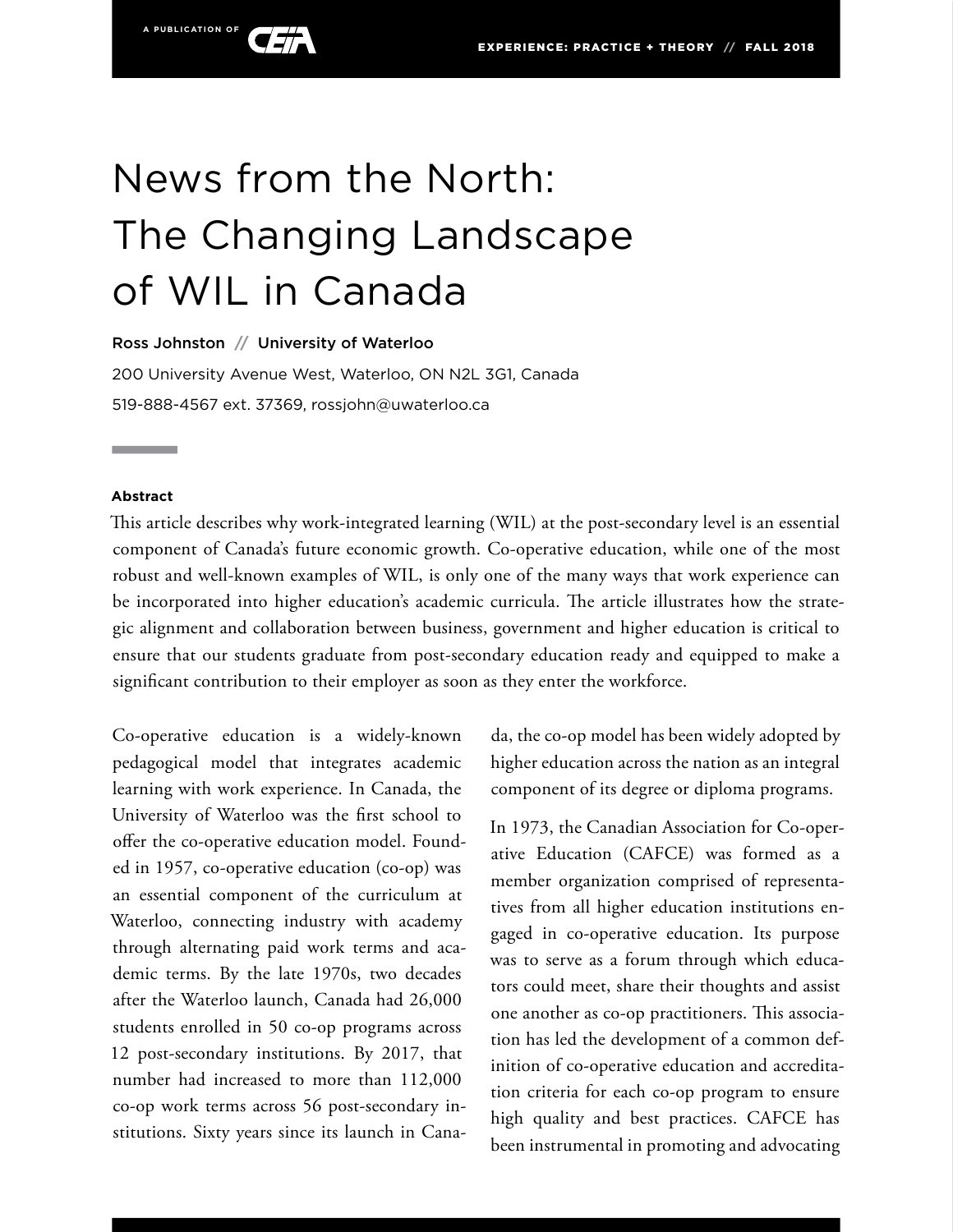

# News from the North: The Changing Landscape of WIL in Canada

Ross Johnston **//** University of Waterloo

200 University Avenue West, Waterloo, ON N2L 3G1, Canada 519-888-4567 ext. 37369, rossjohn@uwaterloo.ca

#### **Abstract**

This article describes why work-integrated learning (WIL) at the post-secondary level is an essential component of Canada's future economic growth. Co-operative education, while one of the most robust and well-known examples of WIL, is only one of the many ways that work experience can be incorporated into higher education's academic curricula. The article illustrates how the strategic alignment and collaboration between business, government and higher education is critical to ensure that our students graduate from post-secondary education ready and equipped to make a significant contribution to their employer as soon as they enter the workforce.

Co-operative education is a widely-known pedagogical model that integrates academic learning with work experience. In Canada, the University of Waterloo was the first school to offer the co-operative education model. Founded in 1957, co-operative education (co-op) was an essential component of the curriculum at Waterloo, connecting industry with academy through alternating paid work terms and academic terms. By the late 1970s, two decades after the Waterloo launch, Canada had 26,000 students enrolled in 50 co-op programs across 12 post-secondary institutions. By 2017, that number had increased to more than 112,000 co-op work terms across 56 post-secondary institutions. Sixty years since its launch in Cana-

da, the co-op model has been widely adopted by higher education across the nation as an integral component of its degree or diploma programs.

In 1973, the Canadian Association for Co-operative Education (CAFCE) was formed as a member organization comprised of representatives from all higher education institutions engaged in co-operative education. Its purpose was to serve as a forum through which educators could meet, share their thoughts and assist one another as co-op practitioners. This association has led the development of a common definition of co-operative education and accreditation criteria for each co-op program to ensure high quality and best practices. CAFCE has been instrumental in promoting and advocating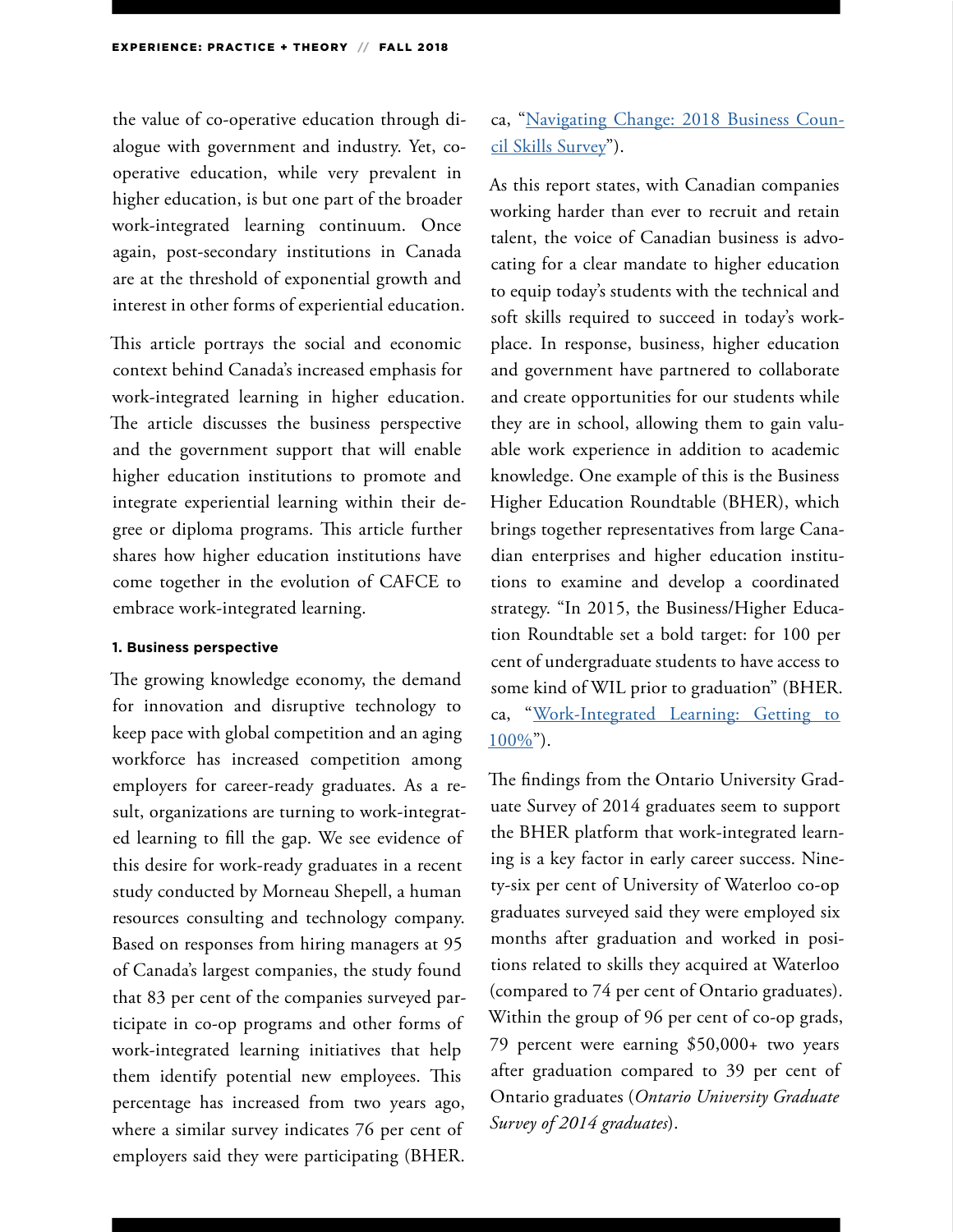the value of co-operative education through dialogue with government and industry. Yet, cooperative education, while very prevalent in higher education, is but one part of the broader work-integrated learning continuum. Once again, post-secondary institutions in Canada are at the threshold of exponential growth and interest in other forms of experiential education.

This article portrays the social and economic context behind Canada's increased emphasis for work-integrated learning in higher education. The article discusses the business perspective and the government support that will enable higher education institutions to promote and integrate experiential learning within their degree or diploma programs. This article further shares how higher education institutions have come together in the evolution of CAFCE to embrace work-integrated learning.

#### **1. Business perspective**

The growing knowledge economy, the demand for innovation and disruptive technology to keep pace with global competition and an aging workforce has increased competition among employers for career-ready graduates. As a result, organizations are turning to work-integrated learning to fill the gap. We see evidence of this desire for work-ready graduates in a recent study conducted by Morneau Shepell, a human resources consulting and technology company. Based on responses from hiring managers at 95 of Canada's largest companies, the study found that 83 per cent of the companies surveyed participate in co-op programs and other forms of work-integrated learning initiatives that help them identify potential new employees. This percentage has increased from two years ago, where a similar survey indicates 76 per cent of employers said they were participating (BHER.

# ca, "[Navigating Change: 2018 Business Coun](http://bher.ca/publications/2018skillssurvey)[cil Skills Survey](http://bher.ca/publications/2018skillssurvey)").

As this report states, with Canadian companies working harder than ever to recruit and retain talent, the voice of Canadian business is advocating for a clear mandate to higher education to equip today's students with the technical and soft skills required to succeed in today's workplace. In response, business, higher education and government have partnered to collaborate and create opportunities for our students while they are in school, allowing them to gain valuable work experience in addition to academic knowledge. One example of this is the Business Higher Education Roundtable (BHER), which brings together representatives from large Canadian enterprises and higher education institutions to examine and develop a coordinated strategy. "In 2015, the Business/Higher Education Roundtable set a bold target: for 100 per cent of undergraduate students to have access to some kind of WIL prior to graduation" (BHER. ca, ["Work-Integrated Learning: Getting to](http://bher.ca/initiatives/work-integrated-learning-getting-100)   $100\%$ ").

The findings from the Ontario University Graduate Survey of 2014 graduates seem to support the BHER platform that work-integrated learning is a key factor in early career success. Ninety-six per cent of University of Waterloo co-op graduates surveyed said they were employed six months after graduation and worked in positions related to skills they acquired at Waterloo (compared to 74 per cent of Ontario graduates). Within the group of 96 per cent of co-op grads, 79 percent were earning \$50,000+ two years after graduation compared to 39 per cent of Ontario graduates (*Ontario University Graduate Survey of 2014 graduates*).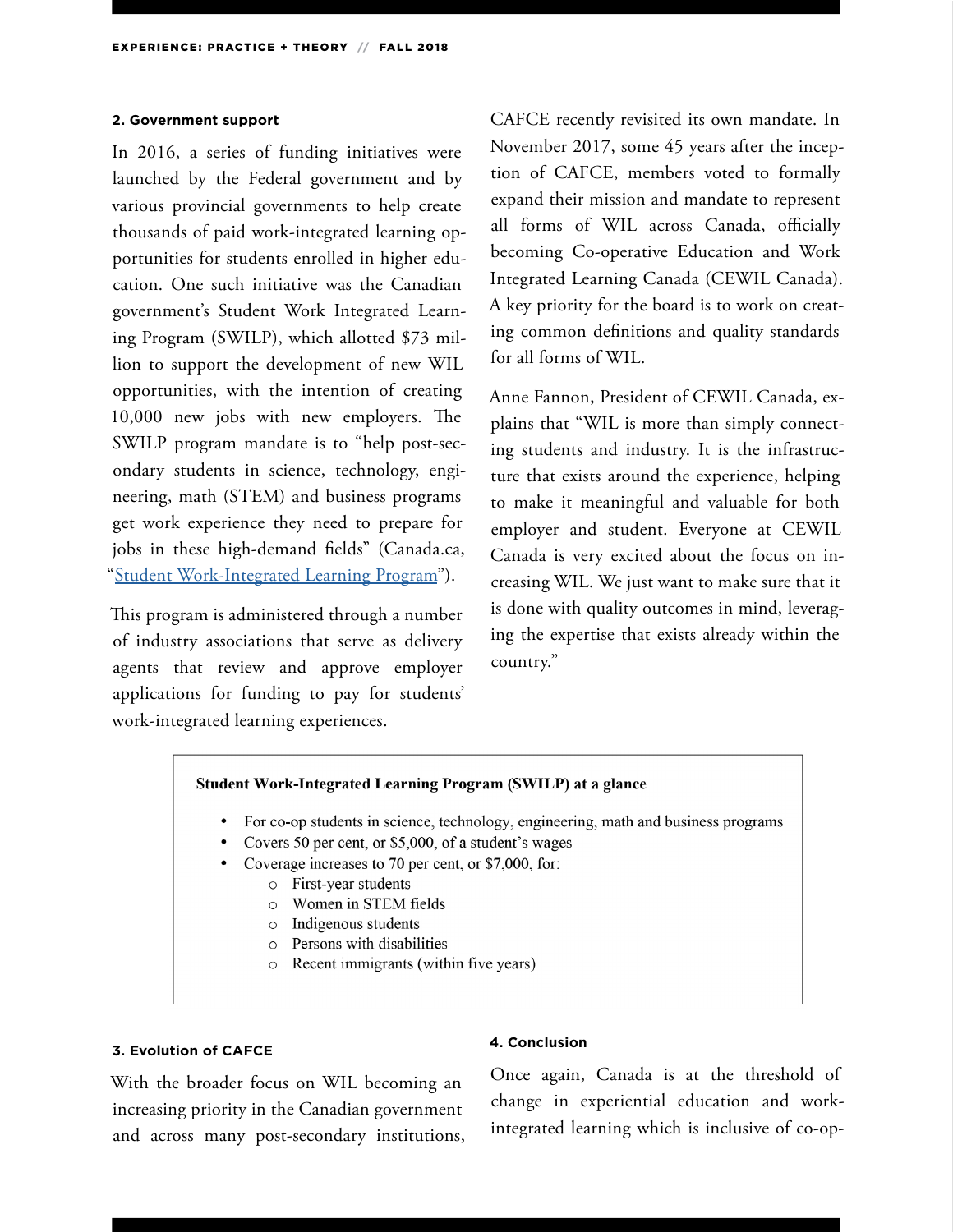#### **2. Government support**

In 2016, a series of funding initiatives were launched by the Federal government and by various provincial governments to help create thousands of paid work-integrated learning opportunities for students enrolled in higher education. One such initiative was the Canadian government's Student Work Integrated Learning Program (SWILP), which allotted \$73 million to support the development of new WIL opportunities, with the intention of creating 10,000 new jobs with new employers. The SWILP program mandate is to "help post-secondary students in science, technology, engineering, math (STEM) and business programs get work experience they need to prepare for jobs in these high-demand fields" (Canada.ca, "[Student Work-Integrated Learning Program"](https://www.canada.ca/en/employment-social-development/programs/work-integrated-learning.html)).

This program is administered through a number of industry associations that serve as delivery agents that review and approve employer applications for funding to pay for students' work-integrated learning experiences.

CAFCE recently revisited its own mandate. In November 2017, some 45 years after the inception of CAFCE, members voted to formally expand their mission and mandate to represent all forms of WIL across Canada, officially becoming Co-operative Education and Work Integrated Learning Canada (CEWIL Canada). A key priority for the board is to work on creating common definitions and quality standards for all forms of WIL.

Anne Fannon, President of CEWIL Canada, explains that "WIL is more than simply connecting students and industry. It is the infrastructure that exists around the experience, helping to make it meaningful and valuable for both employer and student. Everyone at CEWIL Canada is very excited about the focus on increasing WIL. We just want to make sure that it is done with quality outcomes in mind, leveraging the expertise that exists already within the country."

#### Student Work-Integrated Learning Program (SWILP) at a glance

- For co-op students in science, technology, engineering, math and business programs
- Covers 50 per cent, or \$5,000, of a student's wages
- Coverage increases to 70 per cent, or \$7,000, for:
	- o First-year students
	- o Women in STEM fields
	- o Indigenous students
	- $\circ$  Persons with disabilities
	- o Recent immigrants (within five years)

#### **3. Evolution of CAFCE**

With the broader focus on WIL becoming an increasing priority in the Canadian government and across many post-secondary institutions,

#### **4. Conclusion**

Once again, Canada is at the threshold of change in experiential education and workintegrated learning which is inclusive of co-op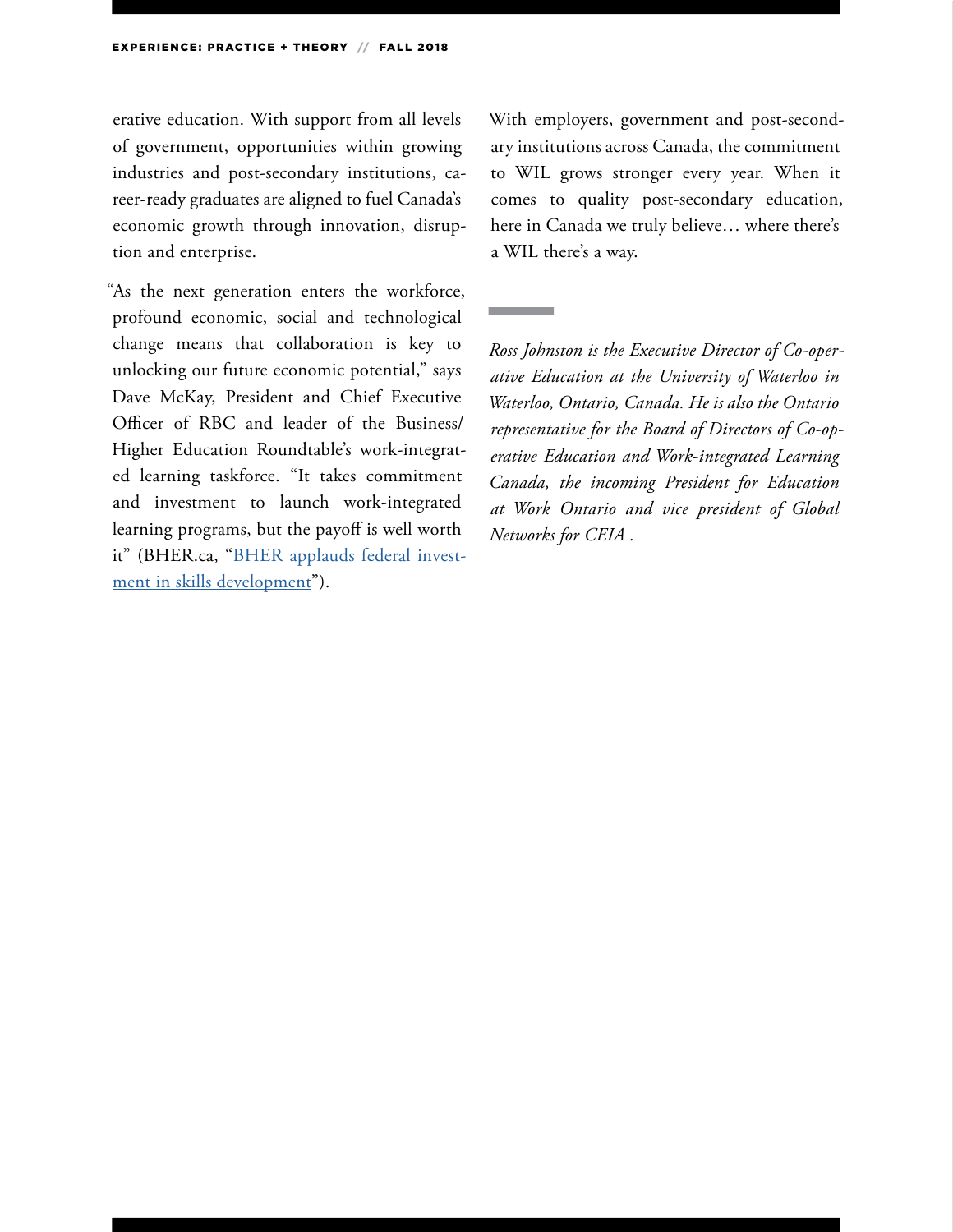erative education. With support from all levels of government, opportunities within growing industries and post-secondary institutions, career-ready graduates are aligned to fuel Canada's economic growth through innovation, disruption and enterprise.

"As the next generation enters the workforce, profound economic, social and technological change means that collaboration is key to unlocking our future economic potential," says Dave McKay, President and Chief Executive Officer of RBC and leader of the Business/ Higher Education Roundtable's work-integrated learning taskforce. "It takes commitment and investment to launch work-integrated learning programs, but the payoff is well worth it" (BHER.ca, "[BHER applauds federal invest](http://bher.ca/news/bher-applauds-federal-investments-in-skills-development)[ment in skills development](http://bher.ca/news/bher-applauds-federal-investments-in-skills-development)").

With employers, government and post-secondary institutions across Canada, the commitment to WIL grows stronger every year. When it comes to quality post-secondary education, here in Canada we truly believe… where there's a WIL there's a way.

*Ross Johnston is the Executive Director of Co-operative Education at the University of Waterloo in Waterloo, Ontario, Canada. He is also the Ontario representative for the Board of Directors of Co-operative Education and Work-integrated Learning Canada, the incoming President for Education at Work Ontario and vice president of Global Networks for CEIA .*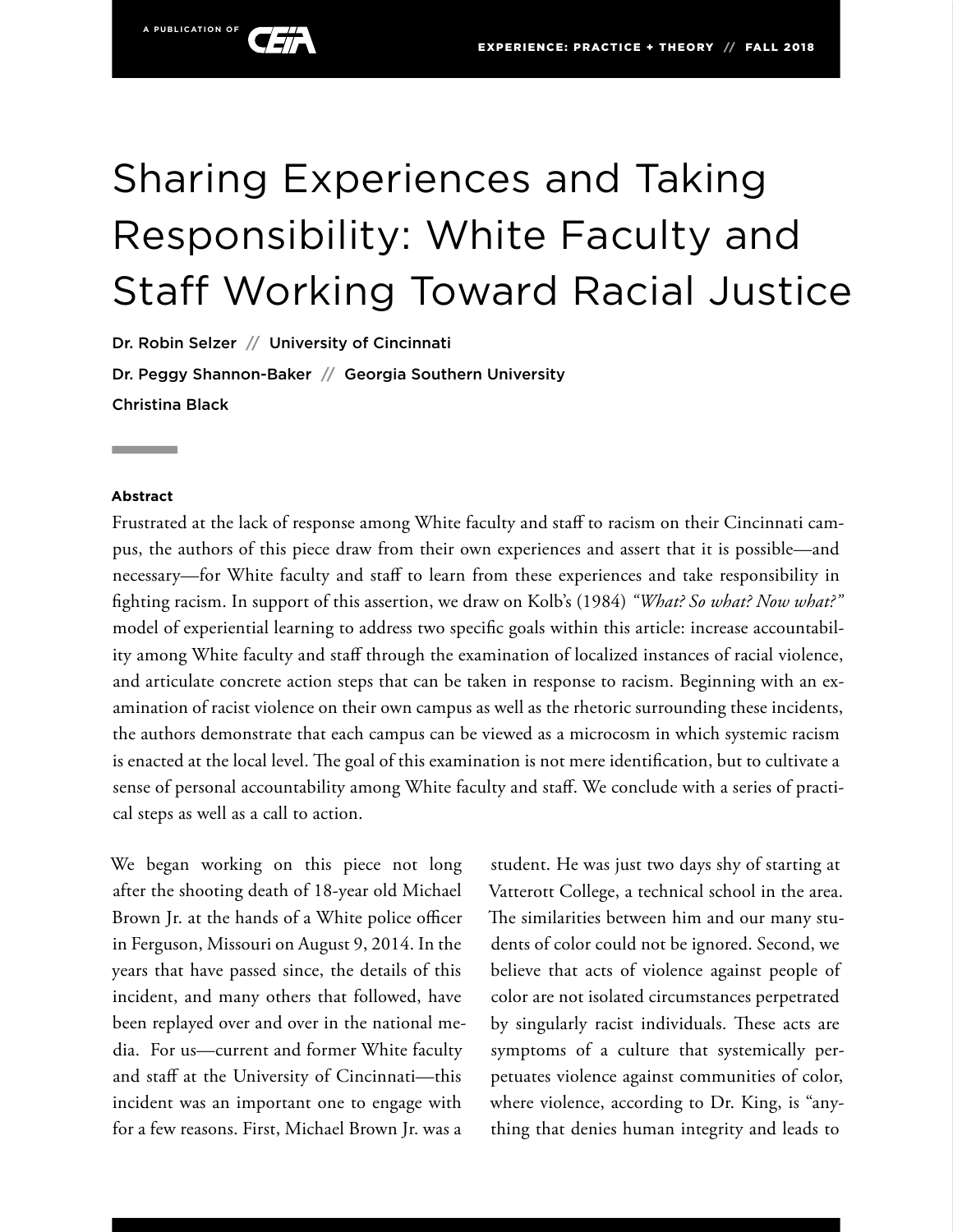# Sharing Experiences and Taking Responsibility: White Faculty and Staff Working Toward Racial Justice

Dr. Robin Selzer **//** University of Cincinnati Dr. Peggy Shannon-Baker **//** Georgia Southern University Christina Black

#### **Abstract**

Frustrated at the lack of response among White faculty and staff to racism on their Cincinnati campus, the authors of this piece draw from their own experiences and assert that it is possible—and necessary—for White faculty and staff to learn from these experiences and take responsibility in fighting racism. In support of this assertion, we draw on Kolb's (1984) *"What? So what? Now what?"* model of experiential learning to address two specific goals within this article: increase accountability among White faculty and staff through the examination of localized instances of racial violence, and articulate concrete action steps that can be taken in response to racism. Beginning with an examination of racist violence on their own campus as well as the rhetoric surrounding these incidents, the authors demonstrate that each campus can be viewed as a microcosm in which systemic racism is enacted at the local level. The goal of this examination is not mere identification, but to cultivate a sense of personal accountability among White faculty and staff. We conclude with a series of practical steps as well as a call to action.

We began working on this piece not long after the shooting death of 18-year old Michael Brown Jr. at the hands of a White police officer in Ferguson, Missouri on August 9, 2014. In the years that have passed since, the details of this incident, and many others that followed, have been replayed over and over in the national media. For us—current and former White faculty and staff at the University of Cincinnati—this incident was an important one to engage with for a few reasons. First, Michael Brown Jr. was a

student. He was just two days shy of starting at Vatterott College, a technical school in the area. The similarities between him and our many students of color could not be ignored. Second, we believe that acts of violence against people of color are not isolated circumstances perpetrated by singularly racist individuals. These acts are symptoms of a culture that systemically perpetuates violence against communities of color, where violence, according to Dr. King, is "anything that denies human integrity and leads to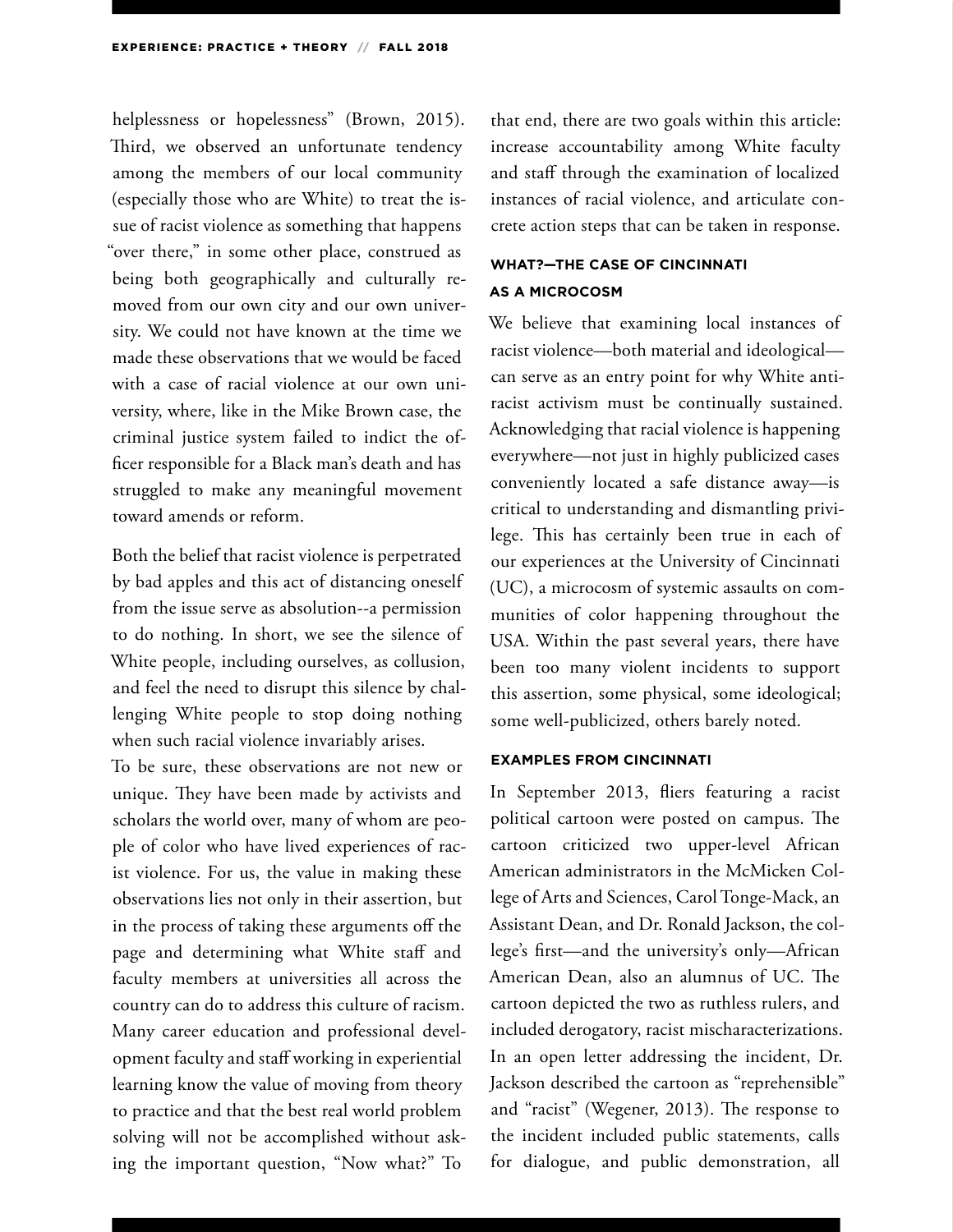helplessness or hopelessness" (Brown, 2015). Third, we observed an unfortunate tendency among the members of our local community (especially those who are White) to treat the issue of racist violence as something that happens "over there," in some other place, construed as being both geographically and culturally removed from our own city and our own university. We could not have known at the time we made these observations that we would be faced with a case of racial violence at our own university, where, like in the Mike Brown case, the criminal justice system failed to indict the officer responsible for a Black man's death and has struggled to make any meaningful movement toward amends or reform.

Both the belief that racist violence is perpetrated by bad apples and this act of distancing oneself from the issue serve as absolution--a permission to do nothing. In short, we see the silence of White people, including ourselves, as collusion, and feel the need to disrupt this silence by challenging White people to stop doing nothing when such racial violence invariably arises.

To be sure, these observations are not new or unique. They have been made by activists and scholars the world over, many of whom are people of color who have lived experiences of racist violence. For us, the value in making these observations lies not only in their assertion, but in the process of taking these arguments off the page and determining what White staff and faculty members at universities all across the country can do to address this culture of racism. Many career education and professional development faculty and staff working in experiential learning know the value of moving from theory to practice and that the best real world problem solving will not be accomplished without asking the important question, "Now what?" To

that end, there are two goals within this article: increase accountability among White faculty and staff through the examination of localized instances of racial violence, and articulate concrete action steps that can be taken in response.

### **WHAT?—THE CASE OF CINCINNATI AS A MICROCOSM**

We believe that examining local instances of racist violence—both material and ideological can serve as an entry point for why White antiracist activism must be continually sustained. Acknowledging that racial violence is happening everywhere—not just in highly publicized cases conveniently located a safe distance away—is critical to understanding and dismantling privilege. This has certainly been true in each of our experiences at the University of Cincinnati (UC), a microcosm of systemic assaults on communities of color happening throughout the USA. Within the past several years, there have been too many violent incidents to support this assertion, some physical, some ideological; some well-publicized, others barely noted.

#### **EXAMPLES FROM CINCINNATI**

In September 2013, fliers featuring a racist political cartoon were posted on campus. The cartoon criticized two upper-level African American administrators in the McMicken College of Arts and Sciences, Carol Tonge-Mack, an Assistant Dean, and Dr. Ronald Jackson, the college's first—and the university's only—African American Dean, also an alumnus of UC. The cartoon depicted the two as ruthless rulers, and included derogatory, racist mischaracterizations. In an open letter addressing the incident, Dr. Jackson described the cartoon as "reprehensible" and "racist" (Wegener, 2013). The response to the incident included public statements, calls for dialogue, and public demonstration, all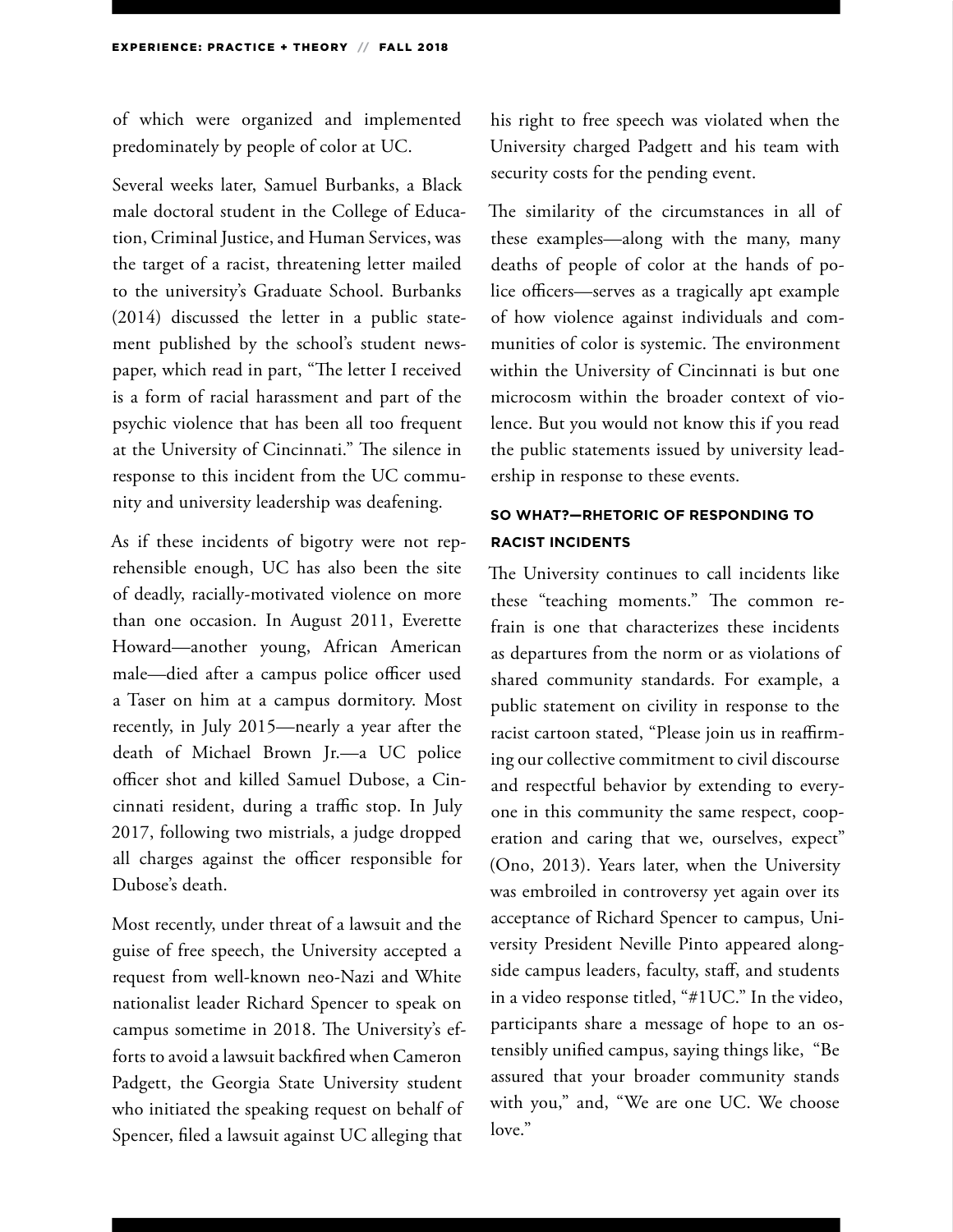of which were organized and implemented predominately by people of color at UC.

Several weeks later, Samuel Burbanks, a Black male doctoral student in the College of Education, Criminal Justice, and Human Services, was the target of a racist, threatening letter mailed to the university's Graduate School. Burbanks (2014) discussed the letter in a public statement published by the school's student newspaper, which read in part, "The letter I received is a form of racial harassment and part of the psychic violence that has been all too frequent at the University of Cincinnati." The silence in response to this incident from the UC community and university leadership was deafening.

As if these incidents of bigotry were not reprehensible enough, UC has also been the site of deadly, racially-motivated violence on more than one occasion. In August 2011, Everette Howard—another young, African American male—died after a campus police officer used a Taser on him at a campus dormitory. Most recently, in July 2015—nearly a year after the death of Michael Brown Jr.—a UC police officer shot and killed Samuel Dubose, a Cincinnati resident, during a traffic stop. In July 2017, following two mistrials, a judge dropped all charges against the officer responsible for Dubose's death.

Most recently, under threat of a lawsuit and the guise of free speech, the University accepted a request from well-known neo-Nazi and White nationalist leader Richard Spencer to speak on campus sometime in 2018. The University's efforts to avoid a lawsuit backfired when Cameron Padgett, the Georgia State University student who initiated the speaking request on behalf of Spencer, filed a lawsuit against UC alleging that

his right to free speech was violated when the University charged Padgett and his team with security costs for the pending event.

The similarity of the circumstances in all of these examples—along with the many, many deaths of people of color at the hands of police officers—serves as a tragically apt example of how violence against individuals and communities of color is systemic. The environment within the University of Cincinnati is but one microcosm within the broader context of violence. But you would not know this if you read the public statements issued by university leadership in response to these events.

# **SO WHAT?—RHETORIC OF RESPONDING TO RACIST INCIDENTS**

The University continues to call incidents like these "teaching moments." The common refrain is one that characterizes these incidents as departures from the norm or as violations of shared community standards. For example, a public statement on civility in response to the racist cartoon stated, "Please join us in reaffirming our collective commitment to civil discourse and respectful behavior by extending to everyone in this community the same respect, cooperation and caring that we, ourselves, expect" (Ono, 2013). Years later, when the University was embroiled in controversy yet again over its acceptance of Richard Spencer to campus, University President Neville Pinto appeared alongside campus leaders, faculty, staff, and students in a video response titled, "#1UC." In the video, participants share a message of hope to an ostensibly unified campus, saying things like, "Be assured that your broader community stands with you," and, "We are one UC. We choose love."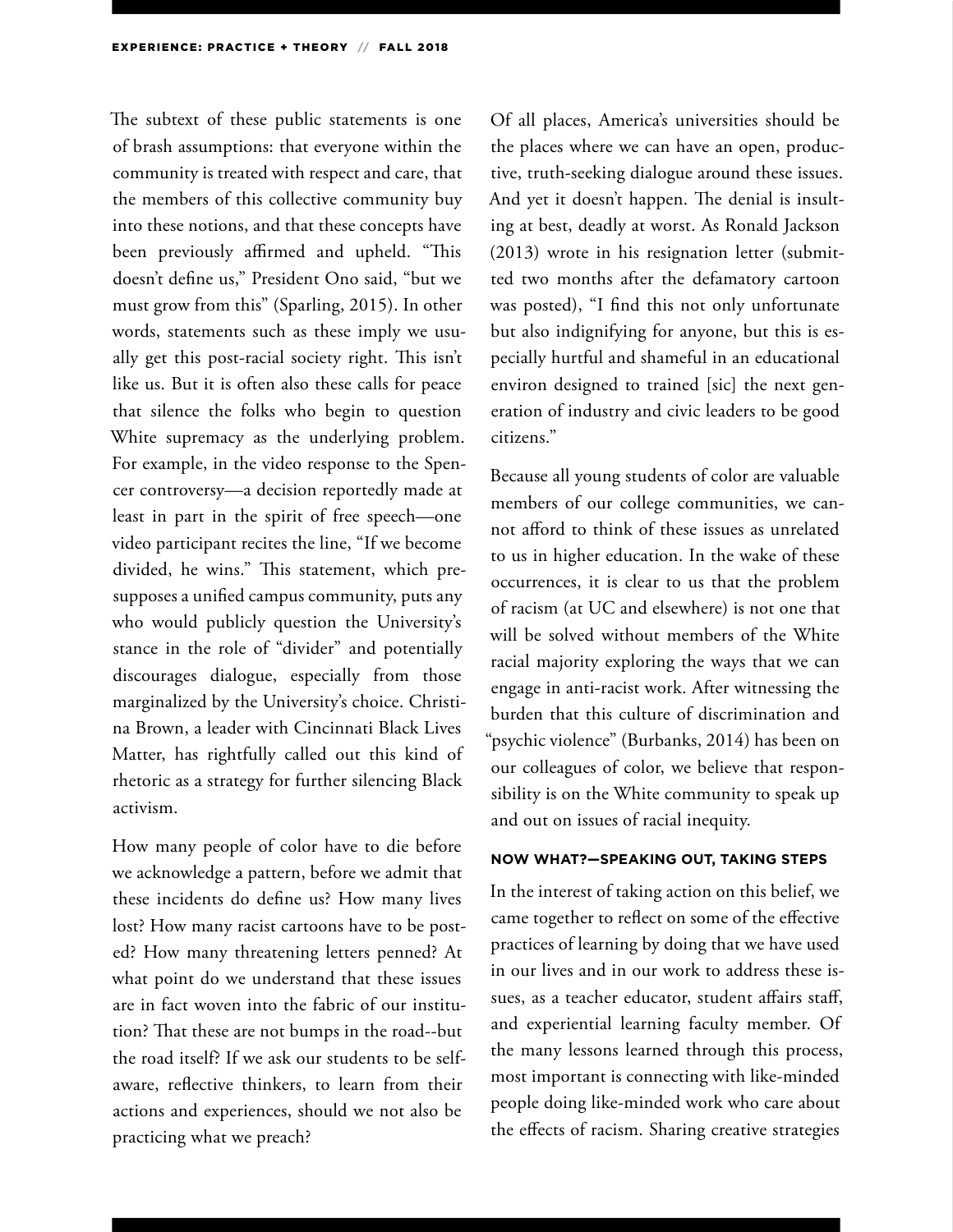The subtext of these public statements is one of brash assumptions: that everyone within the community is treated with respect and care, that the members of this collective community buy into these notions, and that these concepts have been previously affirmed and upheld. "This doesn't define us," President Ono said, "but we must grow from this" (Sparling, 2015). In other words, statements such as these imply we usually get this post-racial society right. This isn't like us. But it is often also these calls for peace that silence the folks who begin to question White supremacy as the underlying problem. For example, in the video response to the Spencer controversy—a decision reportedly made at least in part in the spirit of free speech—one video participant recites the line, "If we become divided, he wins." This statement, which presupposes a unified campus community, puts any who would publicly question the University's stance in the role of "divider" and potentially discourages dialogue, especially from those marginalized by the University's choice. Christina Brown, a leader with Cincinnati Black Lives Matter, has rightfully called out this kind of rhetoric as a strategy for further silencing Black activism.

How many people of color have to die before we acknowledge a pattern, before we admit that these incidents do define us? How many lives lost? How many racist cartoons have to be posted? How many threatening letters penned? At what point do we understand that these issues are in fact woven into the fabric of our institution? That these are not bumps in the road--but the road itself? If we ask our students to be selfaware, reflective thinkers, to learn from their actions and experiences, should we not also be practicing what we preach?

Of all places, America's universities should be the places where we can have an open, productive, truth-seeking dialogue around these issues. And yet it doesn't happen. The denial is insulting at best, deadly at worst. As Ronald Jackson (2013) wrote in his resignation letter (submitted two months after the defamatory cartoon was posted), "I find this not only unfortunate but also indignifying for anyone, but this is especially hurtful and shameful in an educational environ designed to trained [sic] the next generation of industry and civic leaders to be good citizens."

Because all young students of color are valuable members of our college communities, we cannot afford to think of these issues as unrelated to us in higher education. In the wake of these occurrences, it is clear to us that the problem of racism (at UC and elsewhere) is not one that will be solved without members of the White racial majority exploring the ways that we can engage in anti-racist work. After witnessing the burden that this culture of discrimination and "psychic violence" (Burbanks, 2014) has been on our colleagues of color, we believe that responsibility is on the White community to speak up and out on issues of racial inequity.

#### **NOW WHAT?—SPEAKING OUT, TAKING STEPS**

In the interest of taking action on this belief, we came together to reflect on some of the effective practices of learning by doing that we have used in our lives and in our work to address these issues, as a teacher educator, student affairs staff, and experiential learning faculty member. Of the many lessons learned through this process, most important is connecting with like-minded people doing like-minded work who care about the effects of racism. Sharing creative strategies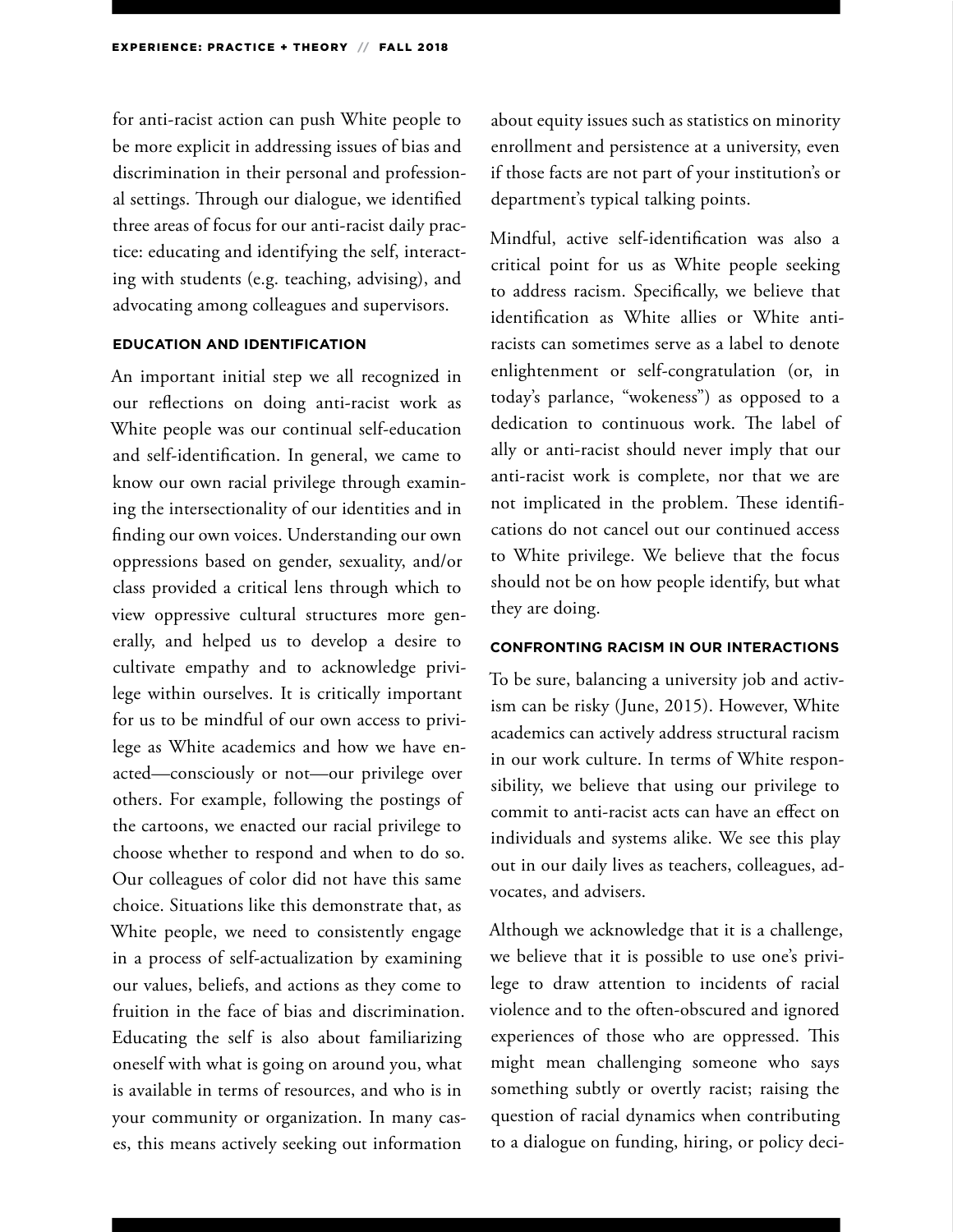for anti-racist action can push White people to be more explicit in addressing issues of bias and discrimination in their personal and professional settings. Through our dialogue, we identified three areas of focus for our anti-racist daily practice: educating and identifying the self, interacting with students (e.g. teaching, advising), and advocating among colleagues and supervisors.

#### **EDUCATION AND IDENTIFICATION**

An important initial step we all recognized in our reflections on doing anti-racist work as White people was our continual self-education and self-identification. In general, we came to know our own racial privilege through examining the intersectionality of our identities and in finding our own voices. Understanding our own oppressions based on gender, sexuality, and/or class provided a critical lens through which to view oppressive cultural structures more generally, and helped us to develop a desire to cultivate empathy and to acknowledge privilege within ourselves. It is critically important for us to be mindful of our own access to privilege as White academics and how we have enacted—consciously or not—our privilege over others. For example, following the postings of the cartoons, we enacted our racial privilege to choose whether to respond and when to do so. Our colleagues of color did not have this same choice. Situations like this demonstrate that, as White people, we need to consistently engage in a process of self-actualization by examining our values, beliefs, and actions as they come to fruition in the face of bias and discrimination. Educating the self is also about familiarizing oneself with what is going on around you, what is available in terms of resources, and who is in your community or organization. In many cases, this means actively seeking out information

about equity issues such as statistics on minority enrollment and persistence at a university, even if those facts are not part of your institution's or department's typical talking points.

Mindful, active self-identification was also a critical point for us as White people seeking to address racism. Specifically, we believe that identification as White allies or White antiracists can sometimes serve as a label to denote enlightenment or self-congratulation (or, in today's parlance, "wokeness") as opposed to a dedication to continuous work. The label of ally or anti-racist should never imply that our anti-racist work is complete, nor that we are not implicated in the problem. These identifications do not cancel out our continued access to White privilege. We believe that the focus should not be on how people identify, but what they are doing.

#### **CONFRONTING RACISM IN OUR INTERACTIONS**

To be sure, balancing a university job and activism can be risky (June, 2015). However, White academics can actively address structural racism in our work culture. In terms of White responsibility, we believe that using our privilege to commit to anti-racist acts can have an effect on individuals and systems alike. We see this play out in our daily lives as teachers, colleagues, advocates, and advisers.

Although we acknowledge that it is a challenge, we believe that it is possible to use one's privilege to draw attention to incidents of racial violence and to the often-obscured and ignored experiences of those who are oppressed. This might mean challenging someone who says something subtly or overtly racist; raising the question of racial dynamics when contributing to a dialogue on funding, hiring, or policy deci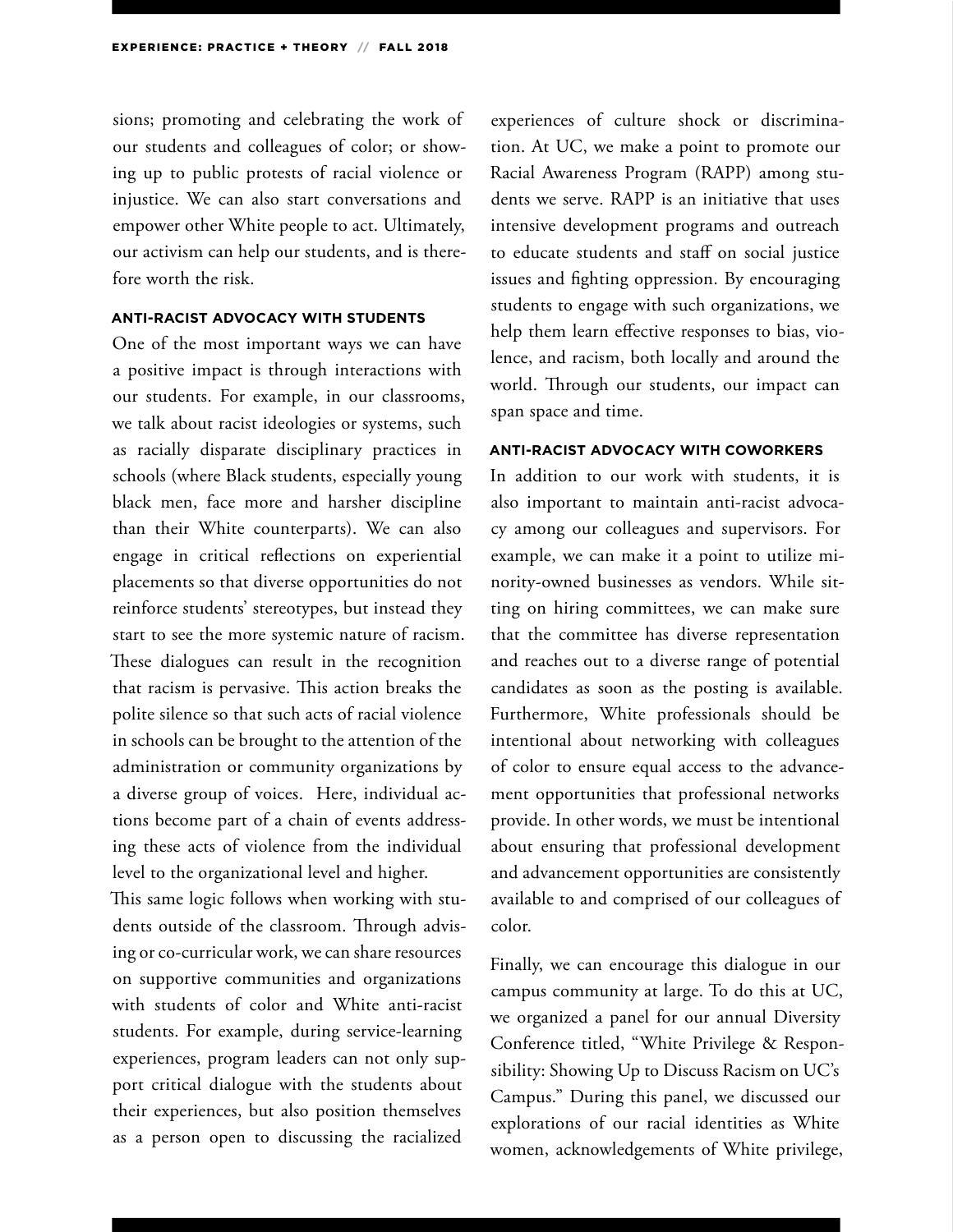sions; promoting and celebrating the work of our students and colleagues of color; or showing up to public protests of racial violence or injustice. We can also start conversations and empower other White people to act. Ultimately, our activism can help our students, and is therefore worth the risk.

#### **ANTI-RACIST ADVOCACY WITH STUDENTS**

One of the most important ways we can have a positive impact is through interactions with our students. For example, in our classrooms, we talk about racist ideologies or systems, such as racially disparate disciplinary practices in schools (where Black students, especially young black men, face more and harsher discipline than their White counterparts). We can also engage in critical reflections on experiential placements so that diverse opportunities do not reinforce students' stereotypes, but instead they start to see the more systemic nature of racism. These dialogues can result in the recognition that racism is pervasive. This action breaks the polite silence so that such acts of racial violence in schools can be brought to the attention of the administration or community organizations by a diverse group of voices. Here, individual actions become part of a chain of events addressing these acts of violence from the individual level to the organizational level and higher.

This same logic follows when working with students outside of the classroom. Through advising or co-curricular work, we can share resources on supportive communities and organizations with students of color and White anti-racist students. For example, during service-learning experiences, program leaders can not only support critical dialogue with the students about their experiences, but also position themselves as a person open to discussing the racialized

experiences of culture shock or discrimination. At UC, we make a point to promote our Racial Awareness Program (RAPP) among students we serve. RAPP is an initiative that uses intensive development programs and outreach to educate students and staff on social justice issues and fighting oppression. By encouraging students to engage with such organizations, we help them learn effective responses to bias, violence, and racism, both locally and around the world. Through our students, our impact can span space and time.

#### **ANTI-RACIST ADVOCACY WITH COWORKERS**

In addition to our work with students, it is also important to maintain anti-racist advocacy among our colleagues and supervisors. For example, we can make it a point to utilize minority-owned businesses as vendors. While sitting on hiring committees, we can make sure that the committee has diverse representation and reaches out to a diverse range of potential candidates as soon as the posting is available. Furthermore, White professionals should be intentional about networking with colleagues of color to ensure equal access to the advancement opportunities that professional networks provide. In other words, we must be intentional about ensuring that professional development and advancement opportunities are consistently available to and comprised of our colleagues of color.

Finally, we can encourage this dialogue in our campus community at large. To do this at UC, we organized a panel for our annual Diversity Conference titled, "White Privilege & Responsibility: Showing Up to Discuss Racism on UC's Campus." During this panel, we discussed our explorations of our racial identities as White women, acknowledgements of White privilege,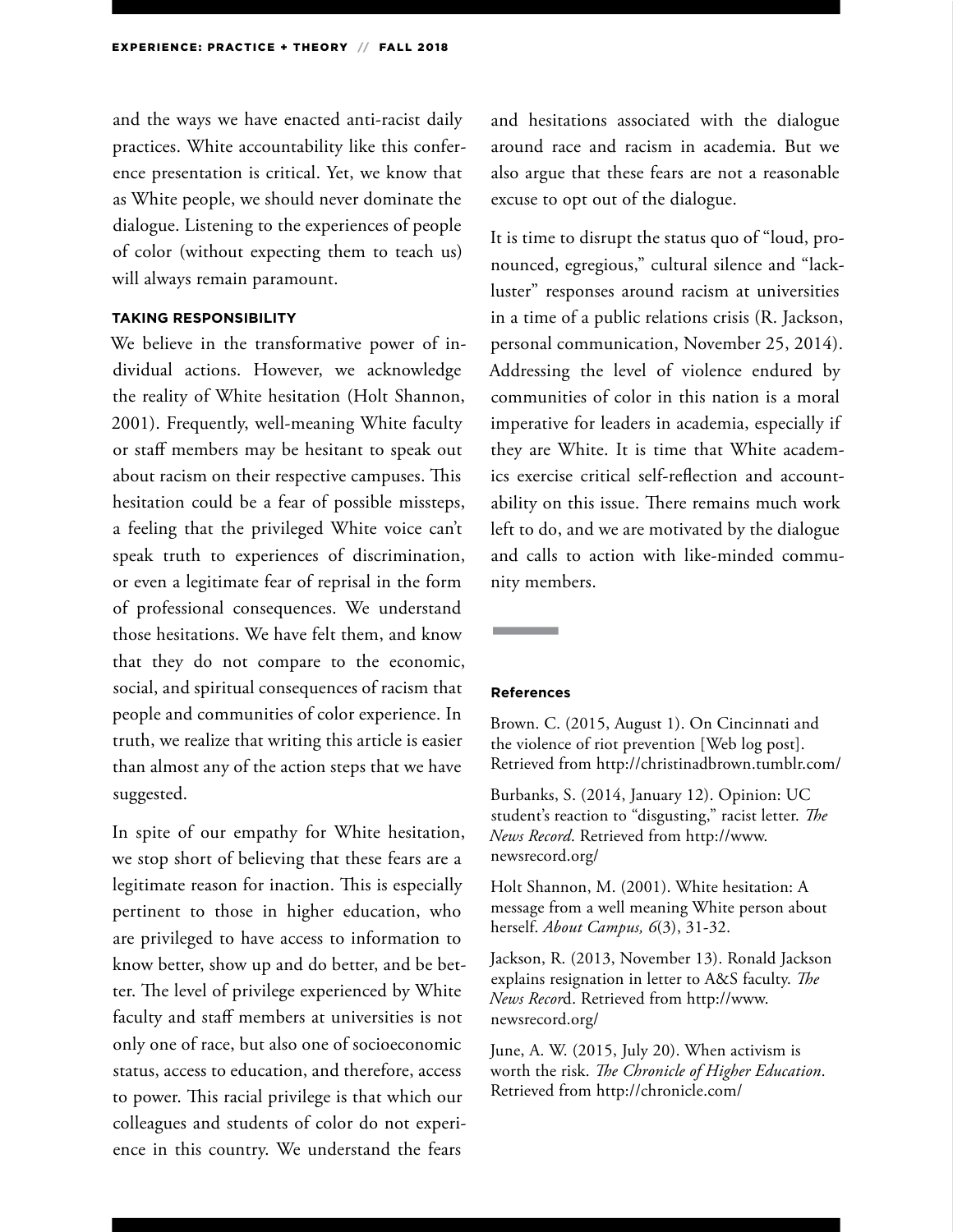and the ways we have enacted anti-racist daily practices. White accountability like this conference presentation is critical. Yet, we know that as White people, we should never dominate the dialogue. Listening to the experiences of people of color (without expecting them to teach us) will always remain paramount.

#### **TAKING RESPONSIBILITY**

We believe in the transformative power of individual actions. However, we acknowledge the reality of White hesitation (Holt Shannon, 2001). Frequently, well-meaning White faculty or staff members may be hesitant to speak out about racism on their respective campuses. This hesitation could be a fear of possible missteps, a feeling that the privileged White voice can't speak truth to experiences of discrimination, or even a legitimate fear of reprisal in the form of professional consequences. We understand those hesitations. We have felt them, and know that they do not compare to the economic, social, and spiritual consequences of racism that people and communities of color experience. In truth, we realize that writing this article is easier than almost any of the action steps that we have suggested.

In spite of our empathy for White hesitation, we stop short of believing that these fears are a legitimate reason for inaction. This is especially pertinent to those in higher education, who are privileged to have access to information to know better, show up and do better, and be better. The level of privilege experienced by White faculty and staff members at universities is not only one of race, but also one of socioeconomic status, access to education, and therefore, access to power. This racial privilege is that which our colleagues and students of color do not experience in this country. We understand the fears

and hesitations associated with the dialogue around race and racism in academia. But we also argue that these fears are not a reasonable excuse to opt out of the dialogue.

It is time to disrupt the status quo of "loud, pronounced, egregious," cultural silence and "lackluster" responses around racism at universities in a time of a public relations crisis (R. Jackson, personal communication, November 25, 2014). Addressing the level of violence endured by communities of color in this nation is a moral imperative for leaders in academia, especially if they are White. It is time that White academics exercise critical self-reflection and accountability on this issue. There remains much work left to do, and we are motivated by the dialogue and calls to action with like-minded community members.

#### **References**

Brown. C. (2015, August 1). On Cincinnati and the violence of riot prevention [Web log post]. Retrieved from http://christinadbrown.tumblr.com/

Burbanks, S. (2014, January 12). Opinion: UC student's reaction to "disgusting," racist letter. *The News Record*. Retrieved from http://www. newsrecord.org/

Holt Shannon, M. (2001). White hesitation: A message from a well meaning White person about herself. *About Campus, 6*(3), 31-32.

Jackson, R. (2013, November 13). Ronald Jackson explains resignation in letter to A&S faculty. *The News Recor*d. Retrieved from http://www. newsrecord.org/

June, A. W. (2015, July 20). When activism is worth the risk. *The Chronicle of Higher Education*. Retrieved from http://chronicle.com/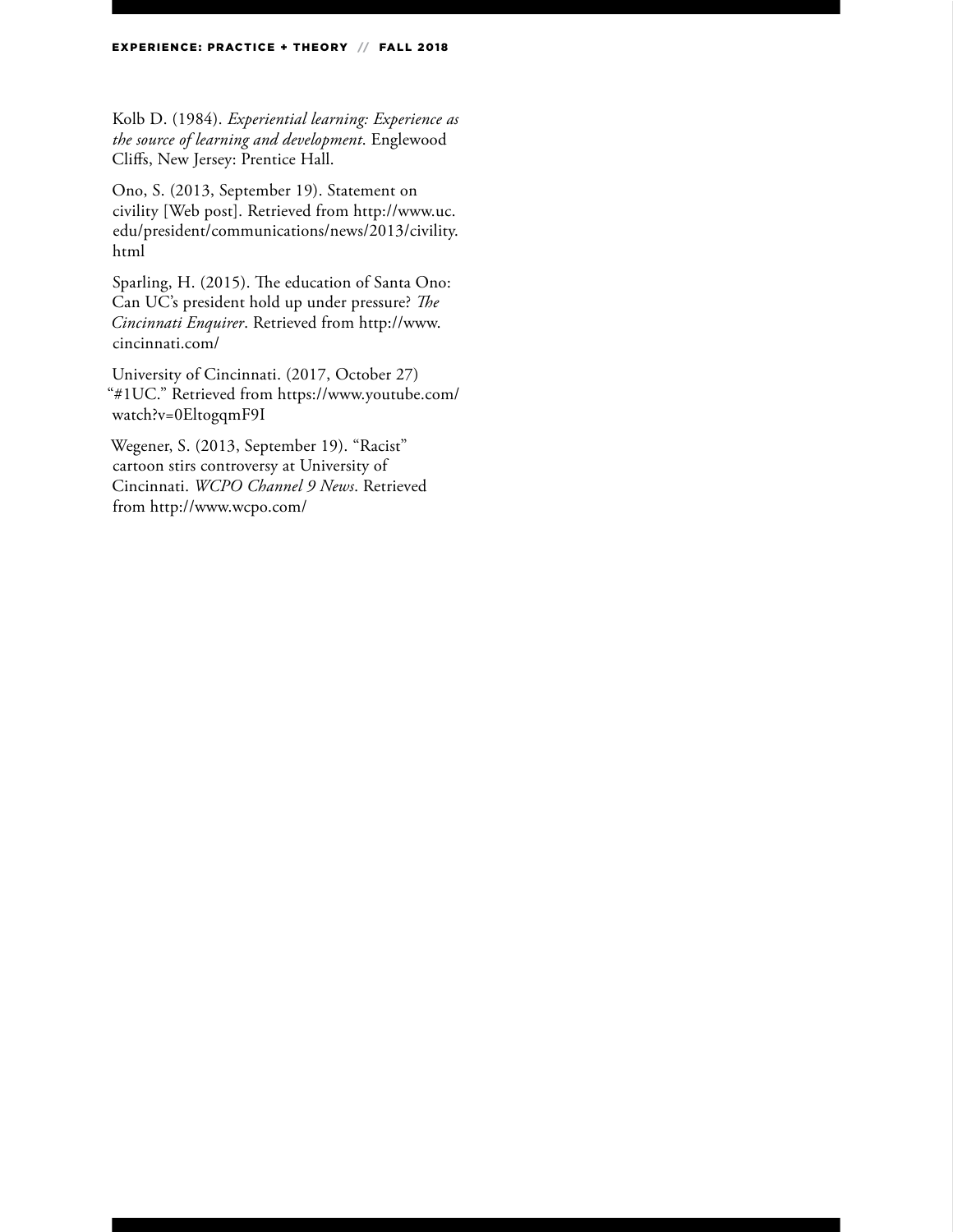Kolb D. (1984). *Experiential learning: Experience as the source of learning and development*. Englewood Cliffs, New Jersey: Prentice Hall.

Ono, S. (2013, September 19). Statement on civility [Web post]. Retrieved from http://www.uc. edu/president/communications/news/2013/civility. html

Sparling, H. (2015). The education of Santa Ono: Can UC's president hold up under pressure? *The Cincinnati Enquirer*. Retrieved from http://www. cincinnati.com/

University of Cincinnati. (2017, October 27) "#1UC." Retrieved from https://www.youtube.com/ watch?v=0EltogqmF9I

Wegener, S. (2013, September 19). "Racist" cartoon stirs controversy at University of Cincinnati. *WCPO Channel 9 News*. Retrieved from http://www.wcpo.com/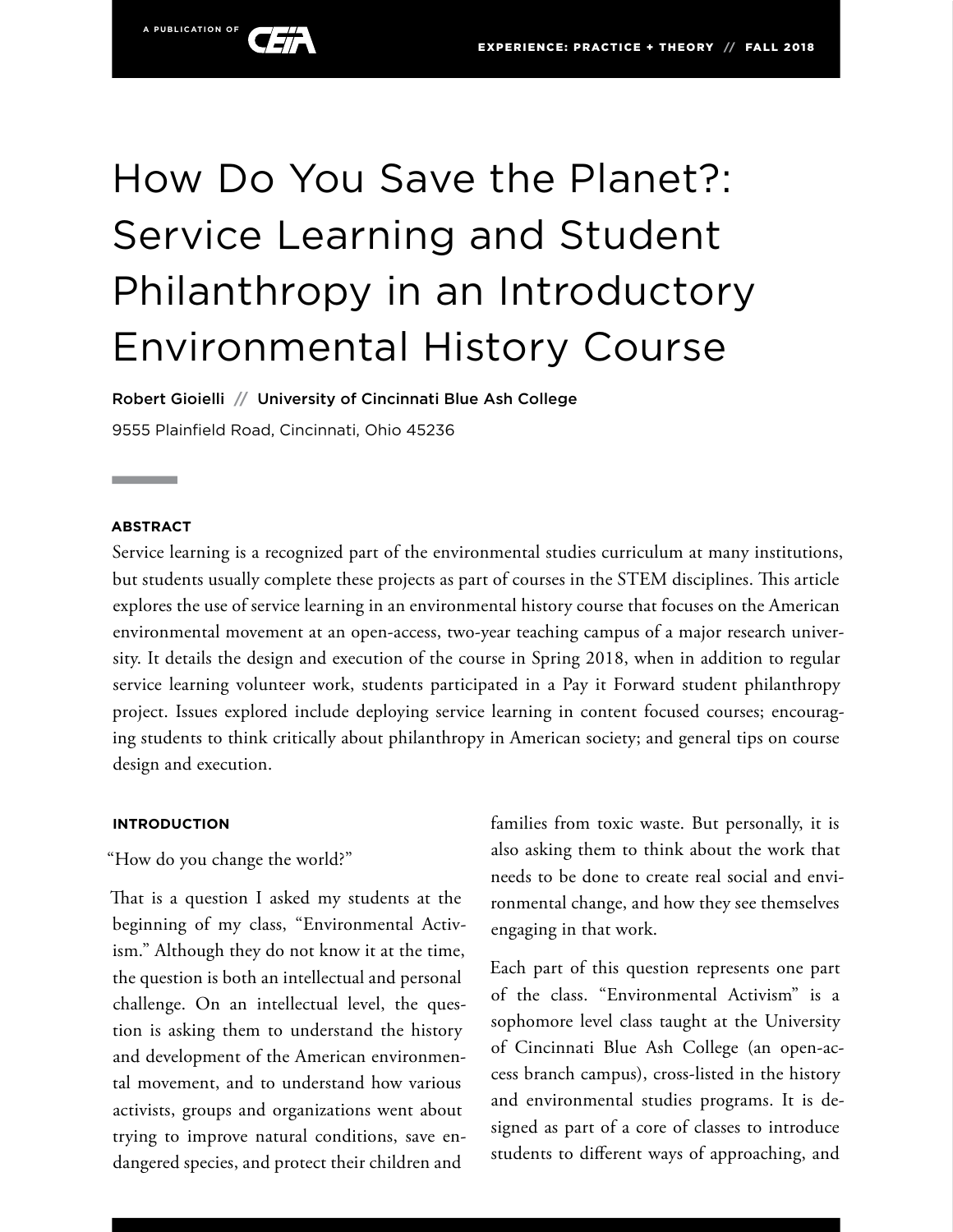

# How Do You Save the Planet?: Service Learning and Student Philanthropy in an Introductory Environmental History Course

Robert Gioielli **//** University of Cincinnati Blue Ash College 9555 Plainfield Road, Cincinnati, Ohio 45236

#### **ABSTRACT**

Service learning is a recognized part of the environmental studies curriculum at many institutions, but students usually complete these projects as part of courses in the STEM disciplines. This article explores the use of service learning in an environmental history course that focuses on the American environmental movement at an open-access, two-year teaching campus of a major research university. It details the design and execution of the course in Spring 2018, when in addition to regular service learning volunteer work, students participated in a Pay it Forward student philanthropy project. Issues explored include deploying service learning in content focused courses; encouraging students to think critically about philanthropy in American society; and general tips on course design and execution.

#### **INTRODUCTION**

"How do you change the world?"

That is a question I asked my students at the beginning of my class, "Environmental Activism." Although they do not know it at the time, the question is both an intellectual and personal challenge. On an intellectual level, the question is asking them to understand the history and development of the American environmental movement, and to understand how various activists, groups and organizations went about trying to improve natural conditions, save endangered species, and protect their children and

families from toxic waste. But personally, it is also asking them to think about the work that needs to be done to create real social and environmental change, and how they see themselves engaging in that work.

Each part of this question represents one part of the class. "Environmental Activism" is a sophomore level class taught at the University of Cincinnati Blue Ash College (an open-access branch campus), cross-listed in the history and environmental studies programs. It is designed as part of a core of classes to introduce students to different ways of approaching, and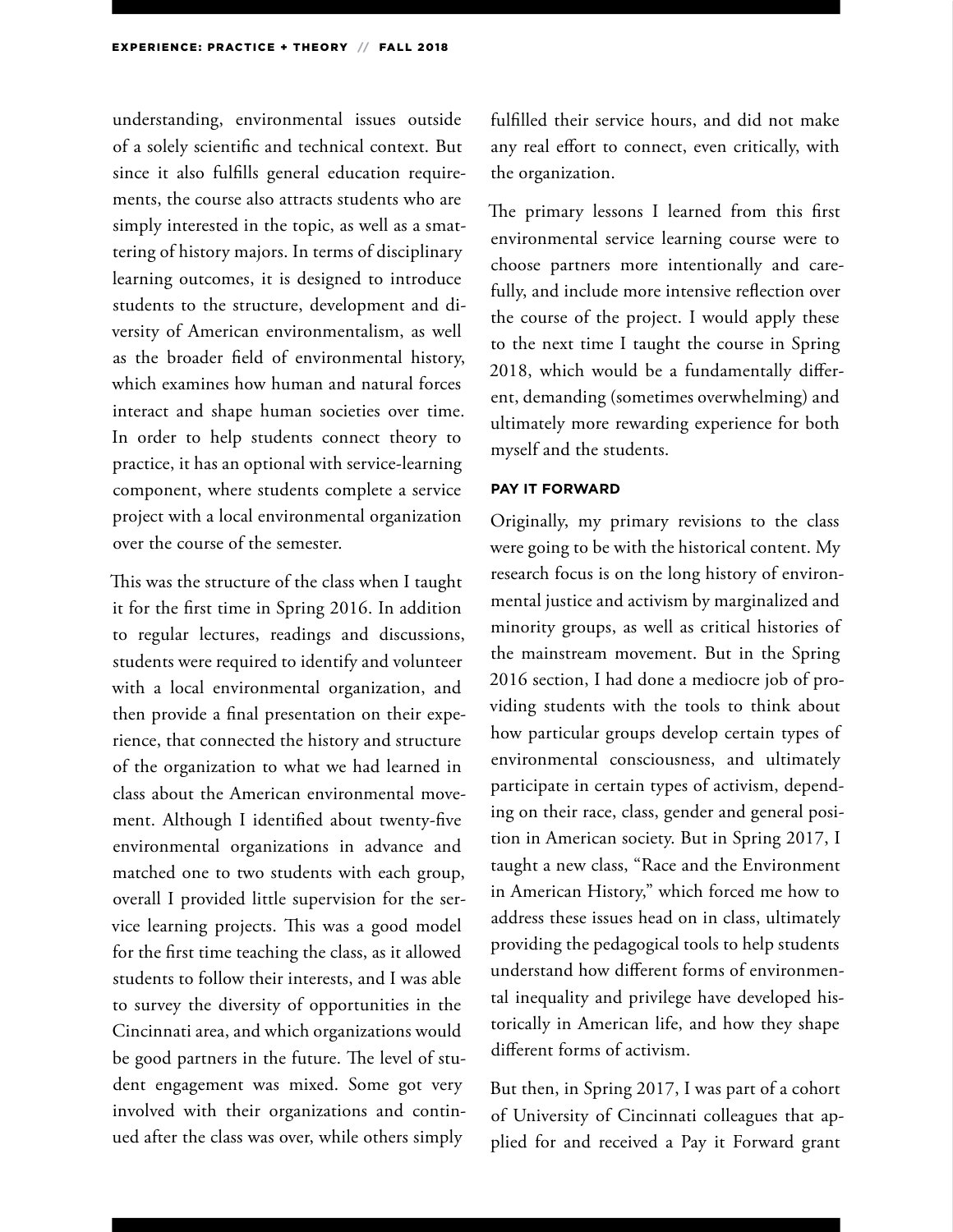understanding, environmental issues outside of a solely scientific and technical context. But since it also fulfills general education requirements, the course also attracts students who are simply interested in the topic, as well as a smattering of history majors. In terms of disciplinary learning outcomes, it is designed to introduce students to the structure, development and diversity of American environmentalism, as well as the broader field of environmental history, which examines how human and natural forces interact and shape human societies over time. In order to help students connect theory to practice, it has an optional with service-learning component, where students complete a service project with a local environmental organization over the course of the semester.

This was the structure of the class when I taught it for the first time in Spring 2016. In addition to regular lectures, readings and discussions, students were required to identify and volunteer with a local environmental organization, and then provide a final presentation on their experience, that connected the history and structure of the organization to what we had learned in class about the American environmental movement. Although I identified about twenty-five environmental organizations in advance and matched one to two students with each group, overall I provided little supervision for the service learning projects. This was a good model for the first time teaching the class, as it allowed students to follow their interests, and I was able to survey the diversity of opportunities in the Cincinnati area, and which organizations would be good partners in the future. The level of student engagement was mixed. Some got very involved with their organizations and continued after the class was over, while others simply

fulfilled their service hours, and did not make any real effort to connect, even critically, with the organization.

The primary lessons I learned from this first environmental service learning course were to choose partners more intentionally and carefully, and include more intensive reflection over the course of the project. I would apply these to the next time I taught the course in Spring 2018, which would be a fundamentally different, demanding (sometimes overwhelming) and ultimately more rewarding experience for both myself and the students.

#### **PAY IT FORWARD**

Originally, my primary revisions to the class were going to be with the historical content. My research focus is on the long history of environmental justice and activism by marginalized and minority groups, as well as critical histories of the mainstream movement. But in the Spring 2016 section, I had done a mediocre job of providing students with the tools to think about how particular groups develop certain types of environmental consciousness, and ultimately participate in certain types of activism, depending on their race, class, gender and general position in American society. But in Spring 2017, I taught a new class, "Race and the Environment in American History," which forced me how to address these issues head on in class, ultimately providing the pedagogical tools to help students understand how different forms of environmental inequality and privilege have developed historically in American life, and how they shape different forms of activism.

But then, in Spring 2017, I was part of a cohort of University of Cincinnati colleagues that applied for and received a Pay it Forward grant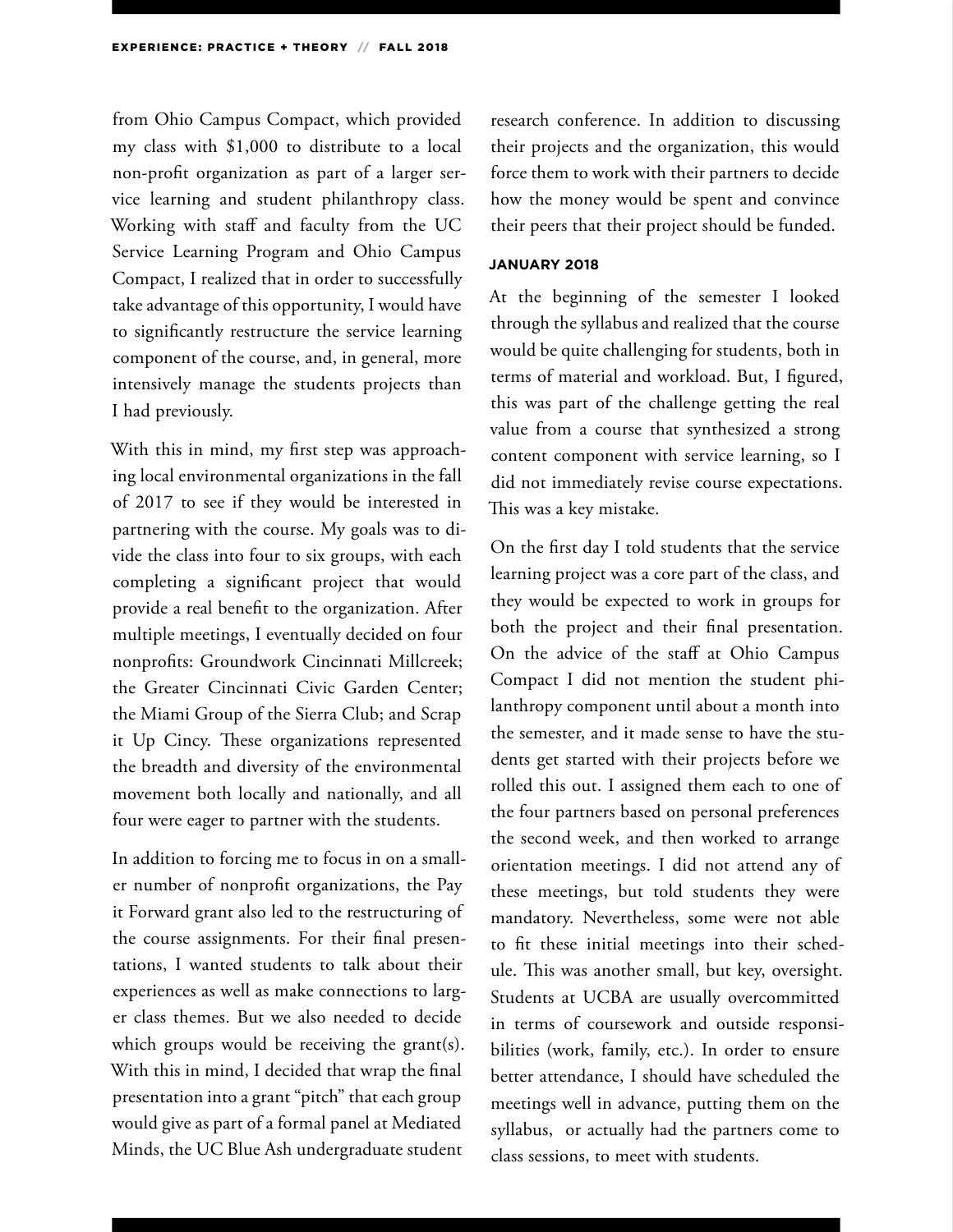from Ohio Campus Compact, which provided my class with \$1,000 to distribute to a local non-profit organization as part of a larger service learning and student philanthropy class. Working with staff and faculty from the UC Service Learning Program and Ohio Campus Compact, I realized that in order to successfully take advantage of this opportunity, I would have to significantly restructure the service learning component of the course, and, in general, more intensively manage the students projects than I had previously.

With this in mind, my first step was approaching local environmental organizations in the fall of 2017 to see if they would be interested in partnering with the course. My goals was to divide the class into four to six groups, with each completing a significant project that would provide a real benefit to the organization. After multiple meetings, I eventually decided on four nonprofits: Groundwork Cincinnati Millcreek; the Greater Cincinnati Civic Garden Center; the Miami Group of the Sierra Club; and Scrap it Up Cincy. These organizations represented the breadth and diversity of the environmental movement both locally and nationally, and all four were eager to partner with the students.

In addition to forcing me to focus in on a smaller number of nonprofit organizations, the Pay it Forward grant also led to the restructuring of the course assignments. For their final presentations, I wanted students to talk about their experiences as well as make connections to larger class themes. But we also needed to decide which groups would be receiving the grant(s). With this in mind, I decided that wrap the final presentation into a grant "pitch" that each group would give as part of a formal panel at Mediated Minds, the UC Blue Ash undergraduate student

research conference. In addition to discussing their projects and the organization, this would force them to work with their partners to decide how the money would be spent and convince their peers that their project should be funded.

#### **JANUARY 2018**

At the beginning of the semester I looked through the syllabus and realized that the course would be quite challenging for students, both in terms of material and workload. But, I figured, this was part of the challenge getting the real value from a course that synthesized a strong content component with service learning, so I did not immediately revise course expectations. This was a key mistake.

On the first day I told students that the service learning project was a core part of the class, and they would be expected to work in groups for both the project and their final presentation. On the advice of the staff at Ohio Campus Compact I did not mention the student philanthropy component until about a month into the semester, and it made sense to have the students get started with their projects before we rolled this out. I assigned them each to one of the four partners based on personal preferences the second week, and then worked to arrange orientation meetings. I did not attend any of these meetings, but told students they were mandatory. Nevertheless, some were not able to fit these initial meetings into their schedule. This was another small, but key, oversight. Students at UCBA are usually overcommitted in terms of coursework and outside responsibilities (work, family, etc.). In order to ensure better attendance, I should have scheduled the meetings well in advance, putting them on the syllabus, or actually had the partners come to class sessions, to meet with students.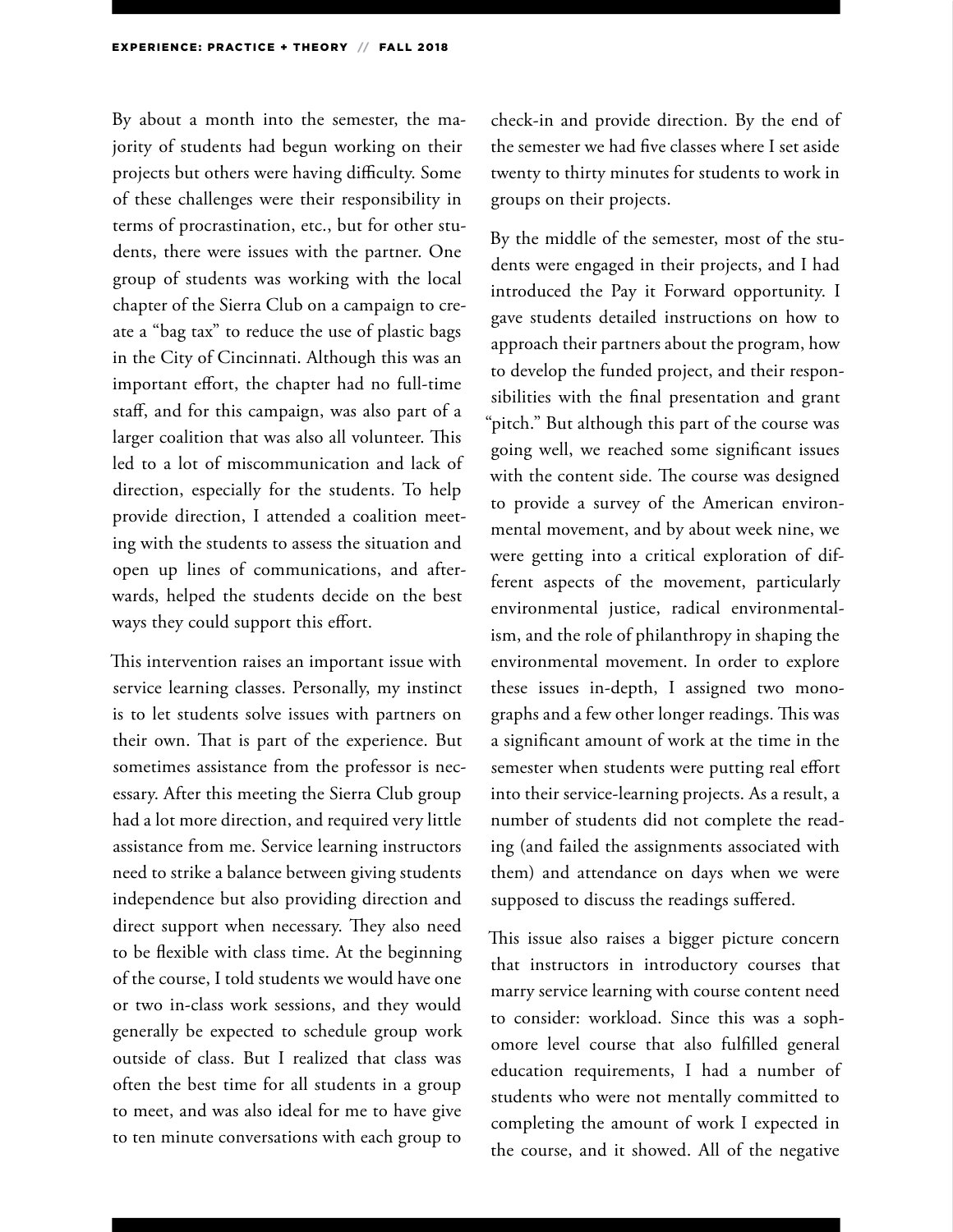By about a month into the semester, the majority of students had begun working on their projects but others were having difficulty. Some of these challenges were their responsibility in terms of procrastination, etc., but for other students, there were issues with the partner. One group of students was working with the local chapter of the Sierra Club on a campaign to create a "bag tax" to reduce the use of plastic bags in the City of Cincinnati. Although this was an important effort, the chapter had no full-time staff, and for this campaign, was also part of a larger coalition that was also all volunteer. This led to a lot of miscommunication and lack of direction, especially for the students. To help provide direction, I attended a coalition meeting with the students to assess the situation and open up lines of communications, and afterwards, helped the students decide on the best ways they could support this effort.

This intervention raises an important issue with service learning classes. Personally, my instinct is to let students solve issues with partners on their own. That is part of the experience. But sometimes assistance from the professor is necessary. After this meeting the Sierra Club group had a lot more direction, and required very little assistance from me. Service learning instructors need to strike a balance between giving students independence but also providing direction and direct support when necessary. They also need to be flexible with class time. At the beginning of the course, I told students we would have one or two in-class work sessions, and they would generally be expected to schedule group work outside of class. But I realized that class was often the best time for all students in a group to meet, and was also ideal for me to have give to ten minute conversations with each group to

check-in and provide direction. By the end of the semester we had five classes where I set aside twenty to thirty minutes for students to work in groups on their projects.

By the middle of the semester, most of the students were engaged in their projects, and I had introduced the Pay it Forward opportunity. I gave students detailed instructions on how to approach their partners about the program, how to develop the funded project, and their responsibilities with the final presentation and grant "pitch." But although this part of the course was going well, we reached some significant issues with the content side. The course was designed to provide a survey of the American environmental movement, and by about week nine, we were getting into a critical exploration of different aspects of the movement, particularly environmental justice, radical environmentalism, and the role of philanthropy in shaping the environmental movement. In order to explore these issues in-depth, I assigned two monographs and a few other longer readings. This was a significant amount of work at the time in the semester when students were putting real effort into their service-learning projects. As a result, a number of students did not complete the reading (and failed the assignments associated with them) and attendance on days when we were supposed to discuss the readings suffered.

This issue also raises a bigger picture concern that instructors in introductory courses that marry service learning with course content need to consider: workload. Since this was a sophomore level course that also fulfilled general education requirements, I had a number of students who were not mentally committed to completing the amount of work I expected in the course, and it showed. All of the negative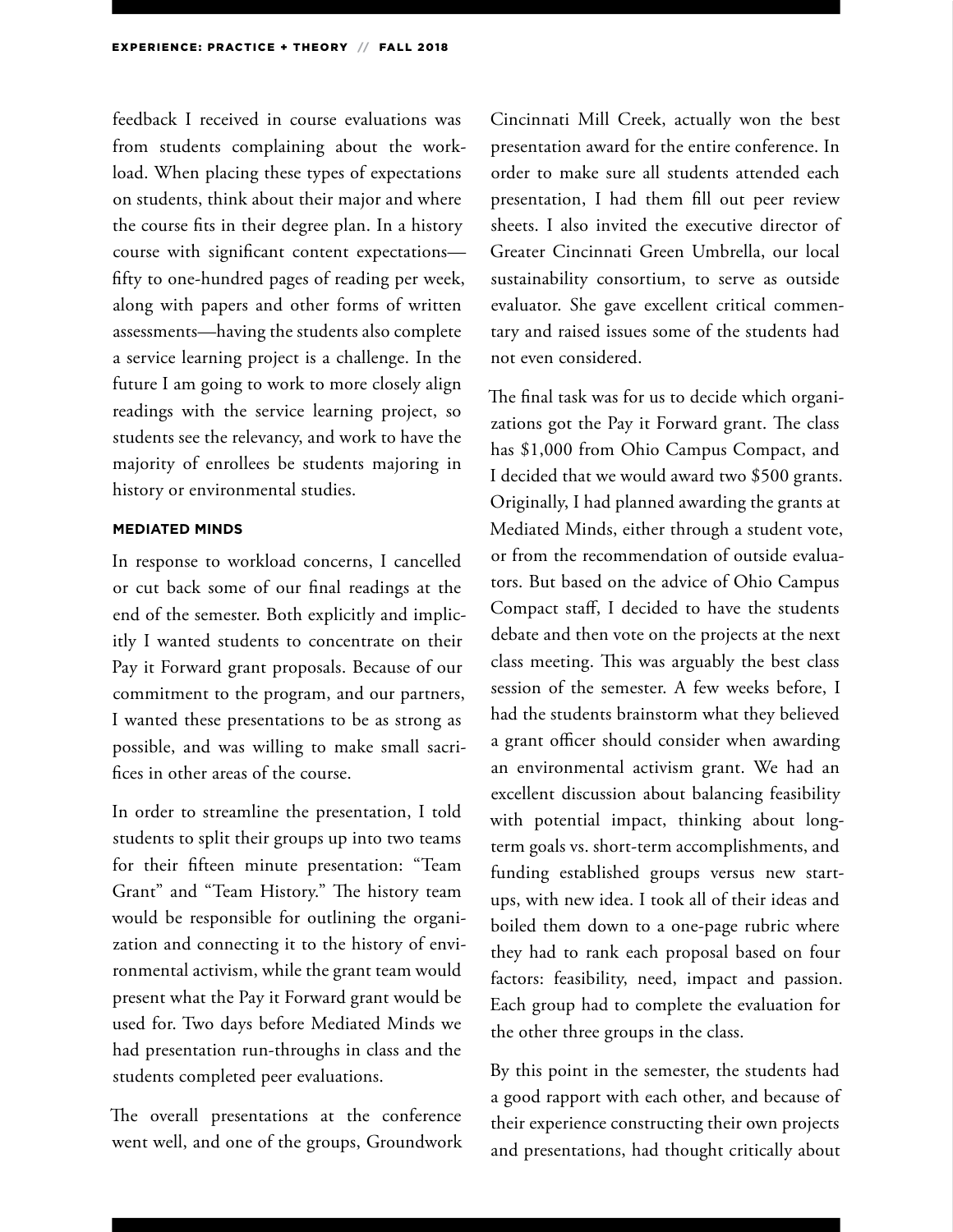feedback I received in course evaluations was from students complaining about the workload. When placing these types of expectations on students, think about their major and where the course fits in their degree plan. In a history course with significant content expectations fifty to one-hundred pages of reading per week, along with papers and other forms of written assessments—having the students also complete a service learning project is a challenge. In the future I am going to work to more closely align readings with the service learning project, so students see the relevancy, and work to have the majority of enrollees be students majoring in history or environmental studies.

#### **MEDIATED MINDS**

In response to workload concerns, I cancelled or cut back some of our final readings at the end of the semester. Both explicitly and implicitly I wanted students to concentrate on their Pay it Forward grant proposals. Because of our commitment to the program, and our partners, I wanted these presentations to be as strong as possible, and was willing to make small sacrifices in other areas of the course.

In order to streamline the presentation, I told students to split their groups up into two teams for their fifteen minute presentation: "Team Grant" and "Team History." The history team would be responsible for outlining the organization and connecting it to the history of environmental activism, while the grant team would present what the Pay it Forward grant would be used for. Two days before Mediated Minds we had presentation run-throughs in class and the students completed peer evaluations.

The overall presentations at the conference went well, and one of the groups, Groundwork Cincinnati Mill Creek, actually won the best presentation award for the entire conference. In order to make sure all students attended each presentation, I had them fill out peer review sheets. I also invited the executive director of Greater Cincinnati Green Umbrella, our local sustainability consortium, to serve as outside evaluator. She gave excellent critical commentary and raised issues some of the students had not even considered.

The final task was for us to decide which organizations got the Pay it Forward grant. The class has \$1,000 from Ohio Campus Compact, and I decided that we would award two \$500 grants. Originally, I had planned awarding the grants at Mediated Minds, either through a student vote, or from the recommendation of outside evaluators. But based on the advice of Ohio Campus Compact staff, I decided to have the students debate and then vote on the projects at the next class meeting. This was arguably the best class session of the semester. A few weeks before, I had the students brainstorm what they believed a grant officer should consider when awarding an environmental activism grant. We had an excellent discussion about balancing feasibility with potential impact, thinking about longterm goals vs. short-term accomplishments, and funding established groups versus new startups, with new idea. I took all of their ideas and boiled them down to a one-page rubric where they had to rank each proposal based on four factors: feasibility, need, impact and passion. Each group had to complete the evaluation for the other three groups in the class.

By this point in the semester, the students had a good rapport with each other, and because of their experience constructing their own projects and presentations, had thought critically about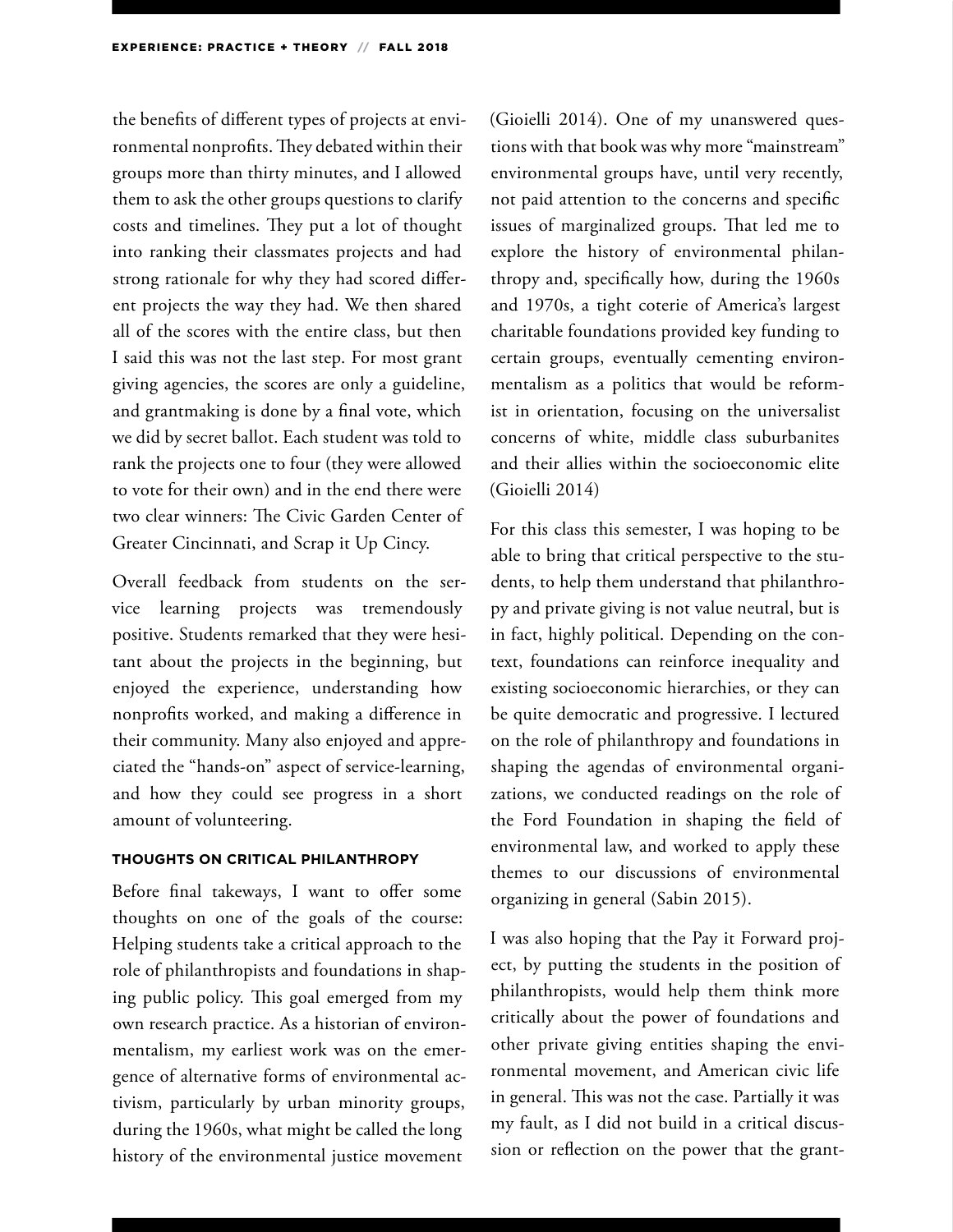the benefits of different types of projects at environmental nonprofits. They debated within their groups more than thirty minutes, and I allowed them to ask the other groups questions to clarify costs and timelines. They put a lot of thought into ranking their classmates projects and had strong rationale for why they had scored different projects the way they had. We then shared all of the scores with the entire class, but then I said this was not the last step. For most grant giving agencies, the scores are only a guideline, and grantmaking is done by a final vote, which we did by secret ballot. Each student was told to rank the projects one to four (they were allowed to vote for their own) and in the end there were two clear winners: The Civic Garden Center of Greater Cincinnati, and Scrap it Up Cincy.

Overall feedback from students on the service learning projects was tremendously positive. Students remarked that they were hesitant about the projects in the beginning, but enjoyed the experience, understanding how nonprofits worked, and making a difference in their community. Many also enjoyed and appreciated the "hands-on" aspect of service-learning, and how they could see progress in a short amount of volunteering.

#### **THOUGHTS ON CRITICAL PHILANTHROPY**

Before final takeways, I want to offer some thoughts on one of the goals of the course: Helping students take a critical approach to the role of philanthropists and foundations in shaping public policy. This goal emerged from my own research practice. As a historian of environmentalism, my earliest work was on the emergence of alternative forms of environmental activism, particularly by urban minority groups, during the 1960s, what might be called the long history of the environmental justice movement

(Gioielli 2014). One of my unanswered questions with that book was why more "mainstream" environmental groups have, until very recently, not paid attention to the concerns and specific issues of marginalized groups. That led me to explore the history of environmental philanthropy and, specifically how, during the 1960s and 1970s, a tight coterie of America's largest charitable foundations provided key funding to certain groups, eventually cementing environmentalism as a politics that would be reformist in orientation, focusing on the universalist concerns of white, middle class suburbanites and their allies within the socioeconomic elite (Gioielli 2014)

For this class this semester, I was hoping to be able to bring that critical perspective to the students, to help them understand that philanthropy and private giving is not value neutral, but is in fact, highly political. Depending on the context, foundations can reinforce inequality and existing socioeconomic hierarchies, or they can be quite democratic and progressive. I lectured on the role of philanthropy and foundations in shaping the agendas of environmental organizations, we conducted readings on the role of the Ford Foundation in shaping the field of environmental law, and worked to apply these themes to our discussions of environmental organizing in general (Sabin 2015).

I was also hoping that the Pay it Forward project, by putting the students in the position of philanthropists, would help them think more critically about the power of foundations and other private giving entities shaping the environmental movement, and American civic life in general. This was not the case. Partially it was my fault, as I did not build in a critical discussion or reflection on the power that the grant-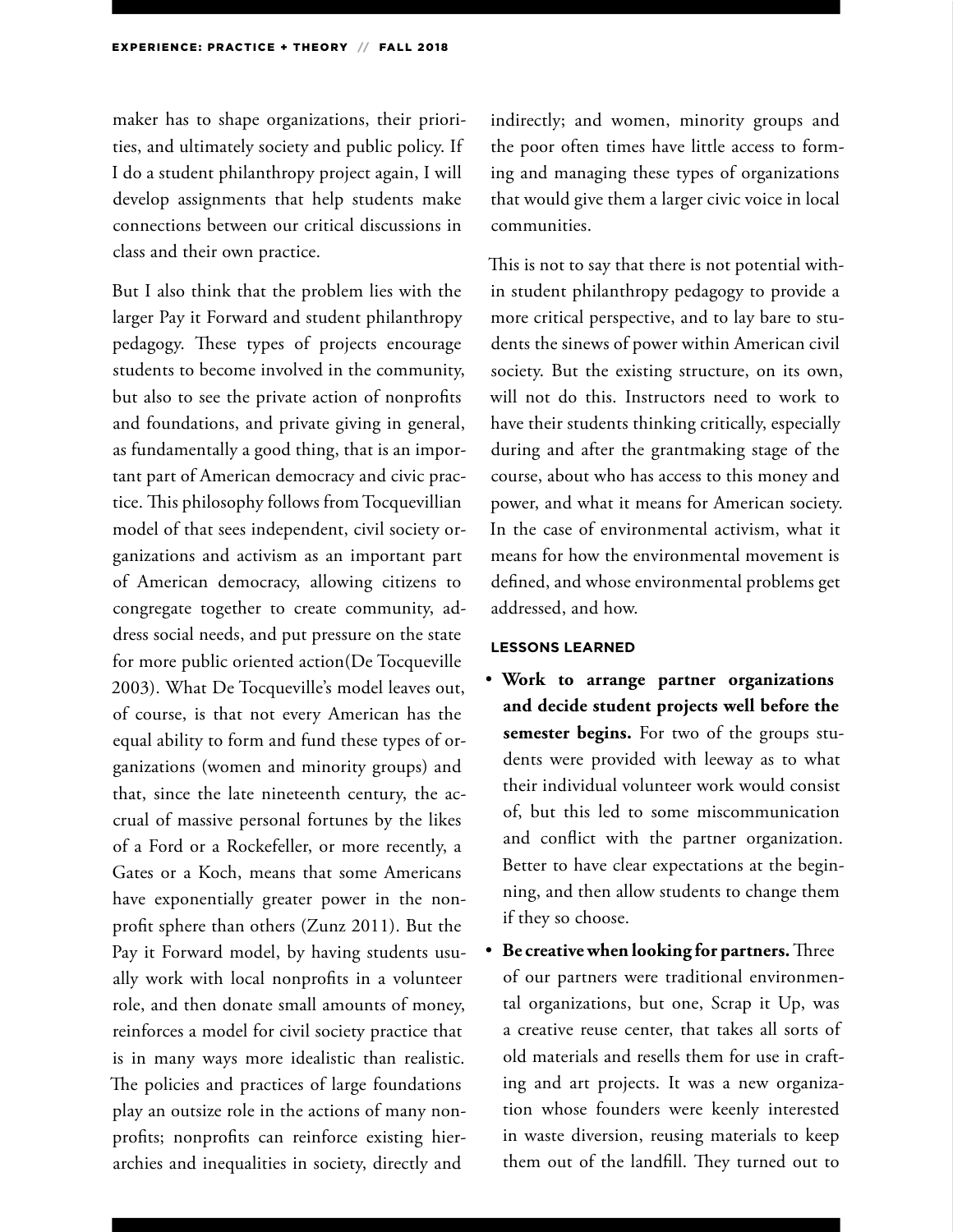maker has to shape organizations, their priorities, and ultimately society and public policy. If I do a student philanthropy project again, I will develop assignments that help students make connections between our critical discussions in class and their own practice.

But I also think that the problem lies with the larger Pay it Forward and student philanthropy pedagogy. These types of projects encourage students to become involved in the community, but also to see the private action of nonprofits and foundations, and private giving in general, as fundamentally a good thing, that is an important part of American democracy and civic practice. This philosophy follows from Tocquevillian model of that sees independent, civil society organizations and activism as an important part of American democracy, allowing citizens to congregate together to create community, address social needs, and put pressure on the state for more public oriented action(De Tocqueville 2003). What De Tocqueville's model leaves out, of course, is that not every American has the equal ability to form and fund these types of organizations (women and minority groups) and that, since the late nineteenth century, the accrual of massive personal fortunes by the likes of a Ford or a Rockefeller, or more recently, a Gates or a Koch, means that some Americans have exponentially greater power in the nonprofit sphere than others (Zunz 2011). But the Pay it Forward model, by having students usually work with local nonprofits in a volunteer role, and then donate small amounts of money, reinforces a model for civil society practice that is in many ways more idealistic than realistic. The policies and practices of large foundations play an outsize role in the actions of many nonprofits; nonprofits can reinforce existing hierarchies and inequalities in society, directly and

indirectly; and women, minority groups and the poor often times have little access to forming and managing these types of organizations that would give them a larger civic voice in local communities.

This is not to say that there is not potential within student philanthropy pedagogy to provide a more critical perspective, and to lay bare to students the sinews of power within American civil society. But the existing structure, on its own, will not do this. Instructors need to work to have their students thinking critically, especially during and after the grantmaking stage of the course, about who has access to this money and power, and what it means for American society. In the case of environmental activism, what it means for how the environmental movement is defined, and whose environmental problems get addressed, and how.

#### **LESSONS LEARNED**

- **Work to arrange partner organizations and decide student projects well before the semester begins.** For two of the groups students were provided with leeway as to what their individual volunteer work would consist of, but this led to some miscommunication and conflict with the partner organization. Better to have clear expectations at the beginning, and then allow students to change them if they so choose.
- **Be creative when looking for partners.** Three of our partners were traditional environmental organizations, but one, Scrap it Up, was a creative reuse center, that takes all sorts of old materials and resells them for use in crafting and art projects. It was a new organization whose founders were keenly interested in waste diversion, reusing materials to keep them out of the landfill. They turned out to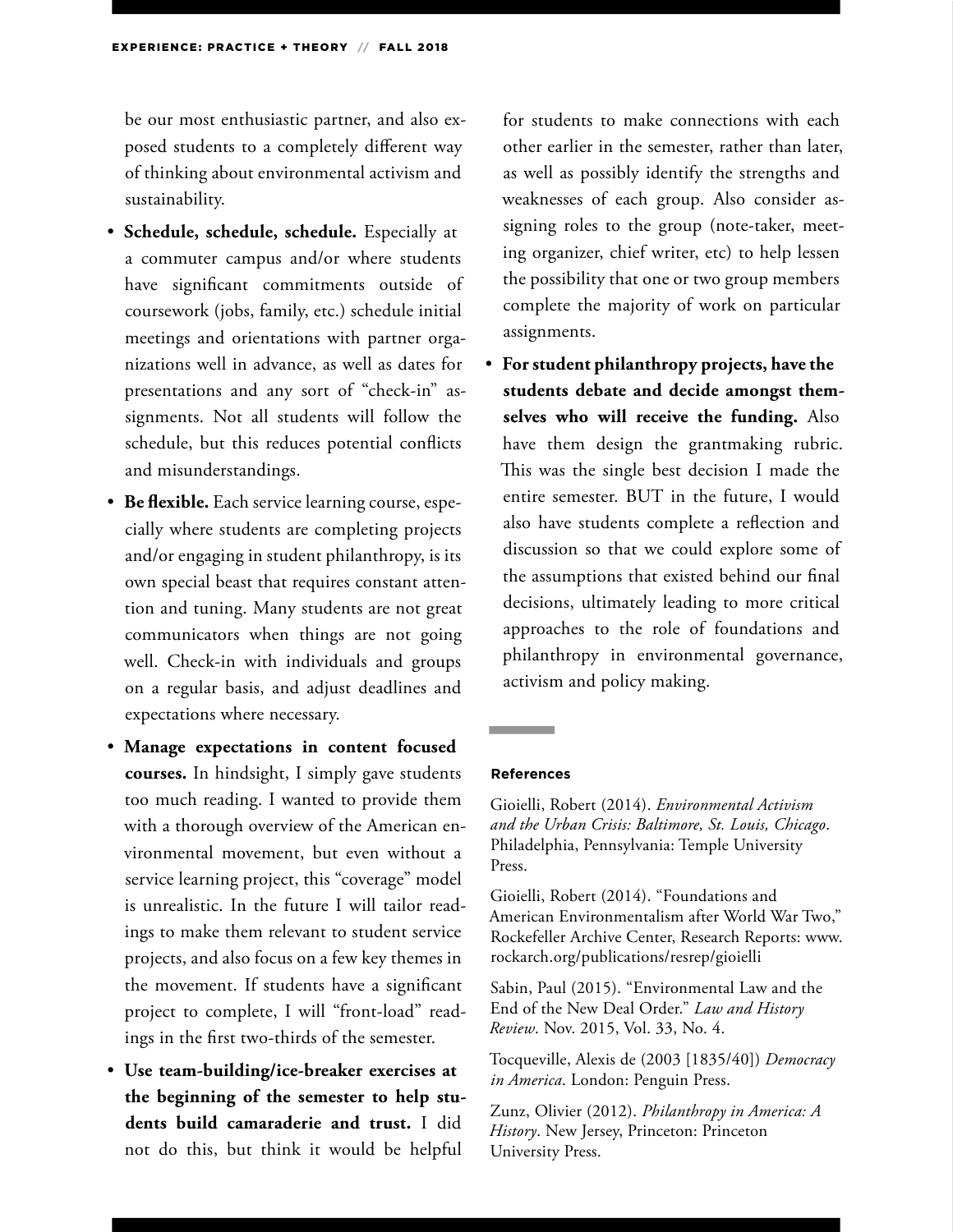be our most enthusiastic partner, and also exposed students to a completely different way of thinking about environmental activism and sustainability.

- **Schedule, schedule, schedule.** Especially at a commuter campus and/or where students have significant commitments outside of coursework (jobs, family, etc.) schedule initial meetings and orientations with partner organizations well in advance, as well as dates for presentations and any sort of "check-in" assignments. Not all students will follow the schedule, but this reduces potential conflicts and misunderstandings.
- **Be flexible.** Each service learning course, especially where students are completing projects and/or engaging in student philanthropy, is its own special beast that requires constant attention and tuning. Many students are not great communicators when things are not going well. Check-in with individuals and groups on a regular basis, and adjust deadlines and expectations where necessary.
- **Manage expectations in content focused courses.** In hindsight, I simply gave students too much reading. I wanted to provide them with a thorough overview of the American environmental movement, but even without a service learning project, this "coverage" model is unrealistic. In the future I will tailor readings to make them relevant to student service projects, and also focus on a few key themes in the movement. If students have a significant project to complete, I will "front-load" readings in the first two-thirds of the semester.
- **Use team-building/ice-breaker exercises at the beginning of the semester to help students build camaraderie and trust.** I did not do this, but think it would be helpful

for students to make connections with each other earlier in the semester, rather than later, as well as possibly identify the strengths and weaknesses of each group. Also consider assigning roles to the group (note-taker, meeting organizer, chief writer, etc) to help lessen the possibility that one or two group members complete the majority of work on particular assignments.

• **For student philanthropy projects, have the students debate and decide amongst themselves who will receive the funding.** Also have them design the grantmaking rubric. This was the single best decision I made the entire semester. BUT in the future, I would also have students complete a reflection and discussion so that we could explore some of the assumptions that existed behind our final decisions, ultimately leading to more critical approaches to the role of foundations and philanthropy in environmental governance, activism and policy making.

#### **References**

**The Committee of the Committee** 

Gioielli, Robert (2014). *Environmental Activism and the Urban Crisis: Baltimore, St. Louis, Chicago*. Philadelphia, Pennsylvania: Temple University Press.

Gioielli, Robert (2014). "Foundations and American Environmentalism after World War Two," Rockefeller Archive Center, Research Reports: www. rockarch.org/publications/resrep/gioielli

Sabin, Paul (2015). "Environmental Law and the End of the New Deal Order." *Law and History Review*. Nov. 2015, Vol. 33, No. 4.

Tocqueville, Alexis de (2003 [1835/40]) *Democracy in America*. London: Penguin Press.

Zunz, Olivier (2012). *Philanthropy in America: A History*. New Jersey, Princeton: Princeton University Press.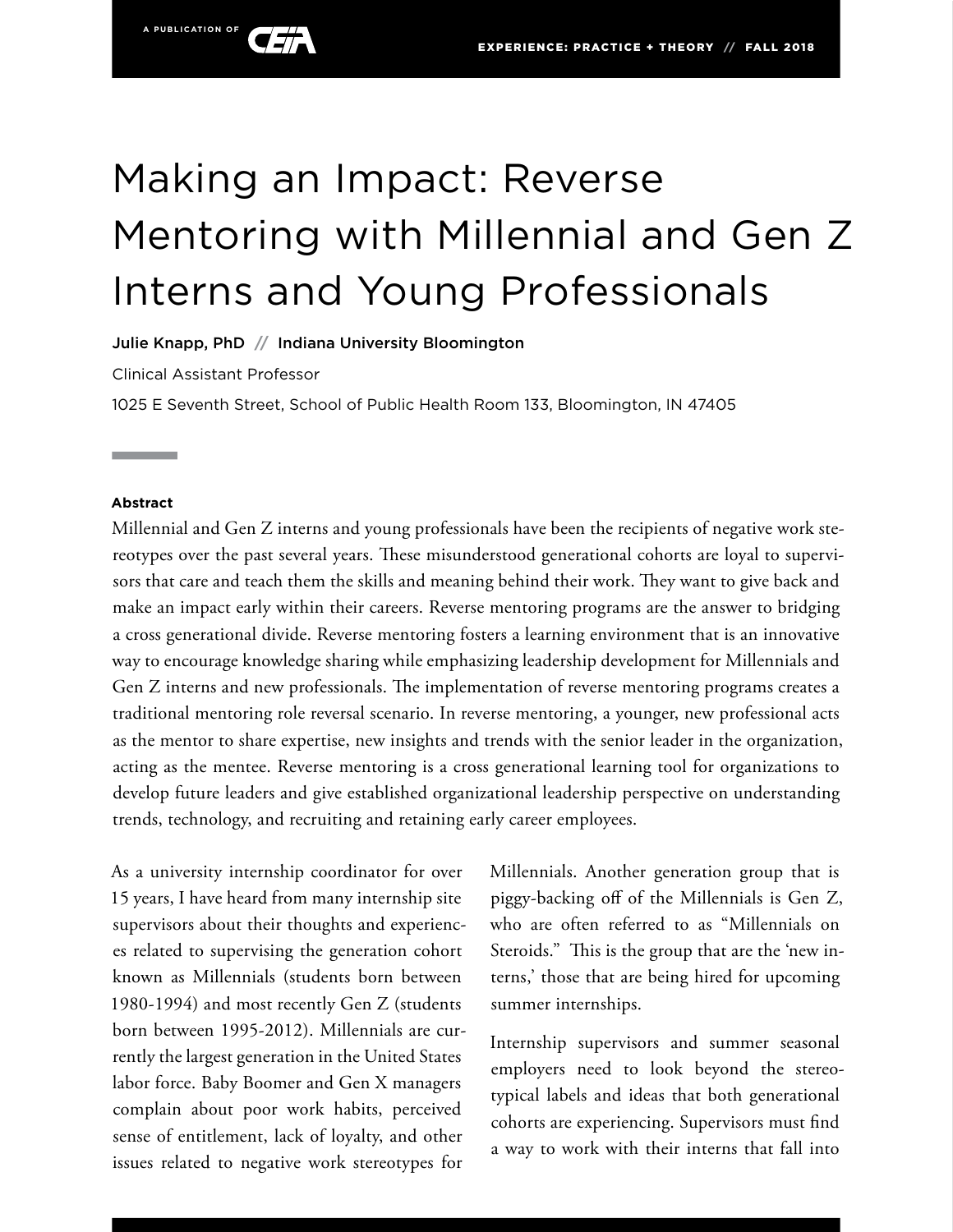

Julie Knapp, PhD **//** Indiana University Bloomington

Clinical Assistant Professor

**A PUBLICATION OF**

1025 E Seventh Street, School of Public Health Room 133, Bloomington, IN 47405

#### **Abstract**

Millennial and Gen Z interns and young professionals have been the recipients of negative work stereotypes over the past several years. These misunderstood generational cohorts are loyal to supervisors that care and teach them the skills and meaning behind their work. They want to give back and make an impact early within their careers. Reverse mentoring programs are the answer to bridging a cross generational divide. Reverse mentoring fosters a learning environment that is an innovative way to encourage knowledge sharing while emphasizing leadership development for Millennials and Gen Z interns and new professionals. The implementation of reverse mentoring programs creates a traditional mentoring role reversal scenario. In reverse mentoring, a younger, new professional acts as the mentor to share expertise, new insights and trends with the senior leader in the organization, acting as the mentee. Reverse mentoring is a cross generational learning tool for organizations to develop future leaders and give established organizational leadership perspective on understanding trends, technology, and recruiting and retaining early career employees.

As a university internship coordinator for over 15 years, I have heard from many internship site supervisors about their thoughts and experiences related to supervising the generation cohort known as Millennials (students born between 1980-1994) and most recently Gen Z (students born between 1995-2012). Millennials are currently the largest generation in the United States labor force. Baby Boomer and Gen X managers complain about poor work habits, perceived sense of entitlement, lack of loyalty, and other issues related to negative work stereotypes for

Millennials. Another generation group that is piggy-backing off of the Millennials is Gen Z, who are often referred to as "Millennials on Steroids." This is the group that are the 'new interns,' those that are being hired for upcoming summer internships.

Internship supervisors and summer seasonal employers need to look beyond the stereotypical labels and ideas that both generational cohorts are experiencing. Supervisors must find a way to work with their interns that fall into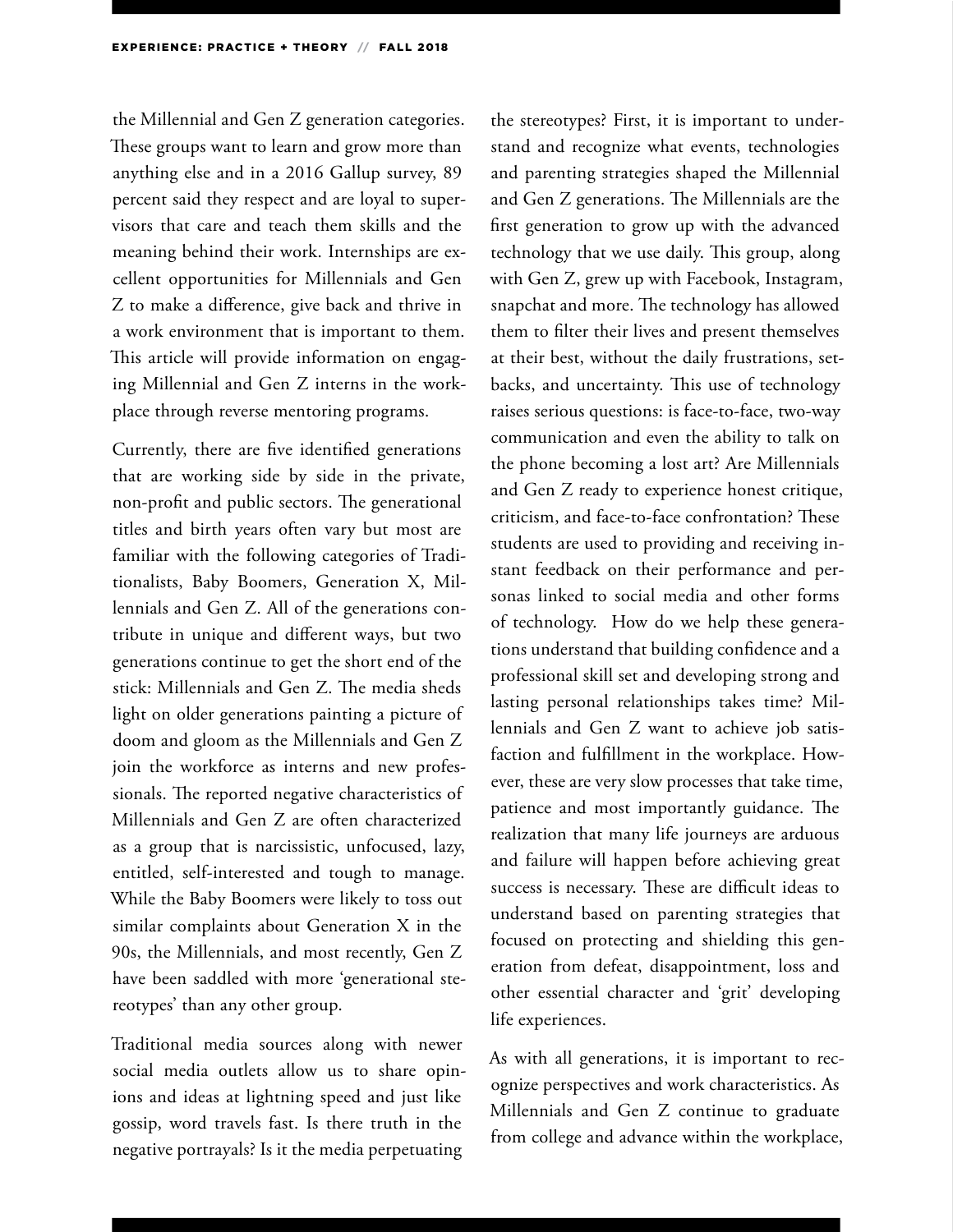the Millennial and Gen Z generation categories. These groups want to learn and grow more than anything else and in a 2016 Gallup survey, 89 percent said they respect and are loyal to supervisors that care and teach them skills and the meaning behind their work. Internships are excellent opportunities for Millennials and Gen Z to make a difference, give back and thrive in a work environment that is important to them. This article will provide information on engaging Millennial and Gen Z interns in the workplace through reverse mentoring programs.

Currently, there are five identified generations that are working side by side in the private, non-profit and public sectors. The generational titles and birth years often vary but most are familiar with the following categories of Traditionalists, Baby Boomers, Generation X, Millennials and Gen Z. All of the generations contribute in unique and different ways, but two generations continue to get the short end of the stick: Millennials and Gen Z. The media sheds light on older generations painting a picture of doom and gloom as the Millennials and Gen Z join the workforce as interns and new professionals. The reported negative characteristics of Millennials and Gen Z are often characterized as a group that is narcissistic, unfocused, lazy, entitled, self-interested and tough to manage. While the Baby Boomers were likely to toss out similar complaints about Generation X in the 90s, the Millennials, and most recently, Gen Z have been saddled with more 'generational stereotypes' than any other group.

Traditional media sources along with newer social media outlets allow us to share opinions and ideas at lightning speed and just like gossip, word travels fast. Is there truth in the negative portrayals? Is it the media perpetuating

the stereotypes? First, it is important to understand and recognize what events, technologies and parenting strategies shaped the Millennial and Gen Z generations. The Millennials are the first generation to grow up with the advanced technology that we use daily. This group, along with Gen Z, grew up with Facebook, Instagram, snapchat and more. The technology has allowed them to filter their lives and present themselves at their best, without the daily frustrations, setbacks, and uncertainty. This use of technology raises serious questions: is face-to-face, two-way communication and even the ability to talk on the phone becoming a lost art? Are Millennials and Gen Z ready to experience honest critique, criticism, and face-to-face confrontation? These students are used to providing and receiving instant feedback on their performance and personas linked to social media and other forms of technology. How do we help these generations understand that building confidence and a professional skill set and developing strong and lasting personal relationships takes time? Millennials and Gen Z want to achieve job satisfaction and fulfillment in the workplace. However, these are very slow processes that take time, patience and most importantly guidance. The realization that many life journeys are arduous and failure will happen before achieving great success is necessary. These are difficult ideas to understand based on parenting strategies that focused on protecting and shielding this generation from defeat, disappointment, loss and other essential character and 'grit' developing life experiences.

As with all generations, it is important to recognize perspectives and work characteristics. As Millennials and Gen Z continue to graduate from college and advance within the workplace,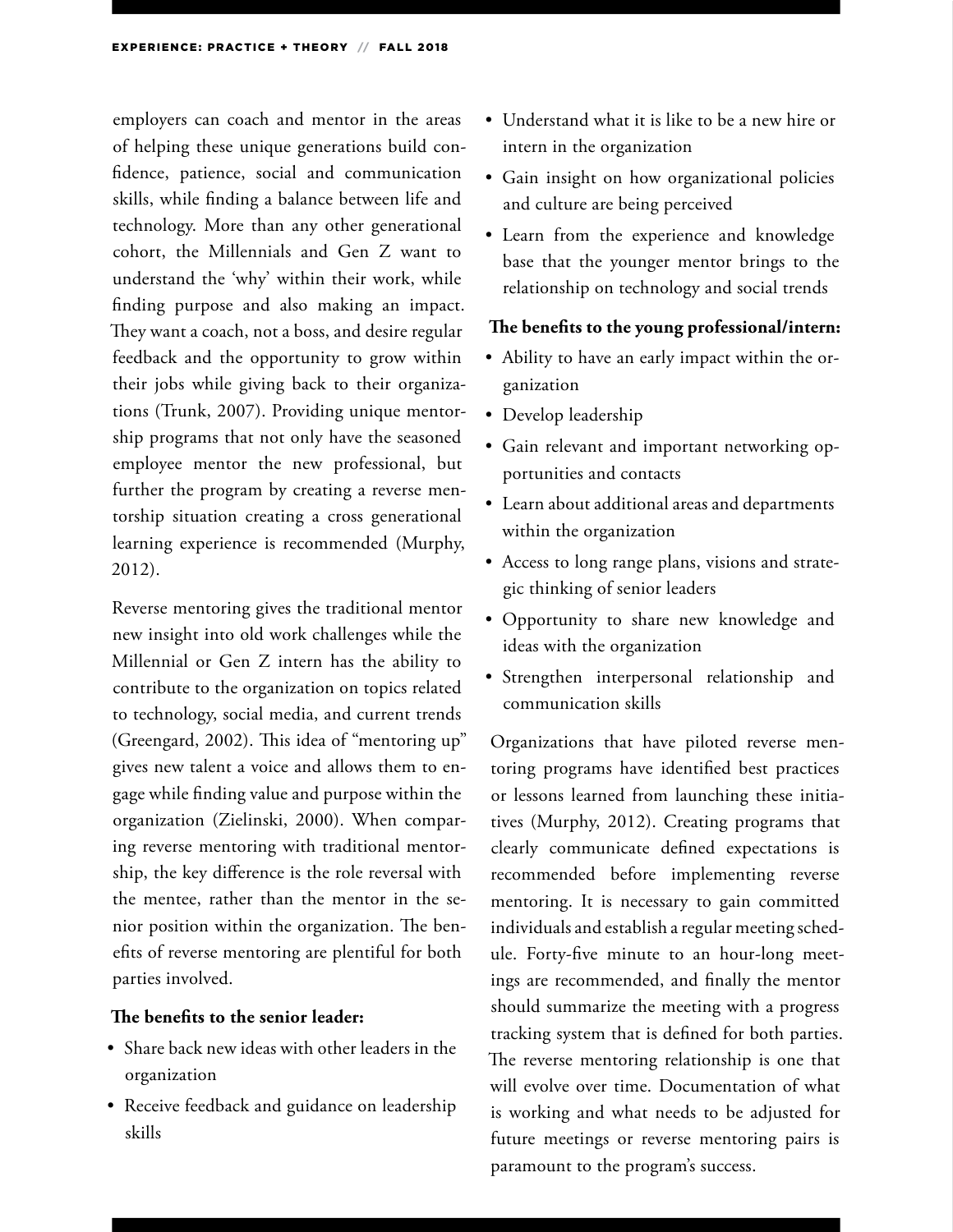employers can coach and mentor in the areas of helping these unique generations build confidence, patience, social and communication skills, while finding a balance between life and technology. More than any other generational cohort, the Millennials and Gen Z want to understand the 'why' within their work, while finding purpose and also making an impact. They want a coach, not a boss, and desire regular feedback and the opportunity to grow within their jobs while giving back to their organizations (Trunk, 2007). Providing unique mentorship programs that not only have the seasoned employee mentor the new professional, but further the program by creating a reverse mentorship situation creating a cross generational learning experience is recommended (Murphy, 2012).

Reverse mentoring gives the traditional mentor new insight into old work challenges while the Millennial or Gen Z intern has the ability to contribute to the organization on topics related to technology, social media, and current trends (Greengard, 2002). This idea of "mentoring up" gives new talent a voice and allows them to engage while finding value and purpose within the organization (Zielinski, 2000). When comparing reverse mentoring with traditional mentorship, the key difference is the role reversal with the mentee, rather than the mentor in the senior position within the organization. The benefits of reverse mentoring are plentiful for both parties involved.

#### **The benefits to the senior leader:**

- Share back new ideas with other leaders in the organization
- Receive feedback and guidance on leadership skills
- Understand what it is like to be a new hire or intern in the organization
- Gain insight on how organizational policies and culture are being perceived
- Learn from the experience and knowledge base that the younger mentor brings to the relationship on technology and social trends

#### **The benefits to the young professional/intern:**

- Ability to have an early impact within the organization
- Develop leadership
- Gain relevant and important networking opportunities and contacts
- Learn about additional areas and departments within the organization
- Access to long range plans, visions and strategic thinking of senior leaders
- Opportunity to share new knowledge and ideas with the organization
- Strengthen interpersonal relationship and communication skills

Organizations that have piloted reverse mentoring programs have identified best practices or lessons learned from launching these initiatives (Murphy, 2012). Creating programs that clearly communicate defined expectations is recommended before implementing reverse mentoring. It is necessary to gain committed individuals and establish a regular meeting schedule. Forty-five minute to an hour-long meetings are recommended, and finally the mentor should summarize the meeting with a progress tracking system that is defined for both parties. The reverse mentoring relationship is one that will evolve over time. Documentation of what is working and what needs to be adjusted for future meetings or reverse mentoring pairs is paramount to the program's success.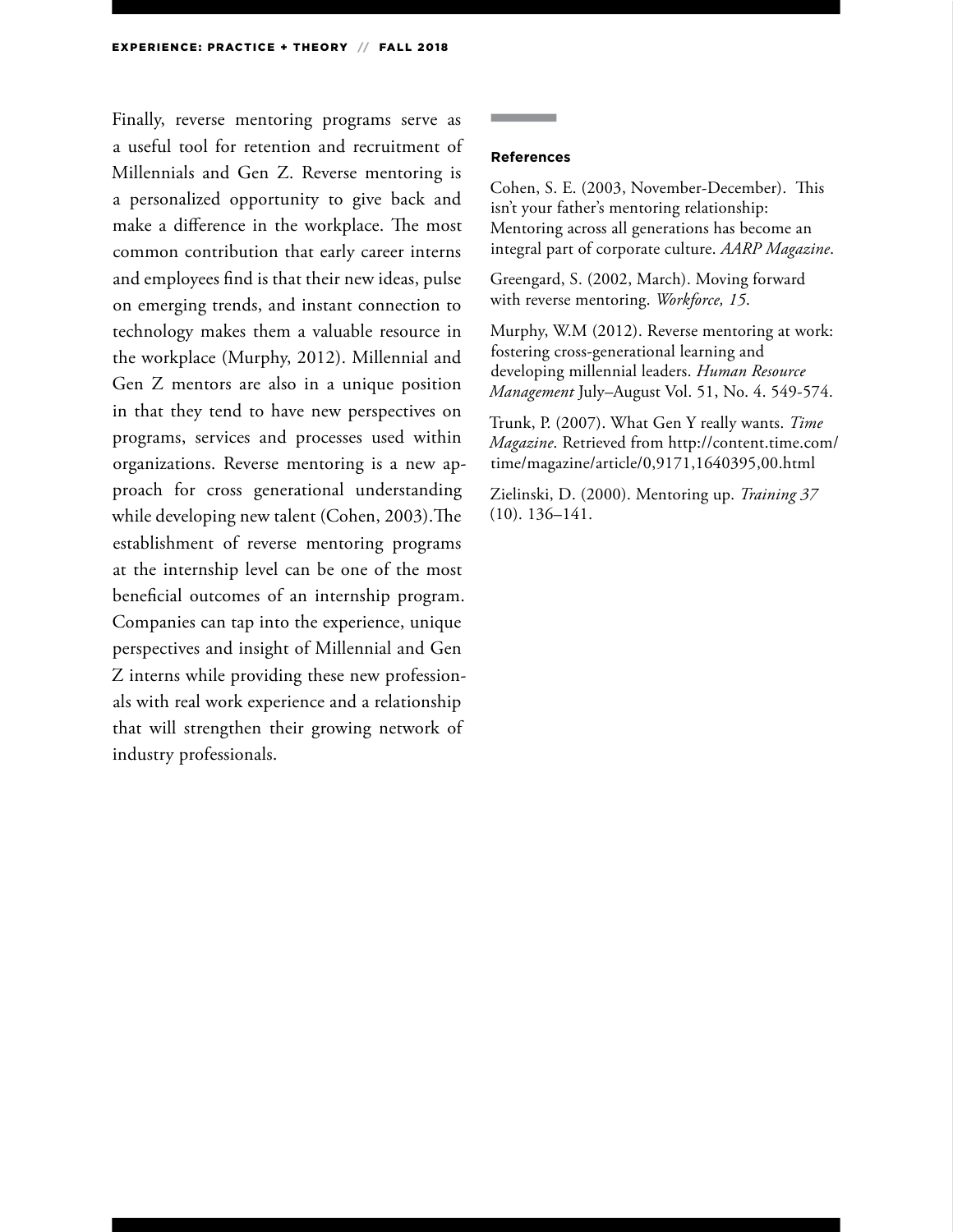Finally, reverse mentoring programs serve as a useful tool for retention and recruitment of Millennials and Gen Z. Reverse mentoring is a personalized opportunity to give back and make a difference in the workplace. The most common contribution that early career interns and employees find is that their new ideas, pulse on emerging trends, and instant connection to technology makes them a valuable resource in the workplace (Murphy, 2012). Millennial and Gen Z mentors are also in a unique position in that they tend to have new perspectives on programs, services and processes used within organizations. Reverse mentoring is a new approach for cross generational understanding while developing new talent (Cohen, 2003).The establishment of reverse mentoring programs at the internship level can be one of the most beneficial outcomes of an internship program. Companies can tap into the experience, unique perspectives and insight of Millennial and Gen Z interns while providing these new professionals with real work experience and a relationship that will strengthen their growing network of industry professionals.

#### **References**

Cohen, S. E. (2003, November-December). This isn't your father's mentoring relationship: Mentoring across all generations has become an integral part of corporate culture. *AARP Magazine*.

Greengard, S. (2002, March). Moving forward with reverse mentoring. *Workforce, 15*.

Murphy, W.M (2012). Reverse mentoring at work: fostering cross-generational learning and developing millennial leaders. *Human Resource Management* July–August Vol. 51, No. 4. 549-574.

Trunk, P. (2007). What Gen Y really wants. *Time Magazine*. Retrieved from http://content.time.com/ time/magazine/article/0,9171,1640395,00.html

Zielinski, D. (2000). Mentoring up. *Training 37*  (10). 136–141.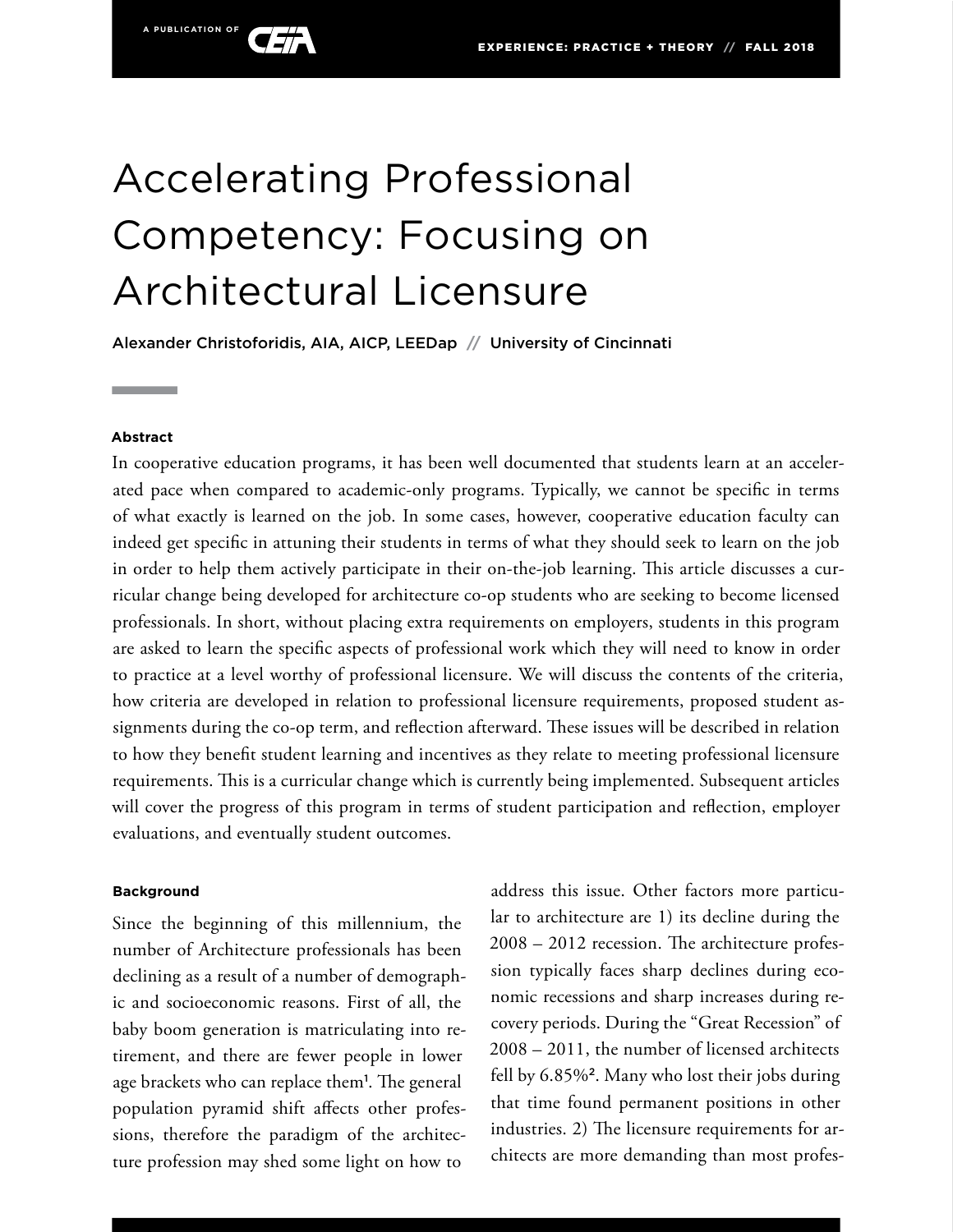# Accelerating Professional Competency: Focusing on Architectural Licensure

Alexander Christoforidis, AIA, AICP, LEEDap **//** University of Cincinnati

#### **Abstract**

In cooperative education programs, it has been well documented that students learn at an accelerated pace when compared to academic-only programs. Typically, we cannot be specific in terms of what exactly is learned on the job. In some cases, however, cooperative education faculty can indeed get specific in attuning their students in terms of what they should seek to learn on the job in order to help them actively participate in their on-the-job learning. This article discusses a curricular change being developed for architecture co-op students who are seeking to become licensed professionals. In short, without placing extra requirements on employers, students in this program are asked to learn the specific aspects of professional work which they will need to know in order to practice at a level worthy of professional licensure. We will discuss the contents of the criteria, how criteria are developed in relation to professional licensure requirements, proposed student assignments during the co-op term, and reflection afterward. These issues will be described in relation to how they benefit student learning and incentives as they relate to meeting professional licensure requirements. This is a curricular change which is currently being implemented. Subsequent articles will cover the progress of this program in terms of student participation and reflection, employer evaluations, and eventually student outcomes.

#### **Background**

Since the beginning of this millennium, the number of Architecture professionals has been declining as a result of a number of demographic and socioeconomic reasons. First of all, the baby boom generation is matriculating into retirement, and there are fewer people in lower age brackets who can replace them<sup>1</sup> . The general population pyramid shift affects other professions, therefore the paradigm of the architecture profession may shed some light on how to

address this issue. Other factors more particular to architecture are 1) its decline during the 2008 – 2012 recession. The architecture profession typically faces sharp declines during economic recessions and sharp increases during recovery periods. During the "Great Recession" of 2008 – 2011, the number of licensed architects fell by 6.85%<sup>2</sup>. Many who lost their jobs during that time found permanent positions in other industries. 2) The licensure requirements for architects are more demanding than most profes-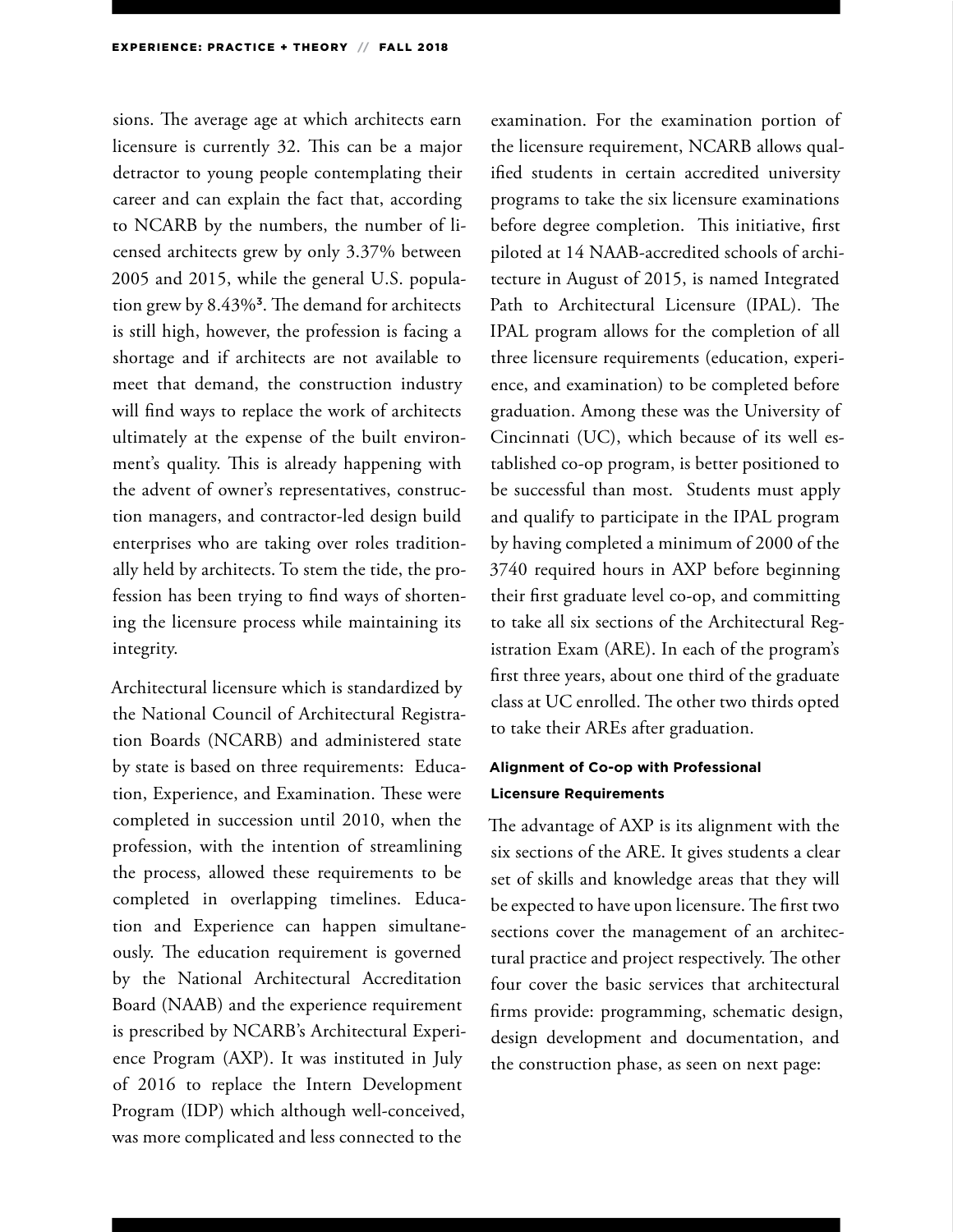sions. The average age at which architects earn licensure is currently 32. This can be a major detractor to young people contemplating their career and can explain the fact that, according to NCARB by the numbers, the number of licensed architects grew by only 3.37% between 2005 and 2015, while the general U.S. population grew by 8.43%<sup>3</sup>. The demand for architects is still high, however, the profession is facing a shortage and if architects are not available to meet that demand, the construction industry will find ways to replace the work of architects ultimately at the expense of the built environment's quality. This is already happening with the advent of owner's representatives, construction managers, and contractor-led design build enterprises who are taking over roles traditionally held by architects. To stem the tide, the profession has been trying to find ways of shortening the licensure process while maintaining its integrity.

Architectural licensure which is standardized by the National Council of Architectural Registration Boards (NCARB) and administered state by state is based on three requirements: Education, Experience, and Examination. These were completed in succession until 2010, when the profession, with the intention of streamlining the process, allowed these requirements to be completed in overlapping timelines. Education and Experience can happen simultaneously. The education requirement is governed by the National Architectural Accreditation Board (NAAB) and the experience requirement is prescribed by NCARB's Architectural Experience Program (AXP). It was instituted in July of 2016 to replace the Intern Development Program (IDP) which although well-conceived, was more complicated and less connected to the

examination. For the examination portion of the licensure requirement, NCARB allows qualified students in certain accredited university programs to take the six licensure examinations before degree completion. This initiative, first piloted at 14 NAAB-accredited schools of architecture in August of 2015, is named Integrated Path to Architectural Licensure (IPAL). The IPAL program allows for the completion of all three licensure requirements (education, experience, and examination) to be completed before graduation. Among these was the University of Cincinnati (UC), which because of its well established co-op program, is better positioned to be successful than most. Students must apply and qualify to participate in the IPAL program by having completed a minimum of 2000 of the 3740 required hours in AXP before beginning their first graduate level co-op, and committing to take all six sections of the Architectural Registration Exam (ARE). In each of the program's first three years, about one third of the graduate class at UC enrolled. The other two thirds opted to take their AREs after graduation.

### **Alignment of Co-op with Professional Licensure Requirements**

The advantage of AXP is its alignment with the six sections of the ARE. It gives students a clear set of skills and knowledge areas that they will be expected to have upon licensure. The first two sections cover the management of an architectural practice and project respectively. The other four cover the basic services that architectural firms provide: programming, schematic design, design development and documentation, and the construction phase, as seen on next page: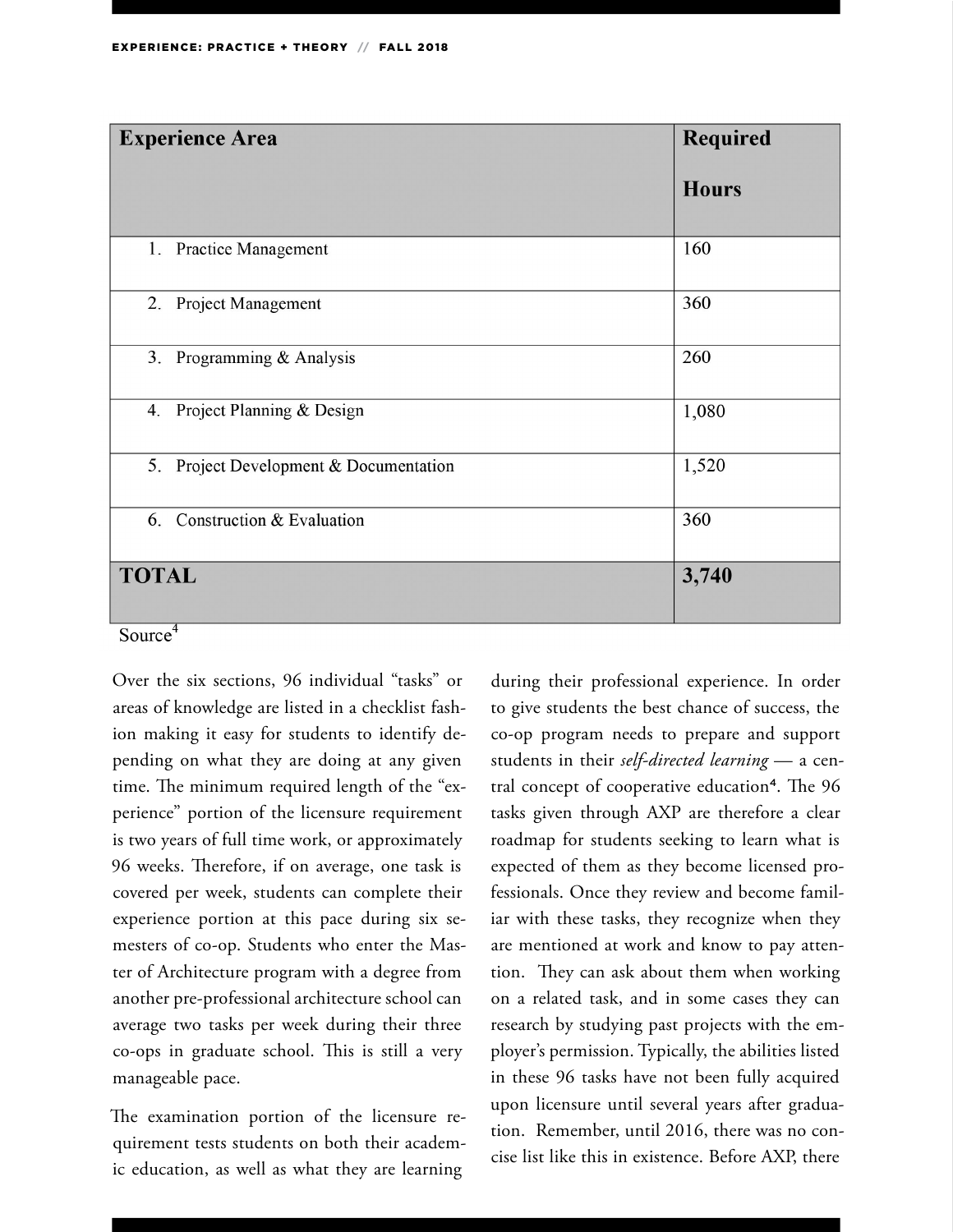| <b>Experience Area</b>                 | <b>Required</b> |  |
|----------------------------------------|-----------------|--|
|                                        | <b>Hours</b>    |  |
| 1. Practice Management                 | 160             |  |
| 2. Project Management                  | 360             |  |
| 3. Programming & Analysis              | 260             |  |
| Project Planning & Design<br>4.        | 1,080           |  |
| 5. Project Development & Documentation | 1,520           |  |
| 6. Construction & Evaluation           | 360             |  |
| <b>TOTAL</b>                           | 3,740           |  |

Source<sup>4</sup>

Over the six sections, 96 individual "tasks" or areas of knowledge are listed in a checklist fashion making it easy for students to identify depending on what they are doing at any given time. The minimum required length of the "experience" portion of the licensure requirement is two years of full time work, or approximately 96 weeks. Therefore, if on average, one task is covered per week, students can complete their experience portion at this pace during six semesters of co-op. Students who enter the Master of Architecture program with a degree from another pre-professional architecture school can average two tasks per week during their three co-ops in graduate school. This is still a very manageable pace.

The examination portion of the licensure requirement tests students on both their academic education, as well as what they are learning

during their professional experience. In order to give students the best chance of success, the co-op program needs to prepare and support students in their *self-directed learning* — a central concept of cooperative education<sup>4</sup>. The 96 tasks given through AXP are therefore a clear roadmap for students seeking to learn what is expected of them as they become licensed professionals. Once they review and become familiar with these tasks, they recognize when they are mentioned at work and know to pay attention. They can ask about them when working on a related task, and in some cases they can research by studying past projects with the employer's permission. Typically, the abilities listed in these 96 tasks have not been fully acquired upon licensure until several years after graduation. Remember, until 2016, there was no concise list like this in existence. Before AXP, there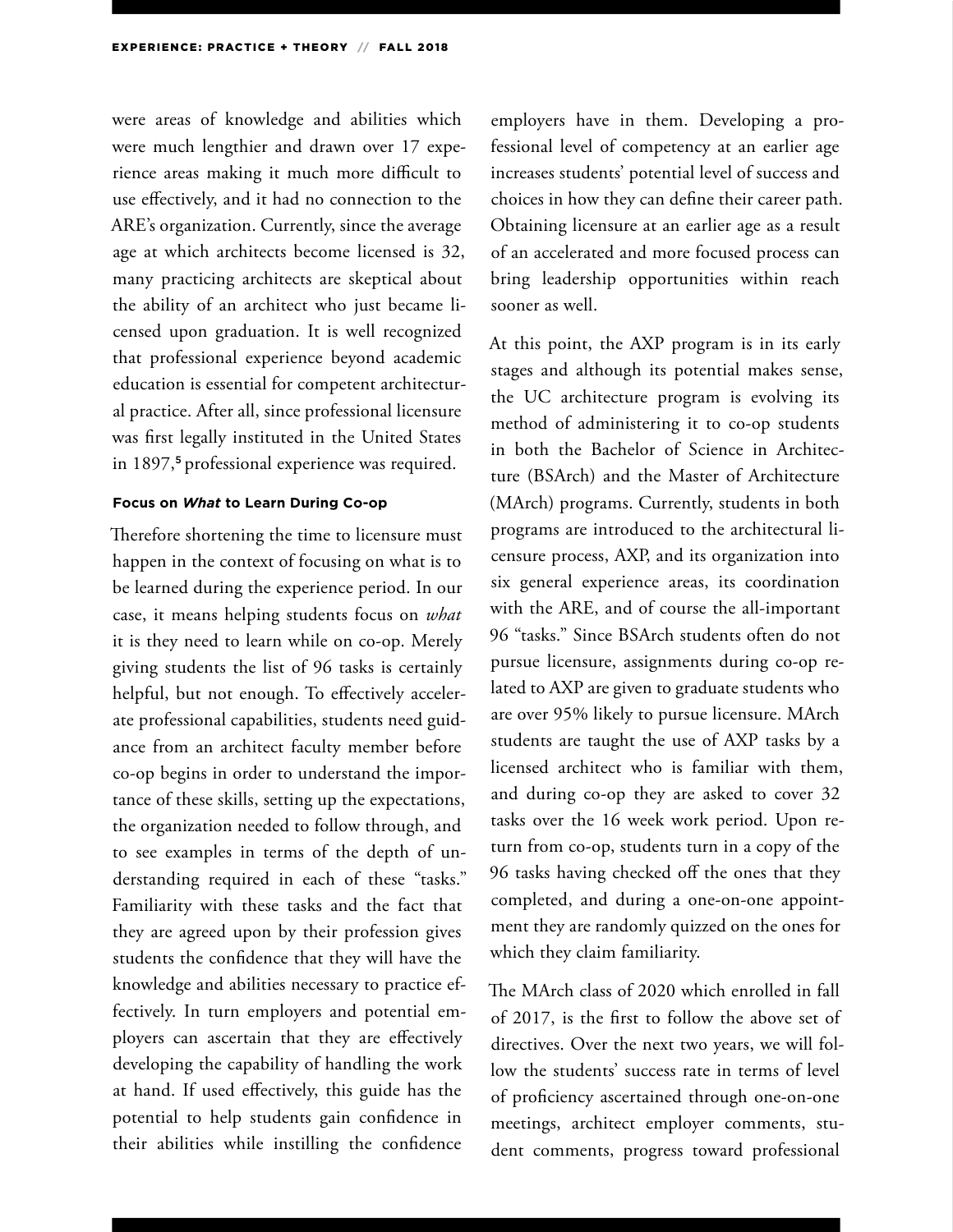were areas of knowledge and abilities which were much lengthier and drawn over 17 experience areas making it much more difficult to use effectively, and it had no connection to the ARE's organization. Currently, since the average age at which architects become licensed is 32, many practicing architects are skeptical about the ability of an architect who just became licensed upon graduation. It is well recognized that professional experience beyond academic education is essential for competent architectural practice. After all, since professional licensure was first legally instituted in the United States in 1897,<sup>5</sup> professional experience was required.

#### **Focus on** *What* **to Learn During Co-op**

Therefore shortening the time to licensure must happen in the context of focusing on what is to be learned during the experience period. In our case, it means helping students focus on *what*  it is they need to learn while on co-op. Merely giving students the list of 96 tasks is certainly helpful, but not enough. To effectively accelerate professional capabilities, students need guidance from an architect faculty member before co-op begins in order to understand the importance of these skills, setting up the expectations, the organization needed to follow through, and to see examples in terms of the depth of understanding required in each of these "tasks." Familiarity with these tasks and the fact that they are agreed upon by their profession gives students the confidence that they will have the knowledge and abilities necessary to practice effectively. In turn employers and potential employers can ascertain that they are effectively developing the capability of handling the work at hand. If used effectively, this guide has the potential to help students gain confidence in their abilities while instilling the confidence

employers have in them. Developing a professional level of competency at an earlier age increases students' potential level of success and choices in how they can define their career path. Obtaining licensure at an earlier age as a result of an accelerated and more focused process can bring leadership opportunities within reach sooner as well.

At this point, the AXP program is in its early stages and although its potential makes sense, the UC architecture program is evolving its method of administering it to co-op students in both the Bachelor of Science in Architecture (BSArch) and the Master of Architecture (MArch) programs. Currently, students in both programs are introduced to the architectural licensure process, AXP, and its organization into six general experience areas, its coordination with the ARE, and of course the all-important 96 "tasks." Since BSArch students often do not pursue licensure, assignments during co-op related to AXP are given to graduate students who are over 95% likely to pursue licensure. MArch students are taught the use of AXP tasks by a licensed architect who is familiar with them, and during co-op they are asked to cover 32 tasks over the 16 week work period. Upon return from co-op, students turn in a copy of the 96 tasks having checked off the ones that they completed, and during a one-on-one appointment they are randomly quizzed on the ones for which they claim familiarity.

The MArch class of 2020 which enrolled in fall of 2017, is the first to follow the above set of directives. Over the next two years, we will follow the students' success rate in terms of level of proficiency ascertained through one-on-one meetings, architect employer comments, student comments, progress toward professional